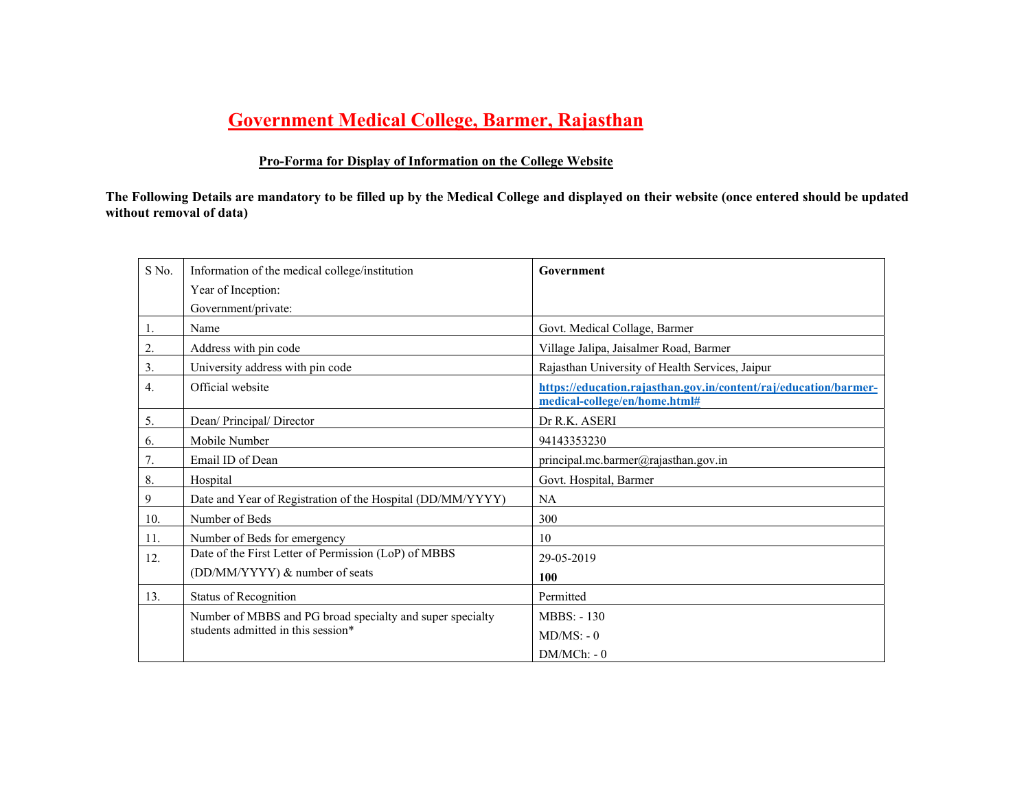# **Government Medical College, Barmer, Rajasthan**

# **Pro-Forma for Display of Information on the College Website**

**The Following Details are mandatory to be filled up by the Medical College and displayed on their website (once entered should be updated without removal of data)** 

| S No. | Information of the medical college/institution             | Government                                                                                        |  |  |  |  |
|-------|------------------------------------------------------------|---------------------------------------------------------------------------------------------------|--|--|--|--|
|       | Year of Inception:                                         |                                                                                                   |  |  |  |  |
|       | Government/private:                                        |                                                                                                   |  |  |  |  |
| 1.    | Name                                                       | Govt. Medical Collage, Barmer                                                                     |  |  |  |  |
| 2.    | Address with pin code                                      | Village Jalipa, Jaisalmer Road, Barmer                                                            |  |  |  |  |
| 3.    | University address with pin code                           | Rajasthan University of Health Services, Jaipur                                                   |  |  |  |  |
| 4.    | Official website                                           | https://education.rajasthan.gov.in/content/raj/education/barmer-<br>medical-college/en/home.html# |  |  |  |  |
| 5.    | Dean/ Principal/ Director                                  | Dr R.K. ASERI                                                                                     |  |  |  |  |
| 6.    | Mobile Number                                              | 94143353230                                                                                       |  |  |  |  |
| 7.    | Email ID of Dean                                           | principal.mc.barmer@rajasthan.gov.in                                                              |  |  |  |  |
| 8.    | Hospital                                                   | Govt. Hospital, Barmer                                                                            |  |  |  |  |
| 9     | Date and Year of Registration of the Hospital (DD/MM/YYYY) | <b>NA</b>                                                                                         |  |  |  |  |
| 10.   | Number of Beds                                             | 300                                                                                               |  |  |  |  |
| 11.   | Number of Beds for emergency                               | 10                                                                                                |  |  |  |  |
| 12.   | Date of the First Letter of Permission (LoP) of MBBS       | 29-05-2019                                                                                        |  |  |  |  |
|       | (DD/MM/YYYY) & number of seats                             | 100                                                                                               |  |  |  |  |
| 13.   | Status of Recognition                                      | Permitted                                                                                         |  |  |  |  |
|       | Number of MBBS and PG broad specialty and super specialty  | <b>MBBS: -130</b>                                                                                 |  |  |  |  |
|       | students admitted in this session*                         | $MD/MS: - 0$                                                                                      |  |  |  |  |
|       |                                                            | $DM/MCh: -0$                                                                                      |  |  |  |  |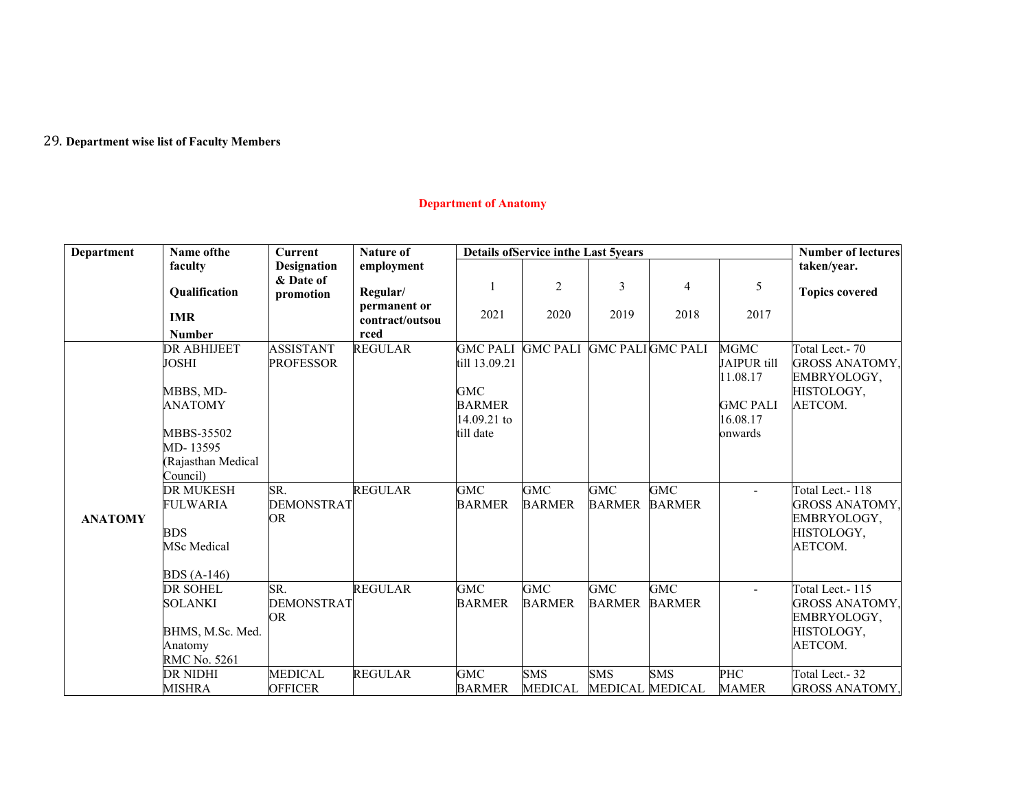### 29. **Department wise list of Faculty Members**

# **Department of Anatomy**

| Department     | Name of the                           | <b>Current</b>     | <b>Nature of</b>                | <b>Details ofService inthe Last 5years</b> |                 | <b>Number of lectures</b> |                |                 |                       |
|----------------|---------------------------------------|--------------------|---------------------------------|--------------------------------------------|-----------------|---------------------------|----------------|-----------------|-----------------------|
|                | faculty                               | <b>Designation</b> | employment                      |                                            |                 |                           |                |                 | taken/year.           |
|                |                                       | & Date of          |                                 |                                            | $\overline{2}$  | 3                         | $\overline{4}$ | 5               |                       |
|                | Qualification                         | promotion          | Regular/                        |                                            |                 |                           |                |                 | <b>Topics covered</b> |
|                | <b>IMR</b>                            |                    | permanent or<br>contract/outsou | 2021                                       | 2020            | 2019                      | 2018           | 2017            |                       |
|                | <b>Number</b>                         |                    | rced                            |                                            |                 |                           |                |                 |                       |
|                | <b>DR ABHIJEET</b>                    | <b>ASSISTANT</b>   | <b>REGULAR</b>                  | <b>GMC PALI</b>                            | <b>GMC PALI</b> | <b>GMC PALIGMC PALI</b>   |                | <b>MGMC</b>     | Total Lect.- 70       |
|                | <b>JOSHI</b>                          | <b>PROFESSOR</b>   |                                 | till 13.09.21                              |                 |                           |                | JAIPUR till     | <b>GROSS ANATOMY,</b> |
|                |                                       |                    |                                 |                                            |                 |                           |                | 11.08.17        | EMBRYOLOGY,           |
|                | MBBS, MD-                             |                    |                                 | <b>GMC</b>                                 |                 |                           |                |                 | HISTOLOGY,            |
|                | <b>ANATOMY</b>                        |                    |                                 | <b>BARMER</b>                              |                 |                           |                | <b>GMC PALI</b> | AETCOM.               |
|                |                                       |                    |                                 | 14.09.21 to                                |                 |                           |                | 16.08.17        |                       |
|                | MBBS-35502                            |                    |                                 | till date                                  |                 |                           |                | onwards         |                       |
|                | MD-13595                              |                    |                                 |                                            |                 |                           |                |                 |                       |
|                | (Rajasthan Medical                    |                    |                                 |                                            |                 |                           |                |                 |                       |
|                | Council)                              |                    |                                 |                                            |                 |                           |                |                 |                       |
|                | <b>DR MUKESH</b>                      | SR.                | <b>REGULAR</b>                  | GMC                                        | <b>GMC</b>      | GMC                       | <b>GMC</b>     | ÷               | Total Lect.-118       |
|                | <b>FULWARIA</b>                       | <b>DEMONSTRAT</b>  |                                 | <b>BARMER</b>                              | <b>BARMER</b>   | <b>BARMER</b>             | <b>BARMER</b>  |                 | GROSS ANATOMY,        |
| <b>ANATOMY</b> |                                       | <b>OR</b>          |                                 |                                            |                 |                           |                |                 | EMBRYOLOGY,           |
|                | <b>BDS</b>                            |                    |                                 |                                            |                 |                           |                |                 | HISTOLOGY,            |
|                | <b>MSc</b> Medical                    |                    |                                 |                                            |                 |                           |                |                 | AETCOM.               |
|                |                                       |                    |                                 |                                            |                 |                           |                |                 |                       |
|                | <b>BDS</b> (A-146)<br><b>DR SOHEL</b> | SR.                | <b>REGULAR</b>                  | <b>GMC</b>                                 | <b>GMC</b>      | <b>GMC</b>                | <b>GMC</b>     |                 | Total Lect.-115       |
|                | <b>SOLANKI</b>                        | <b>DEMONSTRAT</b>  |                                 | <b>BARMER</b>                              | <b>BARMER</b>   | <b>BARMER</b>             | <b>BARMER</b>  | $\blacksquare$  | GROSS ANATOMY,        |
|                |                                       | OR                 |                                 |                                            |                 |                           |                |                 | EMBRYOLOGY,           |
|                | BHMS, M.Sc. Med.                      |                    |                                 |                                            |                 |                           |                |                 | HISTOLOGY,            |
|                | Anatomy                               |                    |                                 |                                            |                 |                           |                |                 | AETCOM.               |
|                | RMC No. 5261                          |                    |                                 |                                            |                 |                           |                |                 |                       |
|                | <b>DR NIDHI</b>                       | <b>MEDICAL</b>     | <b>REGULAR</b>                  | <b>GMC</b>                                 | <b>SMS</b>      | <b>SMS</b>                | <b>SMS</b>     | <b>PHC</b>      | Total Lect.-32        |
|                | <b>MISHRA</b>                         | <b>OFFICER</b>     |                                 | <b>BARMER</b>                              | <b>MEDICAL</b>  | MEDICAL MEDICAL           |                | MAMER           | <b>GROSS ANATOMY,</b> |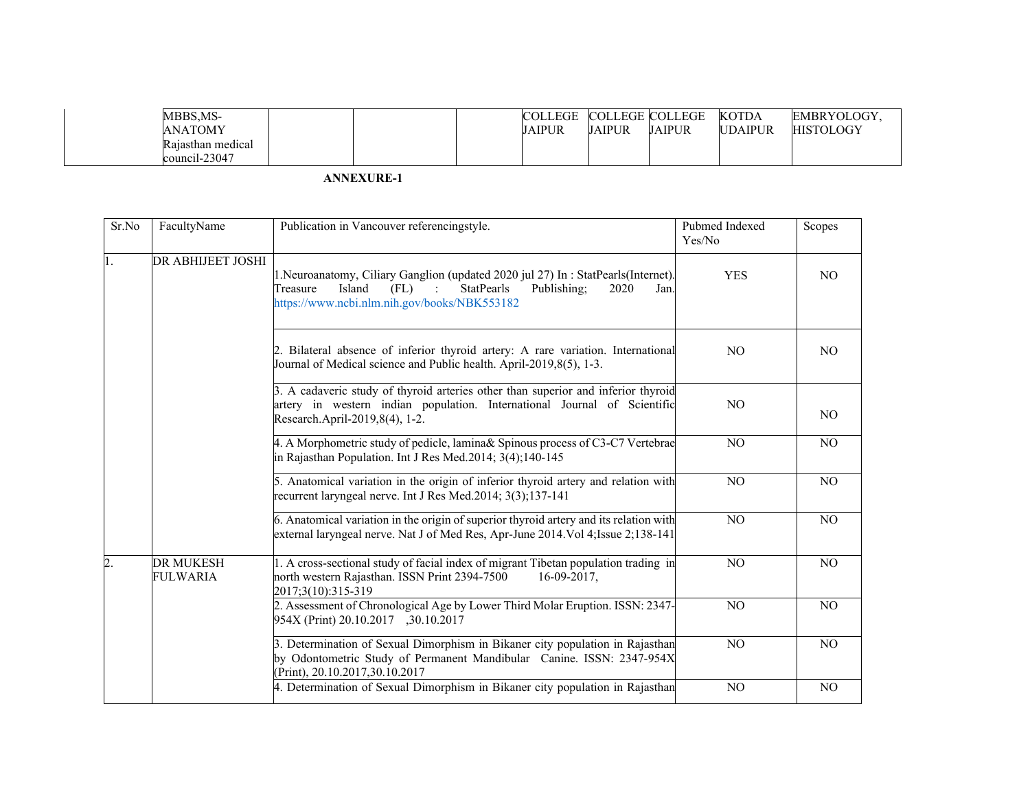| MBBS.MS-          |  | <b>COLLEGE</b> | <b>COLLEGE COLLEGE</b> |        | <b>KOTDA</b>   | EMBRYOLOGY.      |
|-------------------|--|----------------|------------------------|--------|----------------|------------------|
| <b>ANATOMY</b>    |  | <b>JAIPUR</b>  | JAIPUR                 | JAIPUR | <b>UDAIPUR</b> | <b>HISTOLOGY</b> |
| Rajasthan medical |  |                |                        |        |                |                  |
| $council-23047$   |  |                |                        |        |                |                  |

| Sr.No            | FacultyName                                                | Publication in Vancouver referencingstyle.                                                                                                                                                                           | Pubmed Indexed<br>Yes/No | Scopes         |
|------------------|------------------------------------------------------------|----------------------------------------------------------------------------------------------------------------------------------------------------------------------------------------------------------------------|--------------------------|----------------|
| II.              | DR ABHIJEET JOSHI                                          | 1. Neuroanatomy, Ciliary Ganglion (updated 2020 jul 27) In: StatPearls (Internet).<br>Island<br>Treasure<br>(FL)<br><b>StatPearls</b><br>Publishing;<br>2020<br>Jan.<br>https://www.ncbi.nlm.nih.gov/books/NBK553182 | <b>YES</b>               | NO.            |
|                  |                                                            | 2. Bilateral absence of inferior thyroid artery: A rare variation. International<br>Journal of Medical science and Public health. April-2019,8(5), 1-3.                                                              | N <sub>O</sub>           | NO.            |
|                  |                                                            | 3. A cadaveric study of thyroid arteries other than superior and inferior thyroid<br>artery in western indian population. International Journal of Scientific<br>Research.April-2019,8(4), 1-2.                      | NO.                      | NO.            |
|                  | in Rajasthan Population. Int J Res Med.2014; 3(4); 140-145 | 4. A Morphometric study of pedicle, lamina& Spinous process of C3-C7 Vertebrae                                                                                                                                       | N <sub>O</sub>           | N <sub>O</sub> |
|                  |                                                            | 5. Anatomical variation in the origin of inferior thyroid artery and relation with<br>recurrent laryngeal nerve. Int J Res Med.2014; 3(3);137-141                                                                    | NO                       | N <sub>O</sub> |
|                  |                                                            | 6. Anatomical variation in the origin of superior thyroid artery and its relation with<br>external laryngeal nerve. Nat J of Med Res, Apr-June 2014. Vol 4; Issue 2; 138-141                                         | N <sub>O</sub>           | N <sub>O</sub> |
| $\overline{2}$ . | <b>DR MUKESH</b><br>FULWARIA                               | 1. A cross-sectional study of facial index of migrant Tibetan population trading in<br>north western Rajasthan. ISSN Print 2394-7500<br>$16-09-2017$ ,<br>2017;3(10):315-319                                         | N <sub>O</sub>           | N <sub>O</sub> |
|                  |                                                            | 2. Assessment of Chronological Age by Lower Third Molar Eruption. ISSN: 2347-<br>954X (Print) 20.10.2017 , 30.10.2017                                                                                                | NO                       | NO             |
|                  |                                                            | 3. Determination of Sexual Dimorphism in Bikaner city population in Rajasthan<br>by Odontometric Study of Permanent Mandibular Canine. ISSN: 2347-954X<br>(Print), 20.10.2017,30.10.2017                             | N <sub>O</sub>           | N <sub>O</sub> |
|                  |                                                            | 4. Determination of Sexual Dimorphism in Bikaner city population in Rajasthan                                                                                                                                        | N <sub>O</sub>           | N <sub>O</sub> |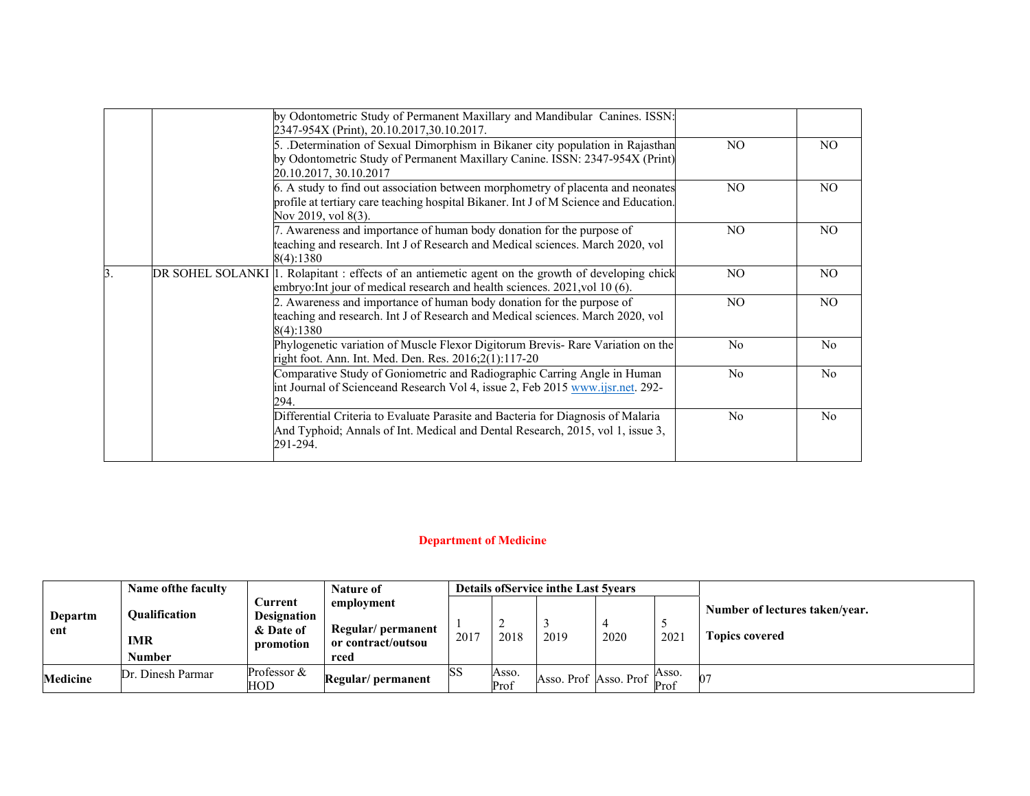|    | by Odontometric Study of Permanent Maxillary and Mandibular Canines. ISSN:                        |                |                |
|----|---------------------------------------------------------------------------------------------------|----------------|----------------|
|    | 2347-954X (Print), 20.10.2017,30.10.2017.                                                         |                |                |
|    | 5. Determination of Sexual Dimorphism in Bikaner city population in Rajasthan                     | NO.            | NO.            |
|    | by Odontometric Study of Permanent Maxillary Canine. ISSN: 2347-954X (Print)                      |                |                |
|    | 20.10.2017, 30.10.2017                                                                            |                |                |
|    | 6. A study to find out association between morphometry of placenta and neonates                   | NO.            | NO.            |
|    | profile at tertiary care teaching hospital Bikaner. Int J of M Science and Education.             |                |                |
|    | Nov 2019, vol 8(3).                                                                               |                |                |
|    | 7. Awareness and importance of human body donation for the purpose of                             | NO.            | NO.            |
|    | teaching and research. Int J of Research and Medical sciences. March 2020, vol                    |                |                |
|    | 8(4):1380                                                                                         |                |                |
| 3. | DR SOHEL SOLANKI 1. Rolapitant : effects of an antiemetic agent on the growth of developing chick | NO.            | NO.            |
|    | embryo: Int jour of medical research and health sciences. 2021, vol 10 (6).                       |                |                |
|    | 2. Awareness and importance of human body donation for the purpose of                             | NO.            | NO.            |
|    | teaching and research. Int J of Research and Medical sciences. March 2020, vol                    |                |                |
|    | 8(4):1380                                                                                         |                |                |
|    | Phylogenetic variation of Muscle Flexor Digitorum Brevis- Rare Variation on the                   | N <sub>0</sub> | N <sub>o</sub> |
|    | right foot. Ann. Int. Med. Den. Res. 2016;2(1):117-20                                             |                |                |
|    | Comparative Study of Goniometric and Radiographic Carring Angle in Human                          | N <sub>o</sub> | N <sub>o</sub> |
|    | int Journal of Scienceand Research Vol 4, issue 2, Feb 2015 www.ijsr.net. 292-                    |                |                |
|    | 294.                                                                                              |                |                |
|    | Differential Criteria to Evaluate Parasite and Bacteria for Diagnosis of Malaria                  | N <sub>o</sub> | No.            |
|    | And Typhoid; Annals of Int. Medical and Dental Research, 2015, vol 1, issue 3,<br>291-294.        |                |                |
|    |                                                                                                   |                |                |

# **Department of Medicine**

|                 | <b>Name ofthe faculty</b>          |                                                                | <b>Nature of</b>                                      |      |               | <b>Details of Service in the Last 5 years</b> |                                     |               |                                                         |
|-----------------|------------------------------------|----------------------------------------------------------------|-------------------------------------------------------|------|---------------|-----------------------------------------------|-------------------------------------|---------------|---------------------------------------------------------|
| Departm<br>ent  | <b>Oualification</b><br><b>IMR</b> | <b>Current</b><br><b>Designation</b><br>& Date of<br>promotion | employment<br>Regular/permanent<br>or contract/outsou | 2017 | 2018          | 2019                                          | 2020                                | 2021          | Number of lectures taken/year.<br><b>Topics covered</b> |
|                 | Number                             |                                                                | rced                                                  |      |               |                                               |                                     |               |                                                         |
| <b>Medicine</b> | Dr. Dinesh Parmar                  | Professor &<br>HOD                                             | Regular/permanent                                     | ßS   | Asso.<br>Prof |                                               | Asso. Prof Asso. Prof $\frac{1}{b}$ | Asso.<br>Prof |                                                         |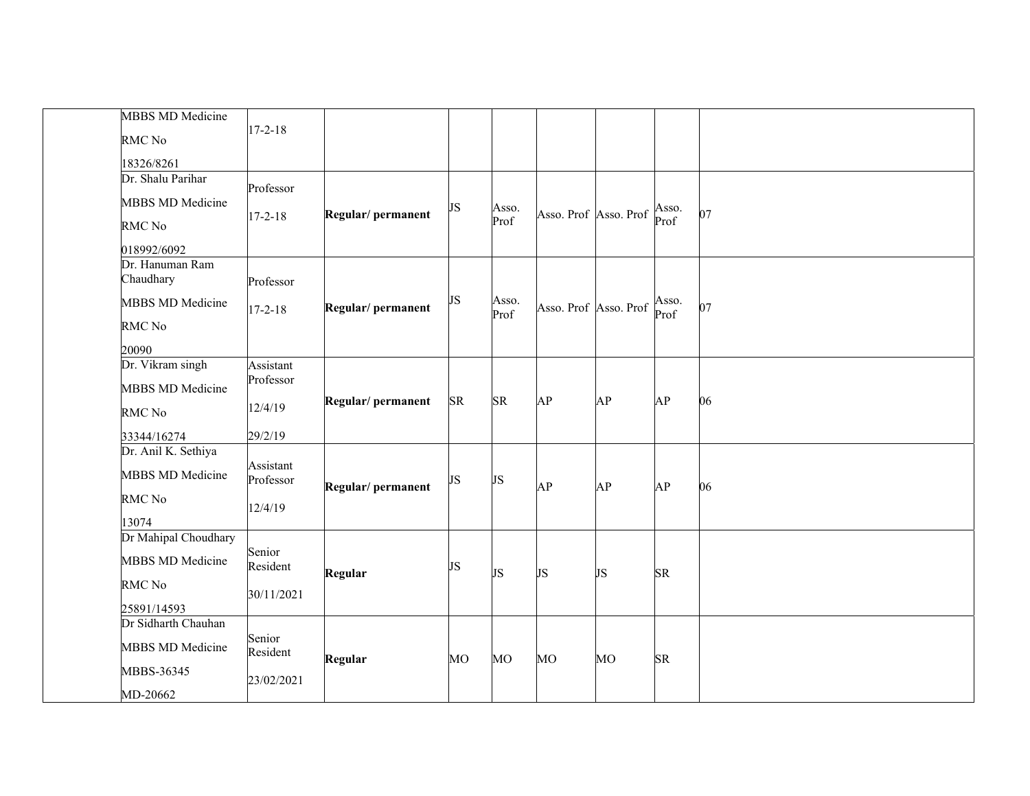| <b>MBBS MD Medicine</b>         |                        |                                |    |               |                       |    |               |    |
|---------------------------------|------------------------|--------------------------------|----|---------------|-----------------------|----|---------------|----|
| RMC No                          | $17 - 2 - 18$          |                                |    |               |                       |    |               |    |
|                                 |                        |                                |    |               |                       |    |               |    |
| 18326/8261<br>Dr. Shalu Parihar |                        |                                |    |               |                       |    |               |    |
|                                 | Professor              |                                |    |               |                       |    |               |    |
| <b>MBBS MD Medicine</b>         |                        |                                | JS | Asso.         |                       |    | Asso.<br>Prof |    |
| RMC No                          | $17 - 2 - 18$          | Regular/permanent              |    | Prof          | Asso. Prof Asso. Prof |    |               | 07 |
| 018992/6092                     |                        |                                |    |               |                       |    |               |    |
| Dr. Hanuman Ram                 |                        |                                |    |               |                       |    |               |    |
| Chaudhary                       | Professor              |                                |    |               |                       |    |               |    |
| <b>MBBS MD Medicine</b>         | $17 - 2 - 18$          | Regular/ permanent             | JS | Asso.<br>Prof | Asso. Prof Asso. Prof |    | Asso.<br>Prof | 07 |
| <b>RMC</b> No                   |                        |                                |    |               |                       |    |               |    |
| 20090                           |                        |                                |    |               |                       |    |               |    |
| Dr. Vikram singh                | Assistant              |                                |    |               |                       |    |               |    |
|                                 | Professor              |                                |    |               |                       |    | AP            |    |
| <b>MBBS MD Medicine</b>         |                        | Regular/permanent<br><b>SR</b> |    | <b>SR</b>     | AP                    | AP |               | 06 |
| RMC No                          | 12/4/19                |                                |    |               |                       |    |               |    |
| 33344/16274                     | 29/2/19                |                                |    |               |                       |    |               |    |
| Dr. Anil K. Sethiya             |                        |                                |    |               |                       |    |               |    |
| <b>MBBS MD Medicine</b>         | Assistant<br>Professor | Regular/permanent              | JS | JS            | AP                    | AP | AP            | 06 |
| RMC No                          |                        |                                |    |               |                       |    |               |    |
| 13074                           | 12/4/19                |                                |    |               |                       |    |               |    |
| Dr Mahipal Choudhary            |                        |                                |    |               |                       |    |               |    |
|                                 | Senior                 |                                |    |               |                       |    |               |    |
| <b>MBBS MD Medicine</b>         | Resident               |                                | JS |               |                       |    |               |    |
| RMC No                          |                        | Regular                        |    | JS            | JS                    | JS | <b>SR</b>     |    |
|                                 | 30/11/2021             |                                |    |               |                       |    |               |    |
|                                 | 25891/14593            |                                |    |               |                       |    |               |    |
| Dr Sidharth Chauhan             | Senior                 |                                |    |               |                       |    |               |    |
| <b>MBBS MD Medicine</b>         | Resident               | Regular                        |    |               |                       |    |               |    |
| MBBS-36345                      |                        |                                | MO | MO            | MO                    | MO | ${\rm SR}$    |    |
|                                 | 23/02/2021             |                                |    |               |                       |    |               |    |
| MD-20662                        |                        |                                |    |               |                       |    |               |    |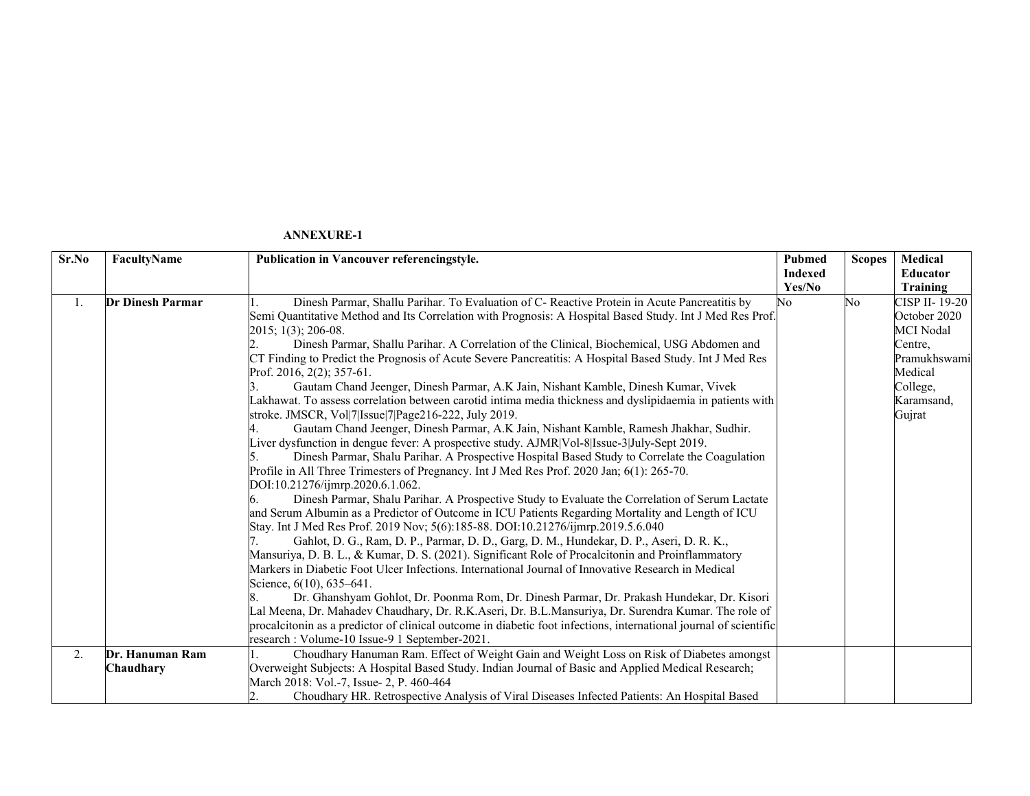| Sr.No | FacultyName             | <b>Publication in Vancouver referencingstyle.</b>                                                                 | <b>Pubmed</b>  | <b>Scopes</b> | Medical          |
|-------|-------------------------|-------------------------------------------------------------------------------------------------------------------|----------------|---------------|------------------|
|       |                         |                                                                                                                   | <b>Indexed</b> |               | <b>Educator</b>  |
|       |                         |                                                                                                                   | Yes/No         |               | Training         |
| 1.    | <b>Dr Dinesh Parmar</b> | Dinesh Parmar, Shallu Parihar. To Evaluation of C- Reactive Protein in Acute Pancreatitis by                      | No             | No            | CISP II-19-20    |
|       |                         | Semi Quantitative Method and Its Correlation with Prognosis: A Hospital Based Study. Int J Med Res Prof.          |                |               | October 2020     |
|       |                         | 2015; 1(3); 206-08.                                                                                               |                |               | <b>MCI</b> Nodal |
|       |                         | Dinesh Parmar, Shallu Parihar. A Correlation of the Clinical, Biochemical, USG Abdomen and                        |                |               | Centre,          |
|       |                         | CT Finding to Predict the Prognosis of Acute Severe Pancreatitis: A Hospital Based Study. Int J Med Res           |                |               | Pramukhswami     |
|       |                         | Prof. 2016, 2(2); 357-61.                                                                                         |                |               | Medical          |
|       |                         | Gautam Chand Jeenger, Dinesh Parmar, A.K. Jain, Nishant Kamble, Dinesh Kumar, Vivek                               |                |               | College,         |
|       |                         | Lakhawat. To assess correlation between carotid intima media thickness and dyslipidaemia in patients with         |                |               | Karamsand,       |
|       |                         | stroke. JMSCR, Vol 7 Issue 7 Page216-222, July 2019.                                                              |                |               | Gujrat           |
|       |                         | Gautam Chand Jeenger, Dinesh Parmar, A.K Jain, Nishant Kamble, Ramesh Jhakhar, Sudhir.                            |                |               |                  |
|       |                         | Liver dysfunction in dengue fever: A prospective study. AJMR Vol-8 Issue-3 July-Sept 2019.                        |                |               |                  |
|       |                         | Dinesh Parmar, Shalu Parihar. A Prospective Hospital Based Study to Correlate the Coagulation                     |                |               |                  |
|       |                         | Profile in All Three Trimesters of Pregnancy. Int J Med Res Prof. 2020 Jan; 6(1): 265-70.                         |                |               |                  |
|       |                         | DOI:10.21276/ijmrp.2020.6.1.062.                                                                                  |                |               |                  |
|       |                         | Dinesh Parmar, Shalu Parihar. A Prospective Study to Evaluate the Correlation of Serum Lactate                    |                |               |                  |
|       |                         | and Serum Albumin as a Predictor of Outcome in ICU Patients Regarding Mortality and Length of ICU                 |                |               |                  |
|       |                         | Stay. Int J Med Res Prof. 2019 Nov; 5(6):185-88. DOI:10.21276/ijmrp.2019.5.6.040                                  |                |               |                  |
|       |                         | Gahlot, D. G., Ram, D. P., Parmar, D. D., Garg, D. M., Hundekar, D. P., Aseri, D. R. K.,                          |                |               |                  |
|       |                         | Mansuriya, D. B. L., & Kumar, D. S. (2021). Significant Role of Procalcitonin and Proinflammatory                 |                |               |                  |
|       |                         | Markers in Diabetic Foot Ulcer Infections. International Journal of Innovative Research in Medical                |                |               |                  |
|       |                         | Science, 6(10), 635–641.                                                                                          |                |               |                  |
|       |                         | Dr. Ghanshyam Gohlot, Dr. Poonma Rom, Dr. Dinesh Parmar, Dr. Prakash Hundekar, Dr. Kisori                         |                |               |                  |
|       |                         | Lal Meena, Dr. Mahadev Chaudhary, Dr. R.K.Aseri, Dr. B.L.Mansuriya, Dr. Surendra Kumar. The role of               |                |               |                  |
|       |                         | procalcitonin as a predictor of clinical outcome in diabetic foot infections, international journal of scientific |                |               |                  |
|       |                         | research: Volume-10 Issue-9 1 September-2021.                                                                     |                |               |                  |
| 2.    | Dr. Hanuman Ram         | Choudhary Hanuman Ram. Effect of Weight Gain and Weight Loss on Risk of Diabetes amongst                          |                |               |                  |
|       | Chaudhary               | Overweight Subjects: A Hospital Based Study. Indian Journal of Basic and Applied Medical Research;                |                |               |                  |
|       |                         | March 2018: Vol.-7, Issue- 2, P. 460-464                                                                          |                |               |                  |
|       |                         | Choudhary HR. Retrospective Analysis of Viral Diseases Infected Patients: An Hospital Based                       |                |               |                  |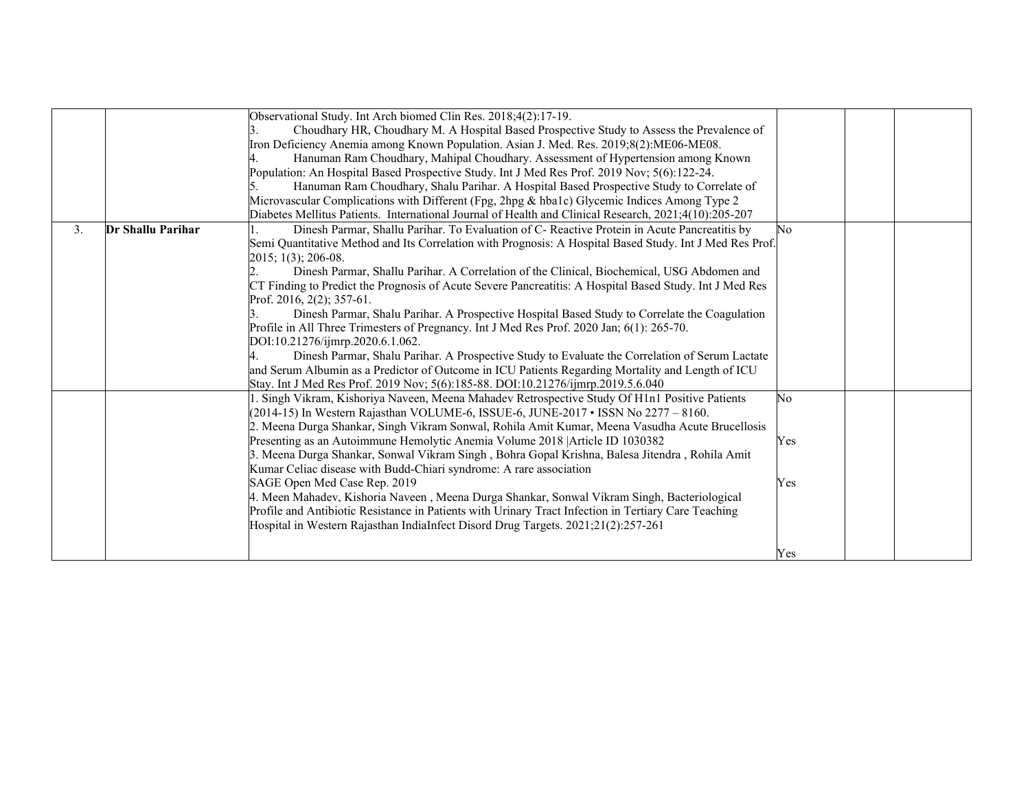|    |                   | Observational Study. Int Arch biomed Clin Res. 2018;4(2):17-19.                                          |                |  |
|----|-------------------|----------------------------------------------------------------------------------------------------------|----------------|--|
|    |                   | Choudhary HR, Choudhary M. A Hospital Based Prospective Study to Assess the Prevalence of                |                |  |
|    |                   | Iron Deficiency Anemia among Known Population. Asian J. Med. Res. 2019;8(2):ME06-ME08.                   |                |  |
|    |                   | Hanuman Ram Choudhary, Mahipal Choudhary. Assessment of Hypertension among Known                         |                |  |
|    |                   | Population: An Hospital Based Prospective Study. Int J Med Res Prof. 2019 Nov; 5(6):122-24.              |                |  |
|    |                   | Hanuman Ram Choudhary, Shalu Parihar. A Hospital Based Prospective Study to Correlate of                 |                |  |
|    |                   | Microvascular Complications with Different (Fpg, 2hpg & hba1c) Glycemic Indices Among Type 2             |                |  |
|    |                   | Diabetes Mellitus Patients. International Journal of Health and Clinical Research, 2021;4(10):205-207    |                |  |
| 3. | Dr Shallu Parihar | Dinesh Parmar, Shallu Parihar. To Evaluation of C- Reactive Protein in Acute Pancreatitis by             | N <sub>0</sub> |  |
|    |                   | Semi Quantitative Method and Its Correlation with Prognosis: A Hospital Based Study. Int J Med Res Prof. |                |  |
|    |                   | 2015; 1(3); 206-08.                                                                                      |                |  |
|    |                   | Dinesh Parmar, Shallu Parihar. A Correlation of the Clinical, Biochemical, USG Abdomen and               |                |  |
|    |                   | CT Finding to Predict the Prognosis of Acute Severe Pancreatitis: A Hospital Based Study. Int J Med Res  |                |  |
|    |                   | Prof. 2016, 2(2); 357-61.                                                                                |                |  |
|    |                   | Dinesh Parmar, Shalu Parihar. A Prospective Hospital Based Study to Correlate the Coagulation            |                |  |
|    |                   | Profile in All Three Trimesters of Pregnancy. Int J Med Res Prof. 2020 Jan; 6(1): 265-70.                |                |  |
|    |                   | DOI:10.21276/ijmrp.2020.6.1.062.                                                                         |                |  |
|    |                   | Dinesh Parmar, Shalu Parihar. A Prospective Study to Evaluate the Correlation of Serum Lactate           |                |  |
|    |                   | and Serum Albumin as a Predictor of Outcome in ICU Patients Regarding Mortality and Length of ICU        |                |  |
|    |                   | Stay. Int J Med Res Prof. 2019 Nov; 5(6):185-88. DOI:10.21276/ijmrp.2019.5.6.040                         |                |  |
|    |                   | I. Singh Vikram, Kishoriya Naveen, Meena Mahadev Retrospective Study Of H1n1 Positive Patients           | No             |  |
|    |                   | (2014-15) In Western Rajasthan VOLUME-6, ISSUE-6, JUNE-2017 • ISSN No 2277 – 8160.                       |                |  |
|    |                   | 2. Meena Durga Shankar, Singh Vikram Sonwal, Rohila Amit Kumar, Meena Vasudha Acute Brucellosis          |                |  |
|    |                   | Presenting as an Autoimmune Hemolytic Anemia Volume 2018 Article ID 1030382                              | Yes            |  |
|    |                   | 3. Meena Durga Shankar, Sonwal Vikram Singh, Bohra Gopal Krishna, Balesa Jitendra, Rohila Amit           |                |  |
|    |                   | Kumar Celiac disease with Budd-Chiari syndrome: A rare association                                       |                |  |
|    |                   | SAGE Open Med Case Rep. 2019                                                                             | Yes            |  |
|    |                   | 4. Meen Mahadev, Kishoria Naveen , Meena Durga Shankar, Sonwal Vikram Singh, Bacteriological             |                |  |
|    |                   | Profile and Antibiotic Resistance in Patients with Urinary Tract Infection in Tertiary Care Teaching     |                |  |
|    |                   | Hospital in Western Rajasthan IndiaInfect Disord Drug Targets. 2021;21(2):257-261                        |                |  |
|    |                   |                                                                                                          |                |  |
|    |                   |                                                                                                          | Yes            |  |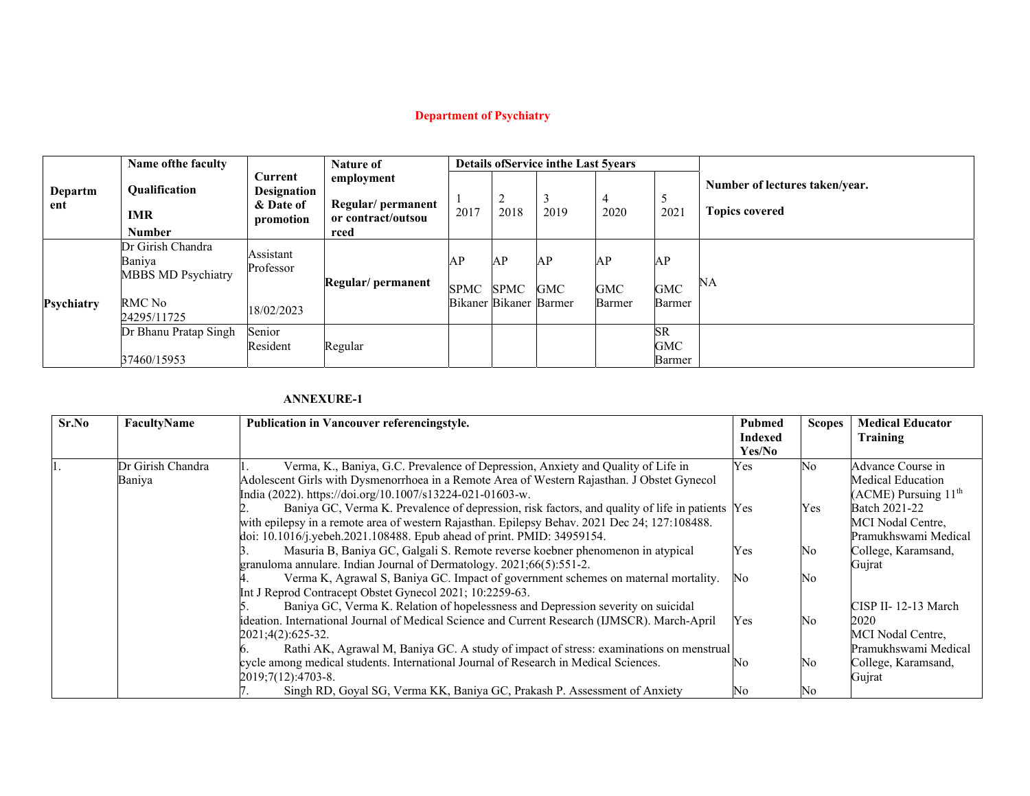# **Department of Psychiatry**

|                | Name of the faculty                                                               |                                                         | <b>Nature of</b>                                              |                                      |            | <b>Details of Service in the Last 5years</b> |                     |                     |                                                         |  |
|----------------|-----------------------------------------------------------------------------------|---------------------------------------------------------|---------------------------------------------------------------|--------------------------------------|------------|----------------------------------------------|---------------------|---------------------|---------------------------------------------------------|--|
| Departm<br>ent | <b>Oualification</b><br><b>IMR</b><br><b>Number</b>                               | Current<br><b>Designation</b><br>& Date of<br>promotion | employment<br>Regular/permanent<br>or contract/outsou<br>rced | 2017                                 | ∠<br>2018  | Ο<br>2019                                    | 4<br>2020           | ◡<br>2021           | Number of lectures taken/year.<br><b>Topics covered</b> |  |
| Psychiatry     | Dr Girish Chandra<br>Baniya<br><b>MBBS MD Psychiatry</b><br>RMC No<br>24295/11725 | Assistant<br>Professor<br>18/02/2023                    | Regular/ permanent                                            | AP<br>SPMC<br>Bikaner Bikaner Barmer | AP<br>SPMC | AP<br><b>GMC</b>                             | AP<br>GMC<br>Barmer | АP<br>GMC<br>Barmer | NA                                                      |  |
|                | Dr Bhanu Pratap Singh<br>37460/15953                                              | Senior<br>Resident                                      | Regular                                                       |                                      |            |                                              |                     | SR<br>GMC<br>Barmer |                                                         |  |

| Sr.No | FacultyName       | <b>Publication in Vancouver referencingstyle.</b>                                               |                          | <b>Scopes</b> | <b>Medical Educator</b><br>Training |
|-------|-------------------|-------------------------------------------------------------------------------------------------|--------------------------|---------------|-------------------------------------|
|       |                   |                                                                                                 | <b>Indexed</b><br>Yes/No |               |                                     |
|       | Dr Girish Chandra | Verma, K., Baniya, G.C. Prevalence of Depression, Anxiety and Quality of Life in                | Yes                      | No            | Advance Course in                   |
|       | Baniya            | Adolescent Girls with Dysmenorrhoea in a Remote Area of Western Rajasthan. J Obstet Gynecol     |                          |               | Medical Education                   |
|       |                   | India (2022). https://doi.org/10.1007/s13224-021-01603-w.                                       |                          |               | $(ACME)$ Pursuing $11th$            |
|       |                   | Baniya GC, Verma K. Prevalence of depression, risk factors, and quality of life in patients Yes |                          | Yes           | Batch 2021-22                       |
|       |                   | with epilepsy in a remote area of western Rajasthan. Epilepsy Behav. 2021 Dec 24; 127:108488.   |                          |               | MCI Nodal Centre,                   |
|       |                   | doi: 10.1016/j.yebeh.2021.108488. Epub ahead of print. PMID: 34959154.                          |                          |               | Pramukhswami Medical                |
|       |                   | Masuria B, Baniya GC, Galgali S. Remote reverse koebner phenomenon in atypical                  | Yes                      | No            | College, Karamsand,                 |
|       |                   | granuloma annulare. Indian Journal of Dermatology. 2021;66(5):551-2.                            |                          |               | Gujrat                              |
|       |                   | Verma K, Agrawal S, Baniya GC. Impact of government schemes on maternal mortality.              | No                       | No            |                                     |
|       |                   | Int J Reprod Contracept Obstet Gynecol 2021; 10:2259-63.                                        |                          |               |                                     |
|       |                   | Baniya GC, Verma K. Relation of hopelessness and Depression severity on suicidal                |                          |               | CISP II-12-13 March                 |
|       |                   | ideation. International Journal of Medical Science and Current Research (IJMSCR). March-April   | Yes                      | No            | 2020                                |
|       |                   | 2021;4(2):625-32.                                                                               |                          |               | MCI Nodal Centre,                   |
|       |                   | Rathi AK, Agrawal M, Baniya GC. A study of impact of stress: examinations on menstrual          |                          |               | Pramukhswami Medical                |
|       |                   | cycle among medical students. International Journal of Research in Medical Sciences.            | INo.                     | No            | College, Karamsand,                 |
|       |                   | $2019;7(12):4703-8.$                                                                            |                          |               | Gujrat                              |
|       |                   | Singh RD, Goyal SG, Verma KK, Baniya GC, Prakash P. Assessment of Anxiety                       | No                       |               |                                     |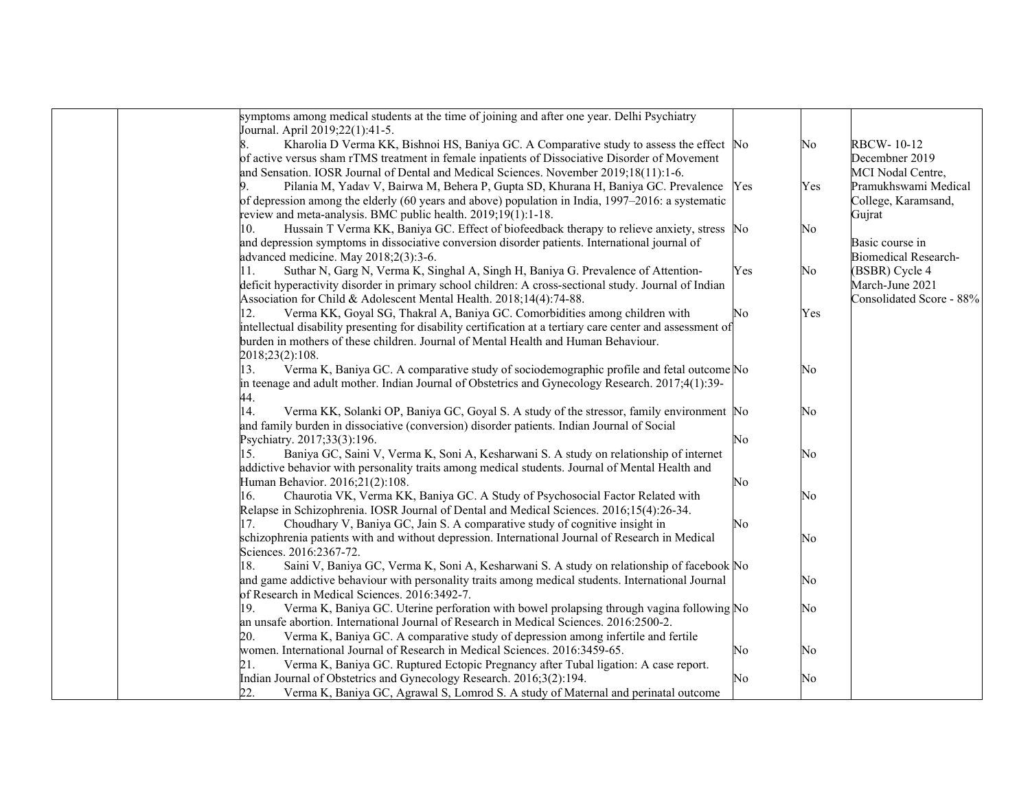| symptoms among medical students at the time of joining and after one year. Delhi Psychiatry                 |     |     |                             |
|-------------------------------------------------------------------------------------------------------------|-----|-----|-----------------------------|
| Journal. April 2019;22(1):41-5.                                                                             |     |     |                             |
| Kharolia D Verma KK, Bishnoi HS, Baniya GC. A Comparative study to assess the effect No<br>8.               |     | No  | <b>RBCW-10-12</b>           |
| of active versus sham rTMS treatment in female inpatients of Dissociative Disorder of Movement              |     |     | Decembner 2019              |
| and Sensation. IOSR Journal of Dental and Medical Sciences. November 2019;18(11):1-6.                       |     |     | MCI Nodal Centre,           |
| Pilania M, Yadav V, Bairwa M, Behera P, Gupta SD, Khurana H, Baniya GC. Prevalence                          | Yes | Yes | Pramukhswami Medical        |
| of depression among the elderly (60 years and above) population in India, 1997–2016: a systematic           |     |     | College, Karamsand,         |
| review and meta-analysis. BMC public health. 2019;19(1):1-18.                                               |     |     | Gujrat                      |
| Hussain T Verma KK, Baniya GC. Effect of biofeedback therapy to relieve anxiety, stress No<br>10.           |     | No  |                             |
| and depression symptoms in dissociative conversion disorder patients. International journal of              |     |     | Basic course in             |
| advanced medicine. May 2018;2(3):3-6.                                                                       |     |     | <b>Biomedical Research-</b> |
| 11.<br>Suthar N, Garg N, Verma K, Singhal A, Singh H, Baniya G. Prevalence of Attention-                    | Yes | No  | (BSBR) Cycle 4              |
| deficit hyperactivity disorder in primary school children: A cross-sectional study. Journal of Indian       |     |     | March-June 2021             |
| Association for Child & Adolescent Mental Health. 2018;14(4):74-88.                                         |     |     | Consolidated Score - 88%    |
| Verma KK, Goyal SG, Thakral A, Baniya GC. Comorbidities among children with<br>12.                          | No  | Yes |                             |
| intellectual disability presenting for disability certification at a tertiary care center and assessment of |     |     |                             |
| burden in mothers of these children. Journal of Mental Health and Human Behaviour.                          |     |     |                             |
| 2018;23(2):108.                                                                                             |     |     |                             |
| Verma K, Baniya GC. A comparative study of sociodemographic profile and fetal outcome No<br>13.             |     | No  |                             |
| in teenage and adult mother. Indian Journal of Obstetrics and Gynecology Research. 2017;4(1):39-            |     |     |                             |
| 44.                                                                                                         |     |     |                             |
| 14.<br>Verma KK, Solanki OP, Baniya GC, Goyal S. A study of the stressor, family environment No             |     | No  |                             |
| and family burden in dissociative (conversion) disorder patients. Indian Journal of Social                  |     |     |                             |
| Psychiatry. 2017;33(3):196.                                                                                 | No  |     |                             |
| Baniya GC, Saini V, Verma K, Soni A, Kesharwani S. A study on relationship of internet<br>15.               |     | No  |                             |
| addictive behavior with personality traits among medical students. Journal of Mental Health and             |     |     |                             |
| Human Behavior. 2016;21(2):108.                                                                             | No  |     |                             |
| Chaurotia VK, Verma KK, Baniya GC. A Study of Psychosocial Factor Related with<br>16.                       |     | No  |                             |
| Relapse in Schizophrenia. IOSR Journal of Dental and Medical Sciences. 2016;15(4):26-34.                    |     |     |                             |
| Choudhary V, Baniya GC, Jain S. A comparative study of cognitive insight in<br>17.                          | No  |     |                             |
| schizophrenia patients with and without depression. International Journal of Research in Medical            |     | No  |                             |
| Sciences. 2016:2367-72.                                                                                     |     |     |                             |
| Saini V, Baniya GC, Verma K, Soni A, Kesharwani S. A study on relationship of facebook No<br>18.            |     |     |                             |
| and game addictive behaviour with personality traits among medical students. International Journal          |     | No  |                             |
| of Research in Medical Sciences. 2016:3492-7.                                                               |     |     |                             |
| Verma K, Baniya GC. Uterine perforation with bowel prolapsing through vagina following No<br>19.            |     | No  |                             |
| an unsafe abortion. International Journal of Research in Medical Sciences. 2016:2500-2.                     |     |     |                             |
| 20.<br>Verma K, Baniya GC. A comparative study of depression among infertile and fertile                    |     |     |                             |
| women. International Journal of Research in Medical Sciences. 2016:3459-65.                                 | No  | No  |                             |
| 21.<br>Verma K, Baniya GC. Ruptured Ectopic Pregnancy after Tubal ligation: A case report.                  |     |     |                             |
| Indian Journal of Obstetrics and Gynecology Research. 2016;3(2):194.                                        | No  | No  |                             |
| 22.<br>Verma K, Baniya GC, Agrawal S, Lomrod S. A study of Maternal and perinatal outcome                   |     |     |                             |
|                                                                                                             |     |     |                             |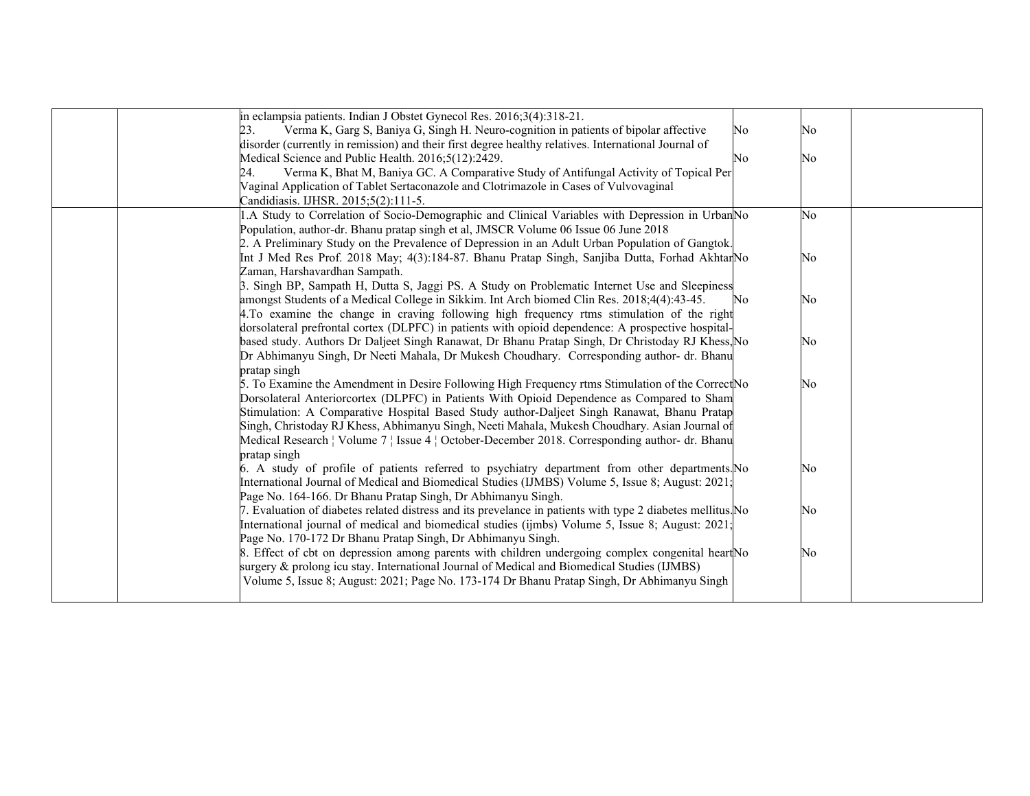| in eclampsia patients. Indian J Obstet Gynecol Res. 2016;3(4):318-21.                                       |                |    |
|-------------------------------------------------------------------------------------------------------------|----------------|----|
| Verma K, Garg S, Baniya G, Singh H. Neuro-cognition in patients of bipolar affective<br>23.                 | No             | No |
| disorder (currently in remission) and their first degree healthy relatives. International Journal of        |                |    |
| Medical Science and Public Health. 2016;5(12):2429.                                                         | N <sub>0</sub> | No |
| Verma K, Bhat M, Baniya GC. A Comparative Study of Antifungal Activity of Topical Per<br>24.                |                |    |
| Vaginal Application of Tablet Sertaconazole and Clotrimazole in Cases of Vulvovaginal                       |                |    |
| Candidiasis. IJHSR. 2015;5(2):111-5.                                                                        |                |    |
| 1.A Study to Correlation of Socio-Demographic and Clinical Variables with Depression in UrbanNo             |                | No |
| Population, author-dr. Bhanu pratap singh et al, JMSCR Volume 06 Issue 06 June 2018                         |                |    |
| 2. A Preliminary Study on the Prevalence of Depression in an Adult Urban Population of Gangtok.             |                |    |
| Int J Med Res Prof. 2018 May; 4(3):184-87. Bhanu Pratap Singh, Sanjiba Dutta, Forhad AkhtarNo               |                | No |
| Zaman, Harshavardhan Sampath.                                                                               |                |    |
| 3. Singh BP, Sampath H, Dutta S, Jaggi PS. A Study on Problematic Internet Use and Sleepiness               |                |    |
| amongst Students of a Medical College in Sikkim. Int Arch biomed Clin Res. 2018;4(4):43-45.                 | No.            | No |
| 4. To examine the change in craving following high frequency rtms stimulation of the right                  |                |    |
| dorsolateral prefrontal cortex (DLPFC) in patients with opioid dependence: A prospective hospital-          |                |    |
| based study. Authors Dr Daljeet Singh Ranawat, Dr Bhanu Pratap Singh, Dr Christoday RJ Khess, No            |                | No |
| Dr Abhimanyu Singh, Dr Neeti Mahala, Dr Mukesh Choudhary. Corresponding author- dr. Bhanu                   |                |    |
| pratap singh                                                                                                |                |    |
| 5. To Examine the Amendment in Desire Following High Frequency rtms Stimulation of the CorrectNo            |                | No |
| Dorsolateral Anteriorcortex (DLPFC) in Patients With Opioid Dependence as Compared to Sham                  |                |    |
| Stimulation: A Comparative Hospital Based Study author-Daljeet Singh Ranawat, Bhanu Pratap                  |                |    |
| Singh, Christoday RJ Khess, Abhimanyu Singh, Neeti Mahala, Mukesh Choudhary. Asian Journal of               |                |    |
| Medical Research   Volume 7   Issue 4   October-December 2018. Corresponding author- dr. Bhanu              |                |    |
| pratap singh                                                                                                |                |    |
| 6. A study of profile of patients referred to psychiatry department from other departments. No              |                | No |
| International Journal of Medical and Biomedical Studies (IJMBS) Volume 5, Issue 8; August: 2021;            |                |    |
| Page No. 164-166. Dr Bhanu Pratap Singh, Dr Abhimanyu Singh.                                                |                |    |
| 7. Evaluation of diabetes related distress and its prevelance in patients with type 2 diabetes mellitus. No |                | No |
| International journal of medical and biomedical studies (ijmbs) Volume 5, Issue 8; August: 2021;            |                |    |
| Page No. 170-172 Dr Bhanu Pratap Singh, Dr Abhimanyu Singh.                                                 |                |    |
| 8. Effect of cbt on depression among parents with children undergoing complex congenital heart No           |                | No |
| surgery & prolong icu stay. International Journal of Medical and Biomedical Studies (IJMBS)                 |                |    |
| Volume 5, Issue 8; August: 2021; Page No. 173-174 Dr Bhanu Pratap Singh, Dr Abhimanyu Singh                 |                |    |
|                                                                                                             |                |    |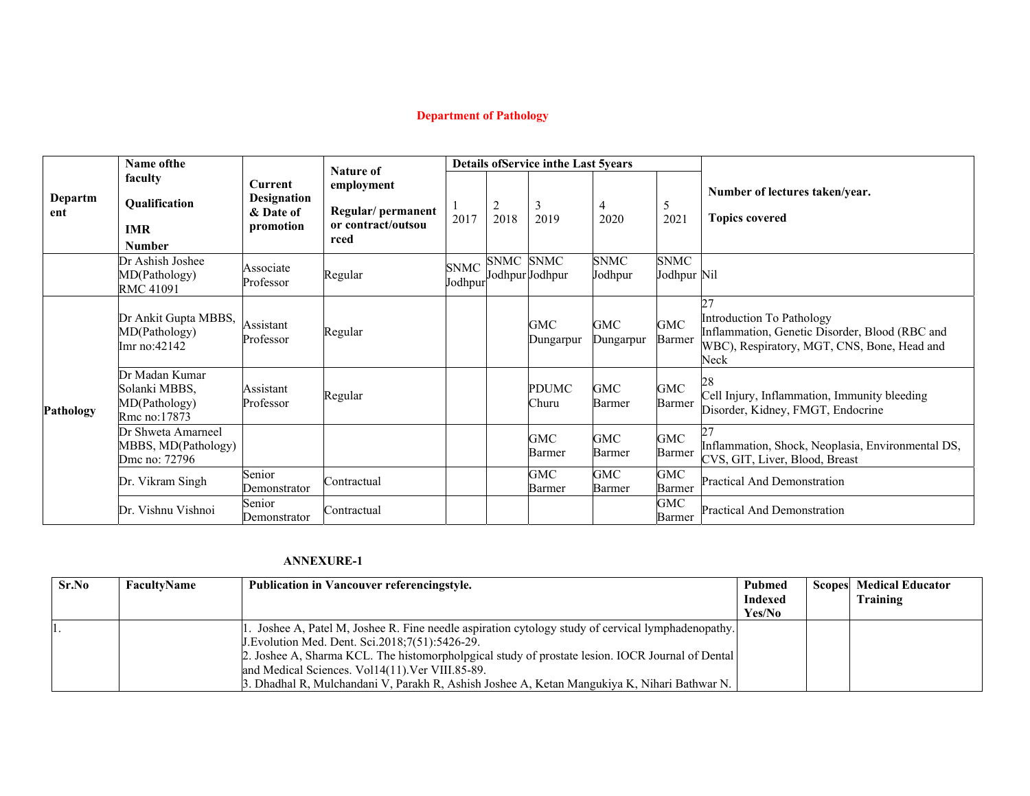# **Department of Pathology**

|                | <b>Name ofthe</b>                                                | <b>Nature of</b>                                        |                                                               |                        |                        | <b>Details of Service in the Last 5years</b> |                      |                            |                                                                                                                                          |  |  |
|----------------|------------------------------------------------------------------|---------------------------------------------------------|---------------------------------------------------------------|------------------------|------------------------|----------------------------------------------|----------------------|----------------------------|------------------------------------------------------------------------------------------------------------------------------------------|--|--|
| Departm<br>ent | faculty<br>Qualification<br><b>IMR</b><br><b>Number</b>          | Current<br><b>Designation</b><br>& Date of<br>promotion | employment<br>Regular/permanent<br>or contract/outsou<br>rced | 2017                   | $\overline{c}$<br>2018 | 3<br>2019                                    | 4<br>2020            | 5<br>2021                  | Number of lectures taken/year.<br><b>Topics covered</b>                                                                                  |  |  |
|                | Dr Ashish Joshee<br>MD(Pathology)<br>RMC 41091                   | Associate<br>Professor                                  | Regular                                                       | <b>SNMC</b><br>Jodhpur | SNMC SNMC              | Jodhpur Jodhpur                              | SNMC<br>Jodhpur      | <b>SNMC</b><br>Jodhpur Nil |                                                                                                                                          |  |  |
| Pathology      | Dr Ankit Gupta MBBS,<br>MD(Pathology)<br>Imr no: 42142           | Assistant<br>Professor                                  | Regular                                                       |                        |                        | GMC<br>Dungarpur                             | GMC<br>Dungarpur     | <b>GMC</b><br>Barmer       | 27<br>Introduction To Pathology<br>Inflammation, Genetic Disorder, Blood (RBC and<br>WBC), Respiratory, MGT, CNS, Bone, Head and<br>Neck |  |  |
|                | Dr Madan Kumar<br>Solanki MBBS,<br>MD(Pathology)<br>Rmc no:17873 | Assistant<br>Professor                                  | Regular                                                       |                        |                        | <b>PDUMC</b><br>Churu                        | GMC<br>Barmer        | <b>GMC</b><br>Barmer       | 28<br>Cell Injury, Inflammation, Immunity bleeding<br>Disorder, Kidney, FMGT, Endocrine                                                  |  |  |
|                | Dr Shweta Amarneel<br>MBBS, MD(Pathology)<br>Dmc no: 72796       |                                                         |                                                               |                        |                        | GMC<br>Barmer                                | GMC<br>Barmer        | <b>GMC</b><br>Barmer       | Inflammation, Shock, Neoplasia, Environmental DS,<br>CVS, GIT, Liver, Blood, Breast                                                      |  |  |
|                | Dr. Vikram Singh                                                 | Senior<br>Demonstrator                                  | Contractual                                                   |                        |                        | <b>GMC</b><br>Barmer                         | <b>GMC</b><br>Barmer | <b>GMC</b><br>Barmer       | <b>Practical And Demonstration</b>                                                                                                       |  |  |
|                | Dr. Vishnu Vishnoi                                               | Senior<br>Demonstrator                                  | Contractual                                                   |                        |                        |                                              |                      | <b>GMC</b><br>Barmer       | Practical And Demonstration                                                                                                              |  |  |

| Sr.No | FacultyName | <b>Publication in Vancouver referencingstyle.</b>                                                 | Pubmed  | <b>Scopes</b> Medical Educator |
|-------|-------------|---------------------------------------------------------------------------------------------------|---------|--------------------------------|
|       |             |                                                                                                   | Indexed | Training                       |
|       |             |                                                                                                   | Yes/No  |                                |
| п.    |             | . Joshee A, Patel M, Joshee R. Fine needle aspiration cytology study of cervical lymphadenopathy. |         |                                |
|       |             | J. Evolution Med. Dent. Sci. 2018; 7(51): 5426-29.                                                |         |                                |
|       |             | 2. Joshee A, Sharma KCL. The histomorphological study of prostate lesion. IOCR Journal of Dental  |         |                                |
|       |             | and Medical Sciences. Vol14(11). Ver VIII.85-89.                                                  |         |                                |
|       |             | 3. Dhadhal R, Mulchandani V, Parakh R, Ashish Joshee A, Ketan Mangukiya K, Nihari Bathwar N.      |         |                                |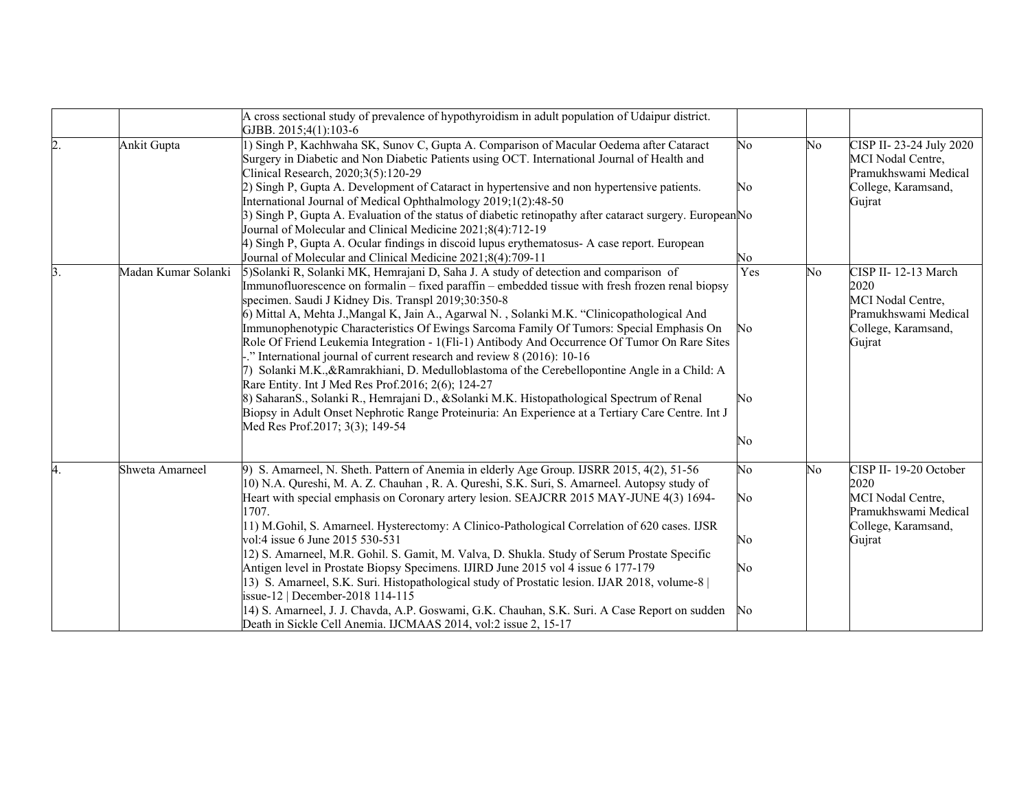|               |                     | A cross sectional study of prevalence of hypothyroidism in adult population of Udaipur district.                                                                                               |     |                |                         |
|---------------|---------------------|------------------------------------------------------------------------------------------------------------------------------------------------------------------------------------------------|-----|----------------|-------------------------|
|               |                     | GJBB. 2015;4(1):103-6                                                                                                                                                                          |     |                |                         |
| 2.            | Ankit Gupta         | 1) Singh P, Kachhwaha SK, Sunov C, Gupta A. Comparison of Macular Oedema after Cataract                                                                                                        | No  | No             | CISP II-23-24 July 2020 |
|               |                     | Surgery in Diabetic and Non Diabetic Patients using OCT. International Journal of Health and                                                                                                   |     |                | MCI Nodal Centre,       |
|               |                     | Clinical Research, 2020;3(5):120-29                                                                                                                                                            |     |                | Pramukhswami Medical    |
|               |                     | 2) Singh P, Gupta A. Development of Cataract in hypertensive and non hypertensive patients.<br>International Journal of Medical Ophthalmology 2019;1(2):48-50                                  | No  |                | College, Karamsand,     |
|               |                     | 3) Singh P, Gupta A. Evaluation of the status of diabetic retinopathy after cataract surgery. European No                                                                                      |     |                | Gujrat                  |
|               |                     | Journal of Molecular and Clinical Medicine 2021;8(4):712-19                                                                                                                                    |     |                |                         |
|               |                     | 4) Singh P, Gupta A. Ocular findings in discoid lupus erythematosus- A case report. European                                                                                                   |     |                |                         |
|               |                     | Journal of Molecular and Clinical Medicine 2021;8(4):709-11                                                                                                                                    | No  |                |                         |
| <sup>3.</sup> | Madan Kumar Solanki | 5) Solanki R, Solanki MK, Hemrajani D, Saha J. A study of detection and comparison of                                                                                                          | Yes | No             | CISP II-12-13 March     |
|               |                     | Immunofluorescence on formal in $-$ fixed paraffin – embedded tissue with fresh frozen renal biopsy                                                                                            |     |                | 2020                    |
|               |                     | specimen. Saudi J Kidney Dis. Transpl 2019;30:350-8                                                                                                                                            |     |                | MCI Nodal Centre,       |
|               |                     | 6) Mittal A, Mehta J., Mangal K, Jain A., Agarwal N., Solanki M.K. "Clinicopathological And                                                                                                    |     |                | Pramukhswami Medical    |
|               |                     | Immunophenotypic Characteristics Of Ewings Sarcoma Family Of Tumors: Special Emphasis On                                                                                                       | No  |                | College, Karamsand,     |
|               |                     | Role Of Friend Leukemia Integration - 1(Fli-1) Antibody And Occurrence Of Tumor On Rare Sites                                                                                                  |     |                | Gujrat                  |
|               |                     | -." International journal of current research and review 8 (2016): 10-16                                                                                                                       |     |                |                         |
|               |                     | 7) Solanki M.K., & Ramrakhiani, D. Medulloblastoma of the Cerebellopontine Angle in a Child: A                                                                                                 |     |                |                         |
|               |                     | Rare Entity. Int J Med Res Prof.2016; 2(6); 124-27                                                                                                                                             |     |                |                         |
|               |                     | 8) SaharanS., Solanki R., Hemrajani D., &Solanki M.K. Histopathological Spectrum of Renal<br>Biopsy in Adult Onset Nephrotic Range Proteinuria: An Experience at a Tertiary Care Centre. Int J | No  |                |                         |
|               |                     | Med Res Prof.2017; 3(3); 149-54                                                                                                                                                                |     |                |                         |
|               |                     |                                                                                                                                                                                                | No  |                |                         |
|               |                     |                                                                                                                                                                                                |     |                |                         |
| 4.            | Shweta Amarneel     | 9) S. Amarneel, N. Sheth. Pattern of Anemia in elderly Age Group. IJSRR 2015, 4(2), 51-56                                                                                                      | No  | N <sub>0</sub> | CISP II-19-20 October   |
|               |                     | 10) N.A. Qureshi, M. A. Z. Chauhan, R. A. Qureshi, S.K. Suri, S. Amarneel. Autopsy study of                                                                                                    |     |                | 2020                    |
|               |                     | Heart with special emphasis on Coronary artery lesion. SEAJCRR 2015 MAY-JUNE 4(3) 1694-                                                                                                        | No  |                | MCI Nodal Centre,       |
|               |                     | 1707.                                                                                                                                                                                          |     |                | Pramukhswami Medical    |
|               |                     | [11] M.Gohil, S. Amarneel. Hysterectomy: A Clinico-Pathological Correlation of 620 cases. IJSR                                                                                                 |     |                | College, Karamsand,     |
|               |                     | vol:4 issue 6 June 2015 530-531                                                                                                                                                                | No  |                | Gujrat                  |
|               |                     | 12) S. Amarneel, M.R. Gohil. S. Gamit, M. Valva, D. Shukla. Study of Serum Prostate Specific                                                                                                   |     |                |                         |
|               |                     | Antigen level in Prostate Biopsy Specimens. IJIRD June 2015 vol 4 issue 6 177-179<br>13) S. Amarneel, S.K. Suri. Histopathological study of Prostatic lesion. IJAR 2018, volume-8              | No  |                |                         |
|               |                     | issue-12   December-2018 114-115                                                                                                                                                               |     |                |                         |
|               |                     | [14] S. Amarneel, J. J. Chavda, A.P. Goswami, G.K. Chauhan, S.K. Suri. A Case Report on sudden                                                                                                 | No  |                |                         |
|               |                     | Death in Sickle Cell Anemia. IJCMAAS 2014, vol:2 issue 2, 15-17                                                                                                                                |     |                |                         |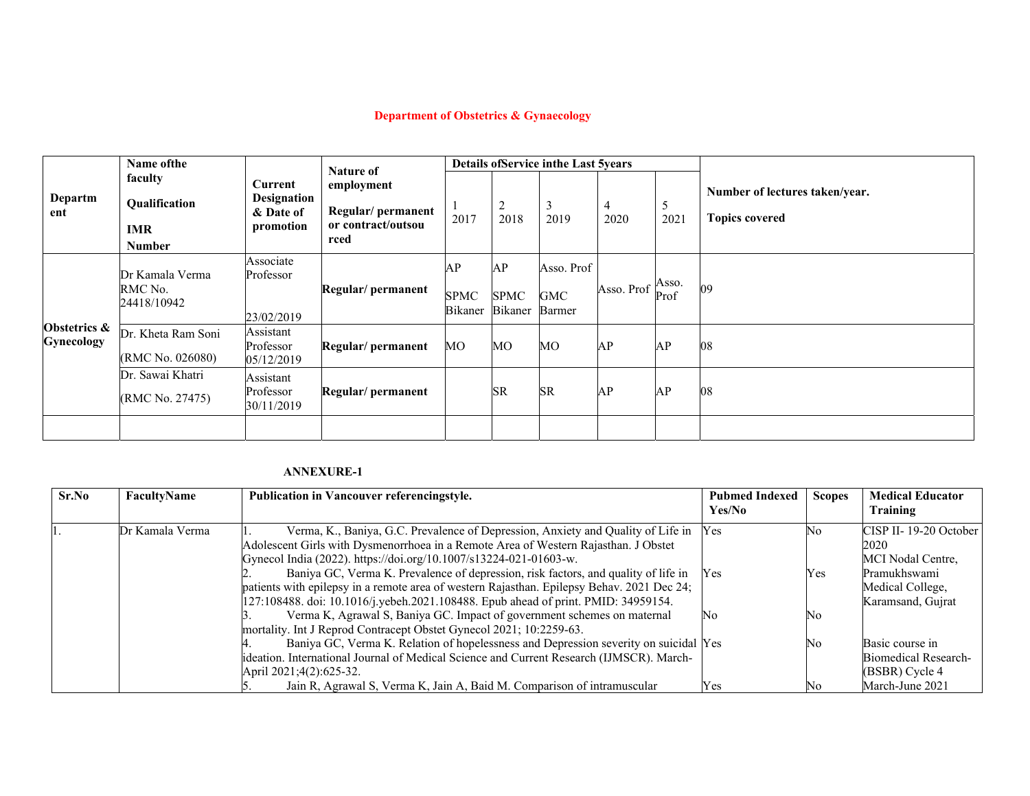# **Department of Obstetrics & Gynaecology**

|                                   | Name of the                                             |                                                                | <b>Nature of</b><br>employment<br>Regular/permanent<br>or contract/outsou<br>rced |                              |                                     | <b>Details of Service in the Last 5years</b> |            |               |                                                         |
|-----------------------------------|---------------------------------------------------------|----------------------------------------------------------------|-----------------------------------------------------------------------------------|------------------------------|-------------------------------------|----------------------------------------------|------------|---------------|---------------------------------------------------------|
| Departm<br>ent                    | faculty<br>Qualification<br><b>IMR</b><br><b>Number</b> | <b>Current</b><br><b>Designation</b><br>& Date of<br>promotion |                                                                                   | 2017                         | 2<br>2018                           | 3<br>2019                                    | 4<br>2020  | 5<br>2021     | Number of lectures taken/year.<br><b>Topics covered</b> |
|                                   | Dr Kamala Verma<br>RMC No.<br>24418/10942               | Associate<br>Professor<br>23/02/2019                           | Regular/ permanent                                                                | AP<br><b>SPMC</b><br>Bikaner | AP<br><b>SPMC</b><br><b>Bikaner</b> | Asso. Prof<br><b>GMC</b><br>Barmer           | Asso. Prof | Asso.<br>Prof | 09                                                      |
| Obstetrics &<br><b>Gynecology</b> | Dr. Kheta Ram Soni<br>(RMC No. 026080)                  | Assistant<br>Professor<br>05/12/2019                           | Regular/permanent                                                                 | МO                           | MO                                  | MO                                           | AP         | AP            | 08                                                      |
|                                   | Dr. Sawai Khatri<br>(RMC No. 27475)                     | Assistant<br>Professor<br>30/11/2019                           | Regular/permanent                                                                 |                              | <b>SR</b>                           | <b>SR</b>                                    | AP         | AP            | 08                                                      |
|                                   |                                                         |                                                                |                                                                                   |                              |                                     |                                              |            |               |                                                         |

| Sr.No | FacultyName     | <b>Publication in Vancouver referencingstyle.</b>                                          | <b>Pubmed Indexed</b><br>Yes/No | <b>Scopes</b> | <b>Medical Educator</b><br>Training |
|-------|-----------------|--------------------------------------------------------------------------------------------|---------------------------------|---------------|-------------------------------------|
|       |                 |                                                                                            |                                 |               |                                     |
|       | Dr Kamala Verma | Verma, K., Baniya, G.C. Prevalence of Depression, Anxiety and Quality of Life in Yes       |                                 | No.           | CISP II-19-20 October               |
|       |                 | Adolescent Girls with Dysmenorrhoea in a Remote Area of Western Rajasthan. J Obstet        |                                 |               | 2020                                |
|       |                 | Gynecol India (2022). https://doi.org/10.1007/s13224-021-01603-w.                          |                                 |               | MCI Nodal Centre.                   |
|       |                 | Baniya GC, Verma K. Prevalence of depression, risk factors, and quality of life in         | Yes                             | Yes           | Pramukhswami                        |
|       |                 | patients with epilepsy in a remote area of western Rajasthan. Epilepsy Behav. 2021 Dec 24; |                                 |               | Medical College,                    |
|       |                 | [127:108488. doi: 10.1016/j.yebeh.2021.108488. Epub ahead of print. PMID: 34959154.        |                                 |               | Karamsand, Gujrat                   |
|       |                 | Verma K, Agrawal S, Baniya GC. Impact of government schemes on maternal                    | No                              | No.           |                                     |
|       |                 | mortality. Int J Reprod Contracept Obstet Gynecol 2021; 10:2259-63.                        |                                 |               |                                     |
|       |                 | Baniya GC, Verma K. Relation of hopelessness and Depression severity on suicidal Yes       |                                 | No            | Basic course in                     |
|       |                 | ideation. International Journal of Medical Science and Current Research (IJMSCR). March-   |                                 |               | <b>Biomedical Research-</b>         |
|       |                 | April 2021;4(2):625-32.                                                                    |                                 |               | (BSBR) Cycle 4                      |
|       |                 | Jain R, Agrawal S, Verma K, Jain A, Baid M. Comparison of intramuscular                    | Yes                             | Nο            | March-June 2021                     |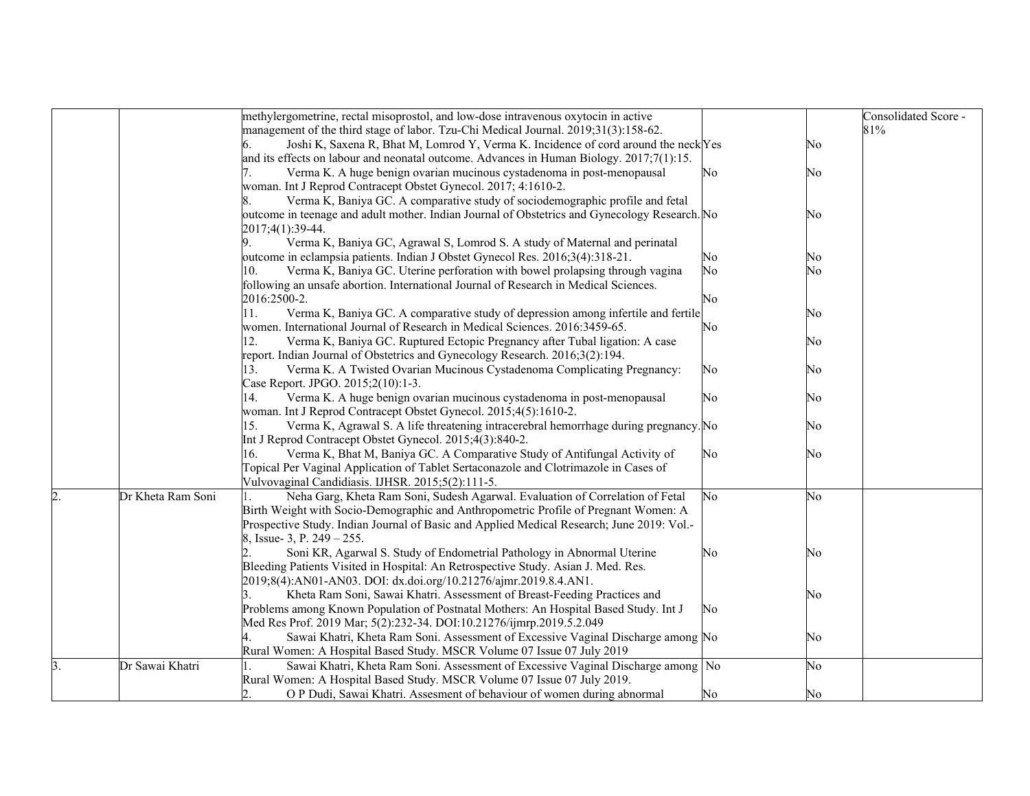|    |                   | methylergometrine, rectal misoprostol, and low-dose intravenous oxytocin in active                                |    |    | Consolidated Score - |
|----|-------------------|-------------------------------------------------------------------------------------------------------------------|----|----|----------------------|
|    |                   |                                                                                                                   |    |    | 81%                  |
|    |                   | management of the third stage of labor. Tzu-Chi Medical Journal. 2019;31(3):158-62.                               |    |    |                      |
|    |                   | Joshi K, Saxena R, Bhat M, Lomrod Y, Verma K. Incidence of cord around the neck Yes                               |    | No |                      |
|    |                   | and its effects on labour and neonatal outcome. Advances in Human Biology. $2017;7(1):15$ .                       |    |    |                      |
|    |                   | Verma K. A huge benign ovarian mucinous cystadenoma in post-menopausal                                            | No | No |                      |
|    |                   | woman. Int J Reprod Contracept Obstet Gynecol. 2017; 4:1610-2.                                                    |    |    |                      |
|    |                   | Verma K, Baniya GC. A comparative study of sociodemographic profile and fetal                                     |    |    |                      |
|    |                   | outcome in teenage and adult mother. Indian Journal of Obstetrics and Gynecology Research. No<br>2017;4(1):39-44. |    | No |                      |
|    |                   | Verma K, Baniya GC, Agrawal S, Lomrod S. A study of Maternal and perinatal<br>9.                                  |    |    |                      |
|    |                   | outcome in eclampsia patients. Indian J Obstet Gynecol Res. 2016;3(4):318-21.                                     | No | No |                      |
|    |                   | Verma K, Baniya GC. Uterine perforation with bowel prolapsing through vagina<br>10.                               | No | No |                      |
|    |                   | following an unsafe abortion. International Journal of Research in Medical Sciences.                              |    |    |                      |
|    |                   | 2016:2500-2.                                                                                                      | No |    |                      |
|    |                   | Verma K, Baniya GC. A comparative study of depression among infertile and fertile<br>1.                           |    | No |                      |
|    |                   | women. International Journal of Research in Medical Sciences. 2016:3459-65.                                       | No |    |                      |
|    |                   | Verma K, Baniya GC. Ruptured Ectopic Pregnancy after Tubal ligation: A case<br>12.                                |    | No |                      |
|    |                   | report. Indian Journal of Obstetrics and Gynecology Research. 2016;3(2):194.                                      |    |    |                      |
|    |                   | Verma K. A Twisted Ovarian Mucinous Cystadenoma Complicating Pregnancy:<br>13.                                    | No | No |                      |
|    |                   | Case Report. JPGO. 2015;2(10):1-3.                                                                                |    |    |                      |
|    |                   | Verma K. A huge benign ovarian mucinous cystadenoma in post-menopausal<br>14.                                     | No | No |                      |
|    |                   | woman. Int J Reprod Contracept Obstet Gynecol. 2015;4(5):1610-2.                                                  |    |    |                      |
|    |                   | Verma K, Agrawal S. A life threatening intracerebral hemorrhage during pregnancy. No<br>15.                       |    | No |                      |
|    |                   | Int J Reprod Contracept Obstet Gynecol. 2015;4(3):840-2.                                                          |    |    |                      |
|    |                   | Verma K, Bhat M, Baniya GC. A Comparative Study of Antifungal Activity of<br>16.                                  | No | No |                      |
|    |                   | Topical Per Vaginal Application of Tablet Sertaconazole and Clotrimazole in Cases of                              |    |    |                      |
|    |                   | Vulvovaginal Candidiasis. IJHSR. 2015;5(2):111-5.                                                                 |    |    |                      |
| 2. | Dr Kheta Ram Soni | Neha Garg, Kheta Ram Soni, Sudesh Agarwal. Evaluation of Correlation of Fetal                                     | No | No |                      |
|    |                   | Birth Weight with Socio-Demographic and Anthropometric Profile of Pregnant Women: A                               |    |    |                      |
|    |                   | Prospective Study. Indian Journal of Basic and Applied Medical Research; June 2019: Vol.-                         |    |    |                      |
|    |                   | 8, Issue- 3, P. 249 – 255.                                                                                        |    |    |                      |
|    |                   | Soni KR, Agarwal S. Study of Endometrial Pathology in Abnormal Uterine                                            | No | No |                      |
|    |                   | Bleeding Patients Visited in Hospital: An Retrospective Study. Asian J. Med. Res.                                 |    |    |                      |
|    |                   | 2019;8(4):AN01-AN03. DOI: dx.doi.org/10.21276/ajmr.2019.8.4.AN1.                                                  |    |    |                      |
|    |                   | Kheta Ram Soni, Sawai Khatri. Assessment of Breast-Feeding Practices and                                          |    | No |                      |
|    |                   | Problems among Known Population of Postnatal Mothers: An Hospital Based Study. Int J                              | No |    |                      |
|    |                   | Med Res Prof. 2019 Mar; 5(2):232-34. DOI:10.21276/ijmrp.2019.5.2.049                                              |    |    |                      |
|    |                   | Sawai Khatri, Kheta Ram Soni. Assessment of Excessive Vaginal Discharge among No                                  |    | No |                      |
|    |                   | Rural Women: A Hospital Based Study. MSCR Volume 07 Issue 07 July 2019                                            |    |    |                      |
| 3. | Dr Sawai Khatri   | Sawai Khatri, Kheta Ram Soni. Assessment of Excessive Vaginal Discharge among No                                  |    | No |                      |
|    |                   | Rural Women: A Hospital Based Study. MSCR Volume 07 Issue 07 July 2019.                                           |    |    |                      |
|    |                   | O P Dudi, Sawai Khatri. Assesment of behaviour of women during abnormal                                           | No | No |                      |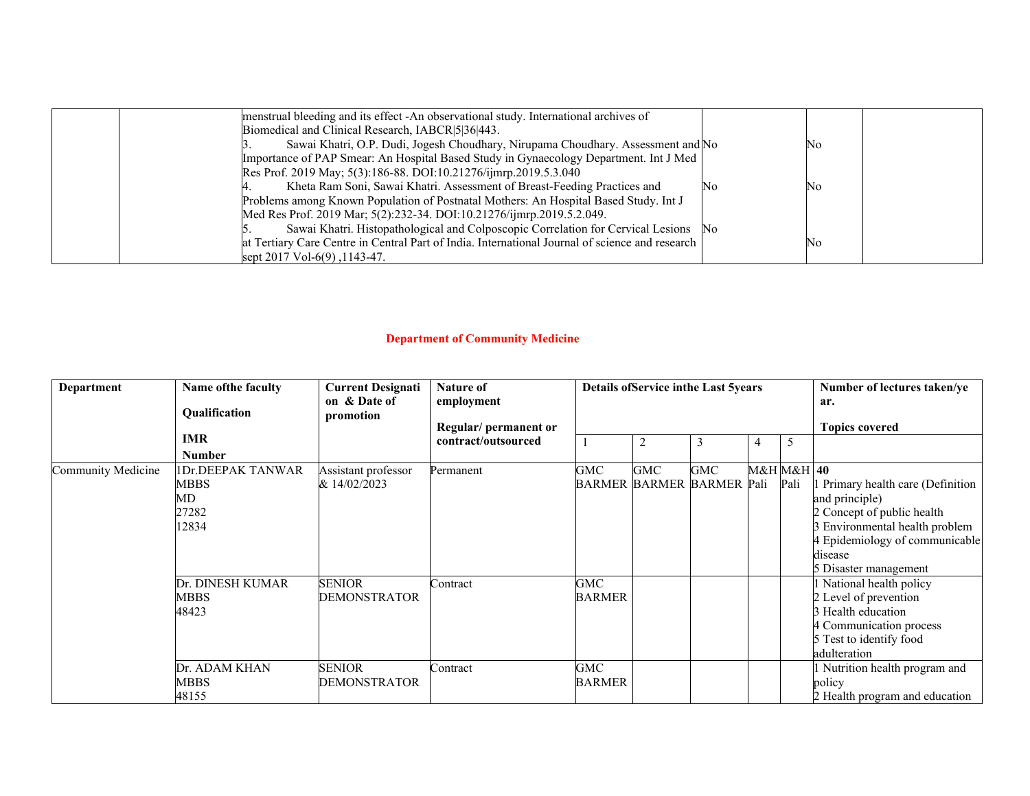| menstrual bleeding and its effect -An observational study. International archives of            |     |      |
|-------------------------------------------------------------------------------------------------|-----|------|
| Biomedical and Clinical Research, IABCR 5 36 443.                                               |     |      |
| Sawai Khatri, O.P. Dudi, Jogesh Choudhary, Nirupama Choudhary. Assessment and No                |     | IN 0 |
| Importance of PAP Smear: An Hospital Based Study in Gynaecology Department. Int J Med           |     |      |
| Res Prof. 2019 May; 5(3):186-88. DOI:10.21276/ijmrp.2019.5.3.040                                |     |      |
| Kheta Ram Soni, Sawai Khatri. Assessment of Breast-Feeding Practices and                        | INC | IN 0 |
| Problems among Known Population of Postnatal Mothers: An Hospital Based Study. Int J            |     |      |
| Med Res Prof. 2019 Mar; 5(2):232-34. DOI:10.21276/ijmrp.2019.5.2.049.                           |     |      |
| Sawai Khatri. Histopathological and Colposcopic Correlation for Cervical Lesions No             |     |      |
| at Tertiary Care Centre in Central Part of India. International Journal of science and research |     | IΝo  |
| sept 2017 Vol-6(9), 1143-47.                                                                    |     |      |

### **Department of Community Medicine**

| Department         | Name of the faculty<br>Qualification                                | <b>Current Designati</b><br>on & Date of<br>promotion          | <b>Nature of</b><br>employment<br>Regular/permanent or |                                                      | <b>Details ofService inthe Last 5years</b> |            |                    |      | Number of lectures taken/ye<br>ar.<br><b>Topics covered</b>                                                                                                                                                                 |
|--------------------|---------------------------------------------------------------------|----------------------------------------------------------------|--------------------------------------------------------|------------------------------------------------------|--------------------------------------------|------------|--------------------|------|-----------------------------------------------------------------------------------------------------------------------------------------------------------------------------------------------------------------------------|
|                    | <b>IMR</b>                                                          |                                                                | contract/outsourced                                    | 2<br>3<br>5<br>$\overline{4}$                        |                                            |            |                    |      |                                                                                                                                                                                                                             |
|                    | <b>Number</b>                                                       |                                                                |                                                        |                                                      |                                            |            |                    |      |                                                                                                                                                                                                                             |
| Community Medicine | IDr.DEEPAK TANWAR<br><b>MBBS</b><br>MD<br>27282<br>12834            | Assistant professor<br>& 14/02/2023                            | Permanent                                              | GMC                                                  | GMC<br><b>BARMER BARMER BARMER</b>         | <b>GMC</b> | M&H M&H 40<br>Pali | Pali | 1 Primary health care (Definition<br>and principle)<br>2 Concept of public health<br>3 Environmental health problem<br>4 Epidemiology of communicable<br>disease<br>5 Disaster management                                   |
|                    | Dr. DINESH KUMAR<br>MBBS<br>48423<br>Dr. ADAM KHAN<br>MBBS<br>48155 | <b>SENIOR</b><br>DEMONSTRATOR<br><b>SENIOR</b><br>DEMONSTRATOR | Contract<br>Contract                                   | <b>GMC</b><br><b>BARMER</b><br>GMC-<br><b>BARMER</b> |                                            |            |                    |      | 1 National health policy<br>2 Level of prevention<br>3 Health education<br>4 Communication process<br>5 Test to identify food<br>adulteration<br>1 Nutrition health program and<br>policy<br>2 Health program and education |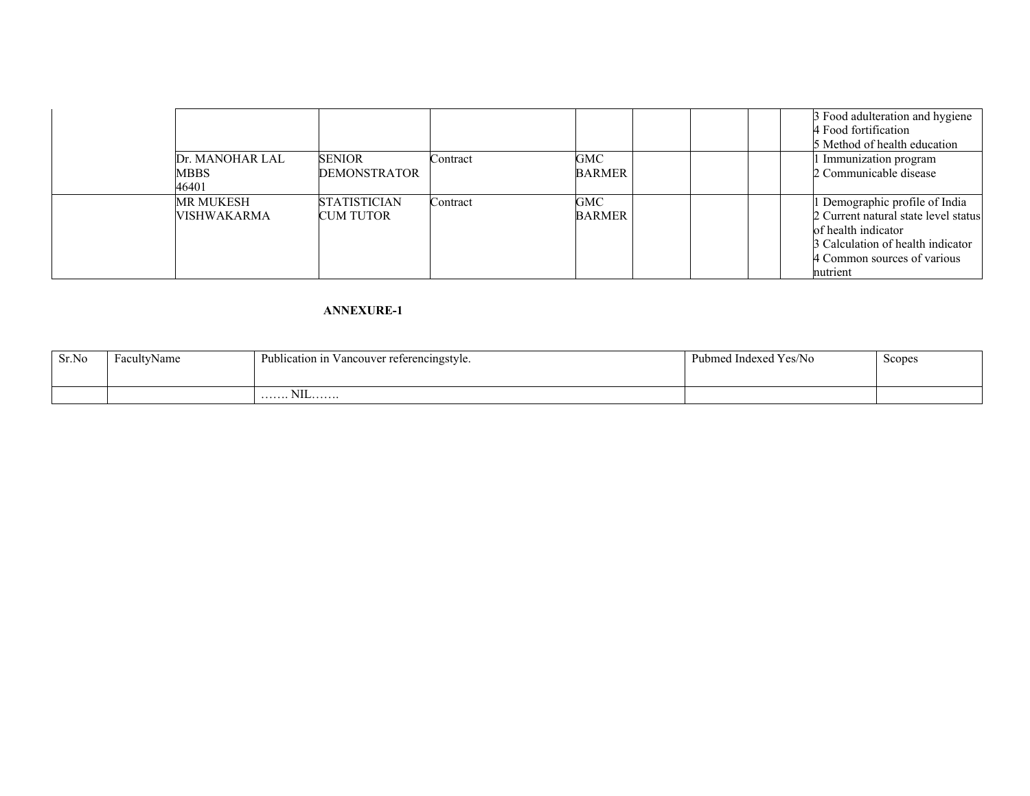|                    |                     |          |        | 3 Food adulteration and hygiene<br>4 Food fortification<br>5 Method of health education |
|--------------------|---------------------|----------|--------|-----------------------------------------------------------------------------------------|
| Dr. MANOHAR LAL    | <b>SENIOR</b>       | Contract | GMC    | Immunization program                                                                    |
| <b>MBBS</b>        | <b>DEMONSTRATOR</b> |          | BARMER | 2 Communicable disease                                                                  |
| 46401              |                     |          |        |                                                                                         |
| MR MUKESH          | <b>STATISTICIAN</b> | Contract | GMC    | 1 Demographic profile of India                                                          |
| <b>VISHWAKARMA</b> | <b>CUM TUTOR</b>    |          | BARMER | 2 Current natural state level status                                                    |
|                    |                     |          |        | of health indicator                                                                     |
|                    |                     |          |        | 3 Calculation of health indicator                                                       |
|                    |                     |          |        | 4 Common sources of various                                                             |
|                    |                     |          |        | nutrient                                                                                |

| Sr.No | FacultyName | $\rightarrow$<br>Publication in Vancouver referencingstyle. | Pubmed Indexed Yes/No | Scopes |
|-------|-------------|-------------------------------------------------------------|-----------------------|--------|
|       |             |                                                             |                       |        |
|       |             | <b>NII</b><br>. 1 <b>\11_</b> __________                    |                       |        |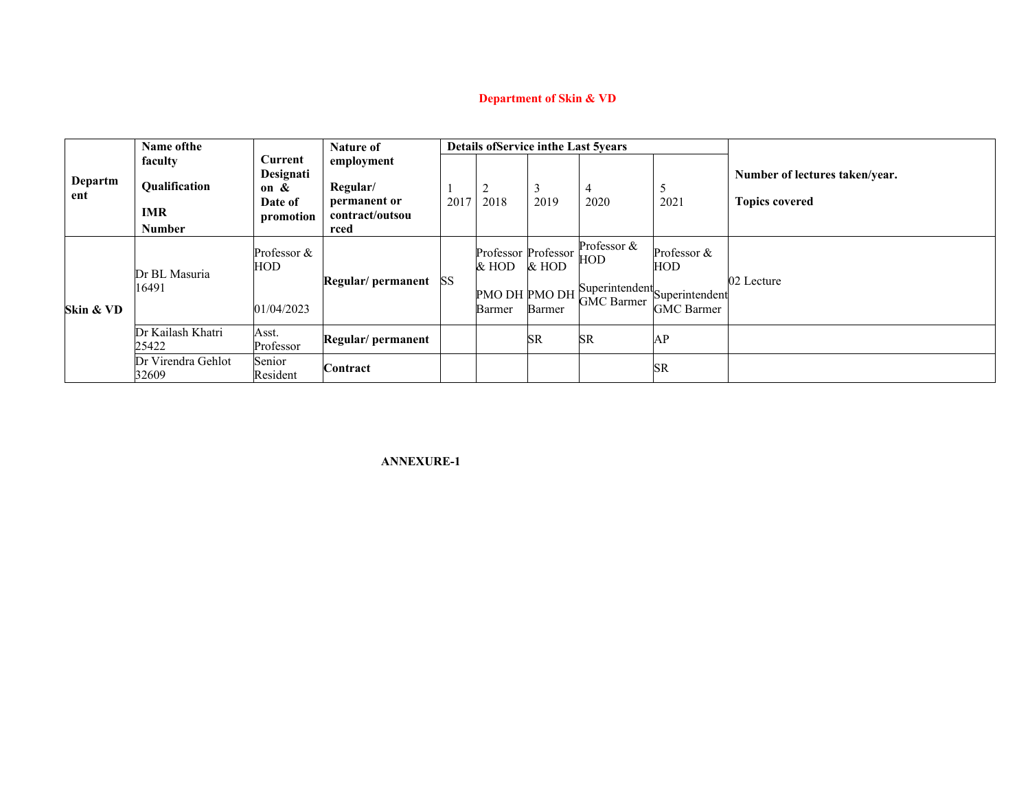# **Department of Skin & VD**

|           | Name of the                 |                      | <b>Nature of</b>         |      |                              |           | <b>Details ofService inthe Last 5years</b> |                                                                         |                                |
|-----------|-----------------------------|----------------------|--------------------------|------|------------------------------|-----------|--------------------------------------------|-------------------------------------------------------------------------|--------------------------------|
|           | faculty                     | Current              | employment               |      |                              |           |                                            |                                                                         |                                |
| Departm   | Qualification               | Designati            |                          |      |                              |           |                                            |                                                                         | Number of lectures taken/year. |
| ent       |                             | on $\&$              | Regular/<br>permanent or |      | ∠                            |           | $\overline{4}$                             |                                                                         | <b>Topics covered</b>          |
|           | <b>IMR</b>                  | Date of<br>promotion | contract/outsou          | 2017 | 2018                         | 2019      | 2020                                       | 2021                                                                    |                                |
|           | <b>Number</b>               |                      | rced                     |      |                              |           |                                            |                                                                         |                                |
| Skin & VD | Dr BL Masuria<br>16491      | Professor &<br>HOD   | Regular/permanent SS     |      | Professor Professor<br>& HOD | & HOD     | Professor &<br>HOD                         | Professor &<br>HOD                                                      |                                |
|           |                             | 01/04/2023           |                          |      | PMO DH PMO DH<br>Barmer      | Barmer    | <b>GMC Barmer</b>                          | $\frac{1}{\sqrt{2}}$ Superintendent Superintendent<br><b>GMC</b> Barmer | 02 Lecture                     |
|           | Dr Kailash Khatri<br>25422  | Asst.<br>Professor   | Regular/ permanent       |      |                              | <b>SR</b> | <b>SR</b>                                  | AP                                                                      |                                |
|           | Dr Virendra Gehlot<br>32609 | Senior<br>Resident   | Contract                 |      |                              |           |                                            | <b>SR</b>                                                               |                                |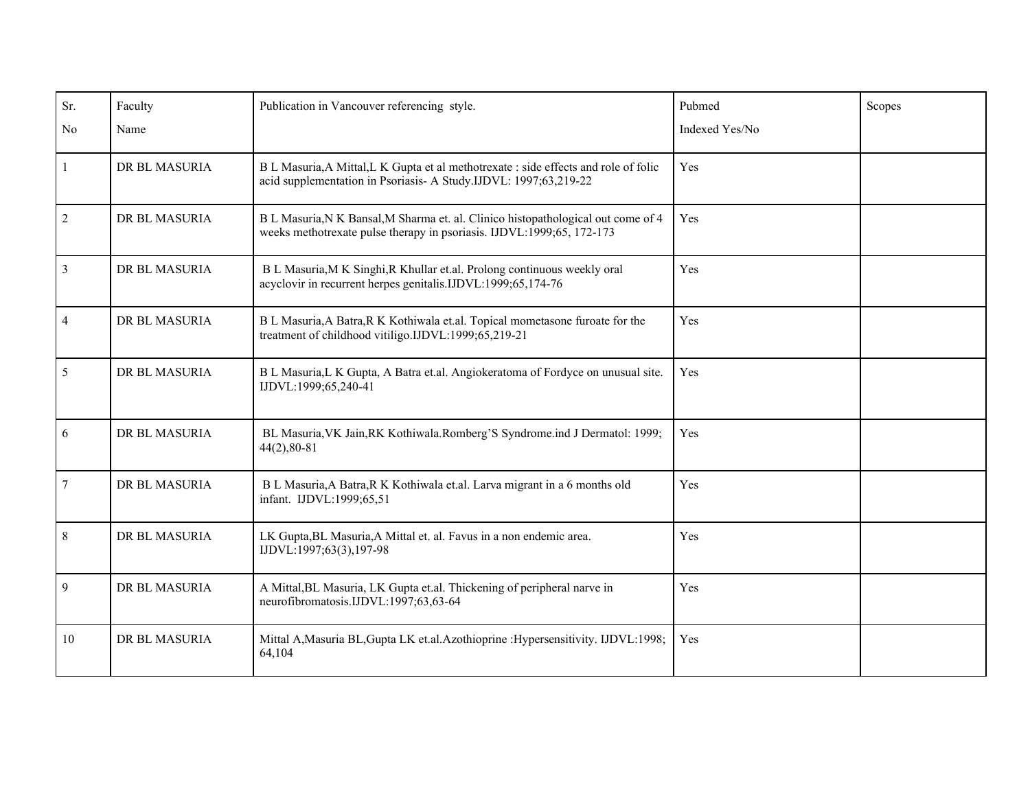| Sr.              | Faculty       | Publication in Vancouver referencing style.                                                                                                                | Pubmed         | Scopes |
|------------------|---------------|------------------------------------------------------------------------------------------------------------------------------------------------------------|----------------|--------|
| No               | Name          |                                                                                                                                                            | Indexed Yes/No |        |
| $\mathbf{1}$     | DR BL MASURIA | B L Masuria, A Mittal, L K Gupta et al methotrexate : side effects and role of folic<br>acid supplementation in Psoriasis- A Study.IJDVL: 1997;63,219-22   | Yes            |        |
| $\sqrt{2}$       | DR BL MASURIA | B L Masuria, N K Bansal, M Sharma et. al. Clinico histopathological out come of 4<br>weeks methotrexate pulse therapy in psoriasis. IJDVL:1999;65, 172-173 | Yes            |        |
| $\overline{3}$   | DR BL MASURIA | B L Masuria, M K Singhi, R Khullar et.al. Prolong continuous weekly oral<br>acyclovir in recurrent herpes genitalis.IJDVL:1999;65,174-76                   | Yes            |        |
| $\overline{4}$   | DR BL MASURIA | B L Masuria, A Batra, R K Kothiwala et.al. Topical mometasone furoate for the<br>treatment of childhood vitiligo.IJDVL:1999;65,219-21                      | Yes            |        |
| $\mathfrak{S}$   | DR BL MASURIA | B L Masuria, L K Gupta, A Batra et.al. Angiokeratoma of Fordyce on unusual site.<br>IJDVL:1999;65,240-41                                                   | Yes            |        |
| 6                | DR BL MASURIA | BL Masuria, VK Jain, RK Kothiwala.Romberg'S Syndrome.ind J Dermatol: 1999;<br>$44(2), 80-81$                                                               | Yes            |        |
| $\boldsymbol{7}$ | DR BL MASURIA | B L Masuria, A Batra, R K Kothiwala et.al. Larva migrant in a 6 months old<br>infant. IJDVL:1999;65,51                                                     | Yes            |        |
| $8\,$            | DR BL MASURIA | LK Gupta, BL Masuria, A Mittal et. al. Favus in a non endemic area.<br>IJDVL:1997;63(3),197-98                                                             | Yes            |        |
| 9                | DR BL MASURIA | A Mittal, BL Masuria, LK Gupta et.al. Thickening of peripheral narve in<br>neurofibromatosis.IJDVL:1997;63,63-64                                           | Yes            |        |
| 10               | DR BL MASURIA | Mittal A, Masuria BL, Gupta LK et.al. Azothioprine : Hypersensitivity. IJDVL:1998;<br>64,104                                                               | Yes            |        |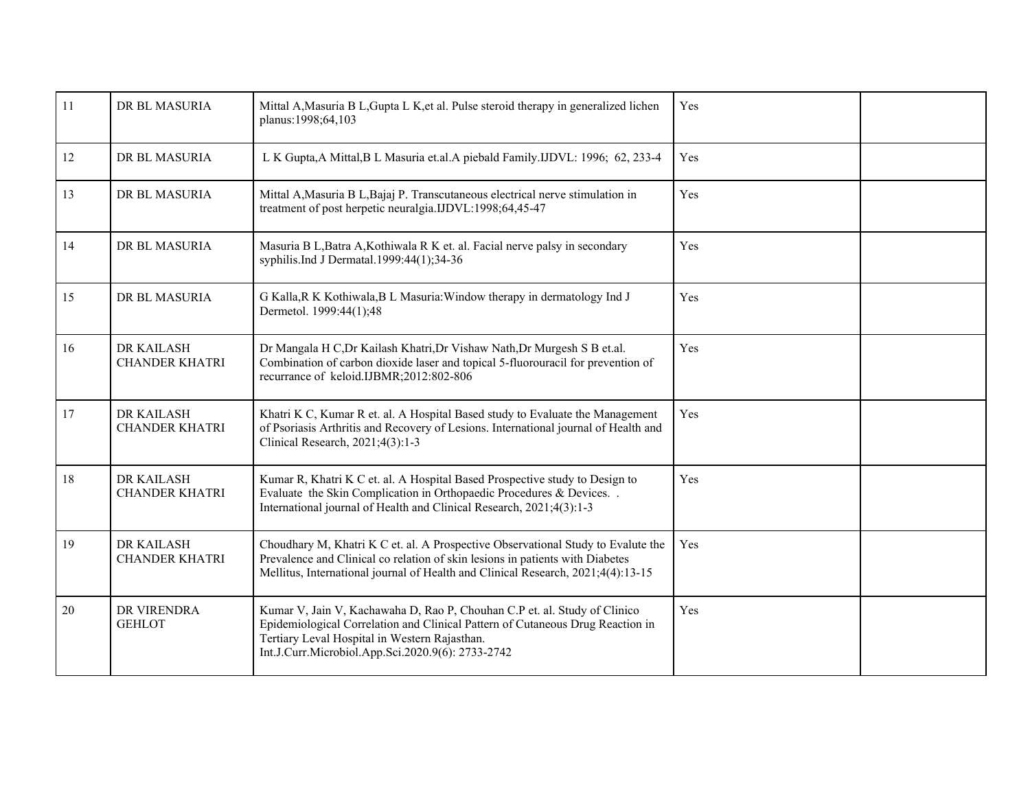| 11 | DR BL MASURIA                       | Mittal A, Masuria B L, Gupta L K, et al. Pulse steroid therapy in generalized lichen<br>planus:1998;64,103                                                                                                                                                        | Yes |  |
|----|-------------------------------------|-------------------------------------------------------------------------------------------------------------------------------------------------------------------------------------------------------------------------------------------------------------------|-----|--|
| 12 | DR BL MASURIA                       | L K Gupta, A Mittal, B L Masuria et.al. A piebald Family. IJDVL: 1996; 62, 233-4                                                                                                                                                                                  | Yes |  |
| 13 | DR BL MASURIA                       | Mittal A, Masuria B L, Bajaj P. Transcutaneous electrical nerve stimulation in<br>treatment of post herpetic neuralgia.IJDVL:1998;64,45-47                                                                                                                        | Yes |  |
| 14 | DR BL MASURIA                       | Masuria B L, Batra A, Kothiwala R K et. al. Facial nerve palsy in secondary<br>syphilis.Ind J Dermatal.1999:44(1);34-36                                                                                                                                           | Yes |  |
| 15 | DR BL MASURIA                       | G Kalla, R K Kothiwala, B L Masuria: Window therapy in dermatology Ind J<br>Dermetol. 1999:44(1);48                                                                                                                                                               | Yes |  |
| 16 | DR KAILASH<br><b>CHANDER KHATRI</b> | Dr Mangala H C, Dr Kailash Khatri, Dr Vishaw Nath, Dr Murgesh S B et.al.<br>Combination of carbon dioxide laser and topical 5-fluorouracil for prevention of<br>recurrance of keloid.IJBMR;2012:802-806                                                           | Yes |  |
| 17 | DR KAILASH<br><b>CHANDER KHATRI</b> | Khatri K C, Kumar R et. al. A Hospital Based study to Evaluate the Management<br>of Psoriasis Arthritis and Recovery of Lesions. International journal of Health and<br>Clinical Research, 2021;4(3):1-3                                                          | Yes |  |
| 18 | DR KAILASH<br><b>CHANDER KHATRI</b> | Kumar R, Khatri K C et. al. A Hospital Based Prospective study to Design to<br>Evaluate the Skin Complication in Orthopaedic Procedures & Devices. .<br>International journal of Health and Clinical Research, 2021;4(3):1-3                                      | Yes |  |
| 19 | DR KAILASH<br>CHANDER KHATRI        | Choudhary M, Khatri K C et. al. A Prospective Observational Study to Evalute the<br>Prevalence and Clinical co relation of skin lesions in patients with Diabetes<br>Mellitus, International journal of Health and Clinical Research, 2021;4(4):13-15             | Yes |  |
| 20 | DR VIRENDRA<br><b>GEHLOT</b>        | Kumar V, Jain V, Kachawaha D, Rao P, Chouhan C.P et. al. Study of Clinico<br>Epidemiological Correlation and Clinical Pattern of Cutaneous Drug Reaction in<br>Tertiary Leval Hospital in Western Rajasthan.<br>Int.J.Curr.Microbiol.App.Sci.2020.9(6): 2733-2742 | Yes |  |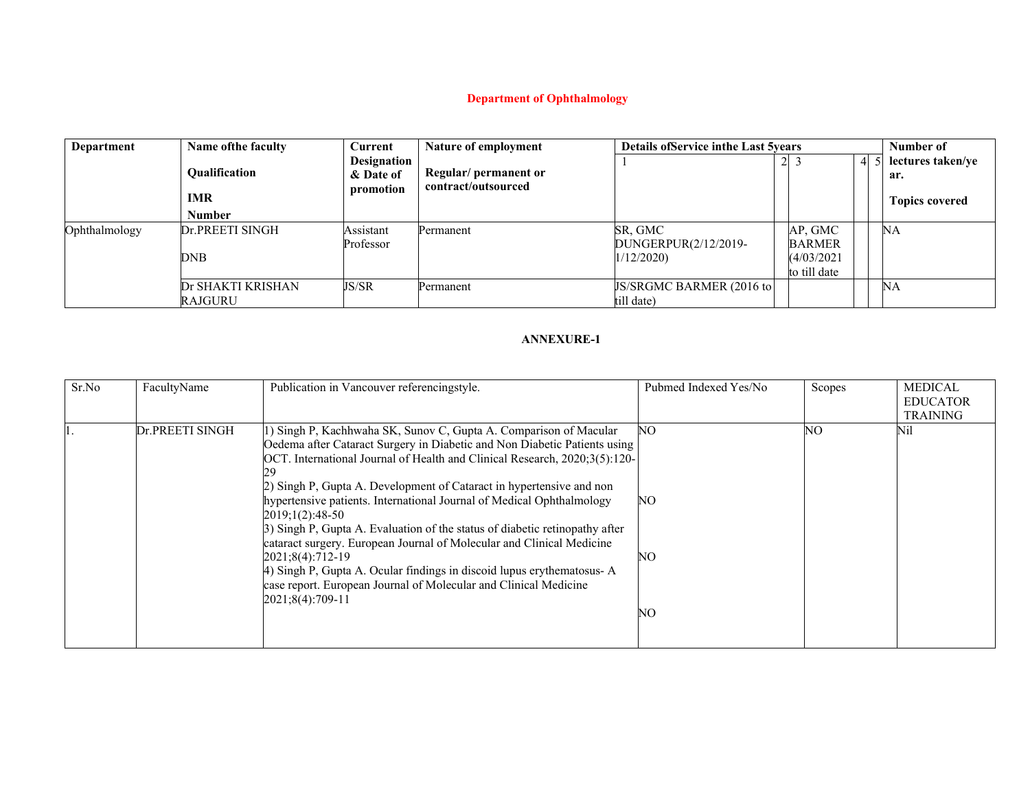# **Department of Ophthalmology**

| Department    | Name of the faculty                                 | <b>Current</b>                               | Nature of employment                         |                                              | <b>Details of Service in the Last 5 years</b> |                                                        |    |                                                   |
|---------------|-----------------------------------------------------|----------------------------------------------|----------------------------------------------|----------------------------------------------|-----------------------------------------------|--------------------------------------------------------|----|---------------------------------------------------|
|               | <b>Oualification</b><br><b>IMR</b><br><b>Number</b> | <b>Designation</b><br>& Date of<br>promotion | Regular/ permanent or<br>contract/outsourced |                                              | $\overline{2}$                                |                                                        | 41 | lectures taken/ye<br>ar.<br><b>Topics covered</b> |
|               |                                                     |                                              |                                              |                                              |                                               |                                                        |    |                                                   |
| Ophthalmology | Dr.PREETI SINGH<br>DNB                              | Assistant<br>Professor                       | Permanent                                    | SR, GMC<br>DUNGERPUR(2/12/2019-<br>1/12/2020 |                                               | AP, GMC<br><b>BARMER</b><br>(4/03/2021<br>to till date |    | NΑ                                                |
|               | Dr SHAKTI KRISHAN<br>RAJGURU                        | JS/SR                                        | Permanent                                    | JS/SRGMC BARMER (2016 to<br>till date)       |                                               |                                                        |    | NА                                                |

| Sr.No | FacultyName     | Publication in Vancouver referencingstyle.                                                                                                                                                                                                                                                                                                                                                                                                                                                                                                                                                                                                                                                                                                    | Pubmed Indexed Yes/No | Scopes | <b>MEDICAL</b><br><b>EDUCATOR</b><br><b>TRAINING</b> |
|-------|-----------------|-----------------------------------------------------------------------------------------------------------------------------------------------------------------------------------------------------------------------------------------------------------------------------------------------------------------------------------------------------------------------------------------------------------------------------------------------------------------------------------------------------------------------------------------------------------------------------------------------------------------------------------------------------------------------------------------------------------------------------------------------|-----------------------|--------|------------------------------------------------------|
|       | Dr.PREETI SINGH | 1) Singh P, Kachhwaha SK, Sunov C, Gupta A. Comparison of Macular<br>Oedema after Cataract Surgery in Diabetic and Non Diabetic Patients using<br>OCT. International Journal of Health and Clinical Research, 2020;3(5):120-<br>2) Singh P, Gupta A. Development of Cataract in hypertensive and non<br>hypertensive patients. International Journal of Medical Ophthalmology<br>2019;1(2):48-50<br>3) Singh P, Gupta A. Evaluation of the status of diabetic retinopathy after<br>cataract surgery. European Journal of Molecular and Clinical Medicine<br>2021;8(4):712-19<br>4) Singh P, Gupta A. Ocular findings in discoid lupus erythematosus-A<br>case report. European Journal of Molecular and Clinical Medicine<br>2021;8(4):709-11 | NΟ<br>NO<br>NO<br>NΟ  | NΟ     | Nil                                                  |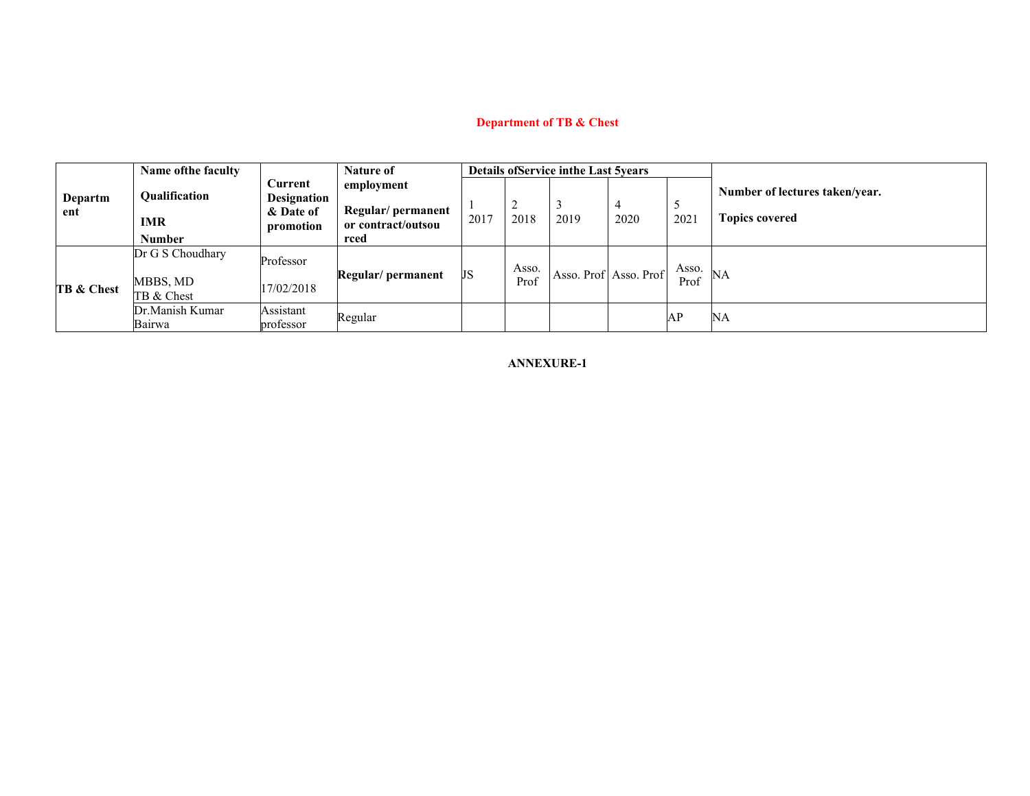# **Department of TB & Chest**

|                |                           | Name of the faculty                          | <b>Nature of</b>                                        |                                                               |      |               | <b>Details of Service in the Last 5years</b> |                       |                  |                                                         |  |
|----------------|---------------------------|----------------------------------------------|---------------------------------------------------------|---------------------------------------------------------------|------|---------------|----------------------------------------------|-----------------------|------------------|---------------------------------------------------------|--|
| Departm<br>ent |                           | <b>Oualification</b><br>IMR<br><b>Number</b> | Current<br><b>Designation</b><br>& Date of<br>promotion | employment<br>Regular/permanent<br>or contract/outsou<br>rced | 2017 | 2018          | 2019                                         | 2020                  | <u>ب</u><br>2021 | Number of lectures taken/year.<br><b>Topics covered</b> |  |
|                | <b>TB &amp; Chest</b>     | Dr G S Choudhary<br>MBBS, MD<br>TB & Chest   | Professor<br>17/02/2018                                 | Regular/ permanent                                            | JS   | Asso.<br>Prof |                                              | Asso. Prof Asso. Prof | Asso.<br>Prof    | NA                                                      |  |
|                | Dr.Manish Kumar<br>Bairwa | Assistant<br>professor                       | Regular                                                 |                                                               |      |               |                                              | AP                    | NA               |                                                         |  |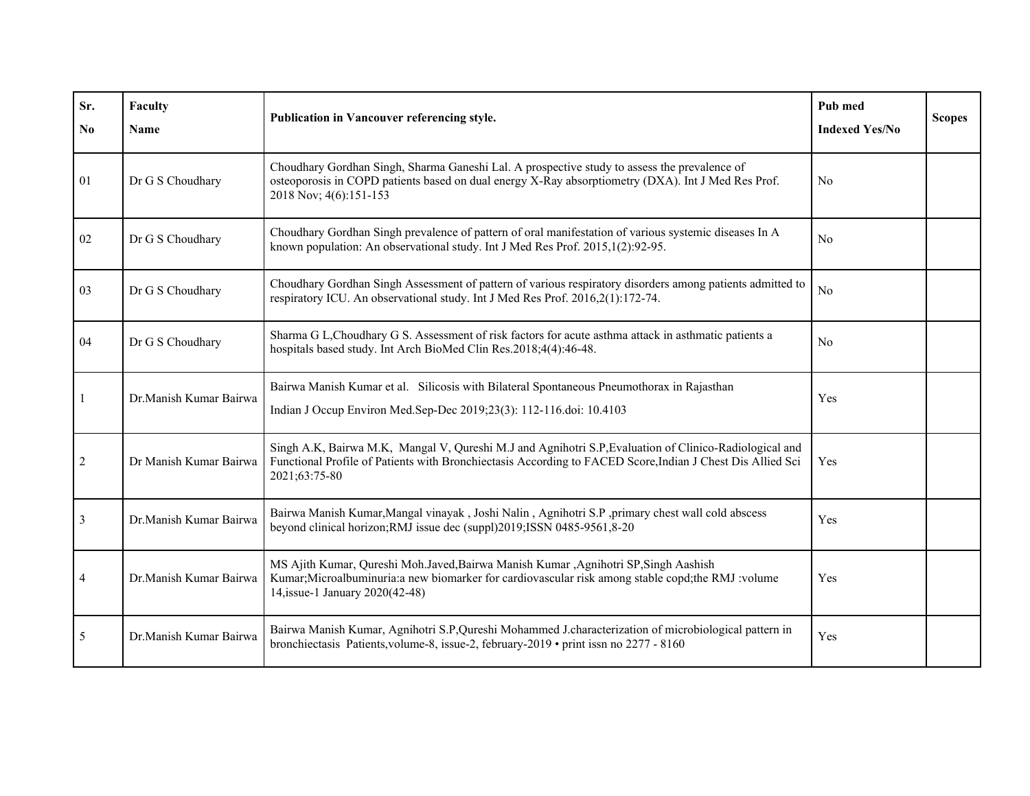| Sr.<br>N <sub>0</sub> | Faculty<br>Name        | Publication in Vancouver referencing style.                                                                                                                                                                                           | Pub med<br><b>Indexed Yes/No</b> | <b>Scopes</b> |
|-----------------------|------------------------|---------------------------------------------------------------------------------------------------------------------------------------------------------------------------------------------------------------------------------------|----------------------------------|---------------|
| 01                    | Dr G S Choudhary       | Choudhary Gordhan Singh, Sharma Ganeshi Lal. A prospective study to assess the prevalence of<br>osteoporosis in COPD patients based on dual energy X-Ray absorptiometry (DXA). Int J Med Res Prof.<br>2018 Nov; 4(6):151-153          | N <sub>o</sub>                   |               |
| 02                    | Dr G S Choudhary       | Choudhary Gordhan Singh prevalence of pattern of oral manifestation of various systemic diseases In A<br>known population: An observational study. Int J Med Res Prof. 2015,1(2):92-95.                                               | No                               |               |
| 03                    | Dr G S Choudhary       | Choudhary Gordhan Singh Assessment of pattern of various respiratory disorders among patients admitted to<br>respiratory ICU. An observational study. Int J Med Res Prof. 2016,2(1):172-74.                                           | N <sub>o</sub>                   |               |
| 04                    | Dr G S Choudhary       | Sharma G L, Choudhary G S. Assessment of risk factors for acute asthma attack in asthmatic patients a<br>hospitals based study. Int Arch BioMed Clin Res.2018;4(4):46-48.                                                             | No                               |               |
|                       | Dr.Manish Kumar Bairwa | Bairwa Manish Kumar et al. Silicosis with Bilateral Spontaneous Pneumothorax in Rajasthan<br>Indian J Occup Environ Med.Sep-Dec 2019;23(3): 112-116.doi: 10.4103                                                                      | Yes                              |               |
| 2                     | Dr Manish Kumar Bairwa | Singh A.K, Bairwa M.K, Mangal V, Qureshi M.J and Agnihotri S.P, Evaluation of Clinico-Radiological and<br>Functional Profile of Patients with Bronchiectasis According to FACED Score, Indian J Chest Dis Allied Sci<br>2021;63:75-80 | Yes                              |               |
| 3                     | Dr.Manish Kumar Bairwa | Bairwa Manish Kumar, Mangal vinayak, Joshi Nalin, Agnihotri S.P, primary chest wall cold abscess<br>beyond clinical horizon; RMJ issue dec (suppl)2019; ISSN 0485-9561, 8-20                                                          | Yes                              |               |
| 4                     | Dr.Manish Kumar Bairwa | MS Ajith Kumar, Qureshi Moh.Javed, Bairwa Manish Kumar, Agnihotri SP, Singh Aashish<br>Kumar; Microalbuminuria: a new biomarker for cardiovascular risk among stable copd; the RMJ : volume<br>14, issue-1 January 2020(42-48)        | Yes                              |               |
| 5                     | Dr.Manish Kumar Bairwa | Bairwa Manish Kumar, Agnihotri S.P, Qureshi Mohammed J.characterization of microbiological pattern in<br>bronchiectasis Patients, volume-8, issue-2, february-2019 • print issn no 2277 - 8160                                        | Yes                              |               |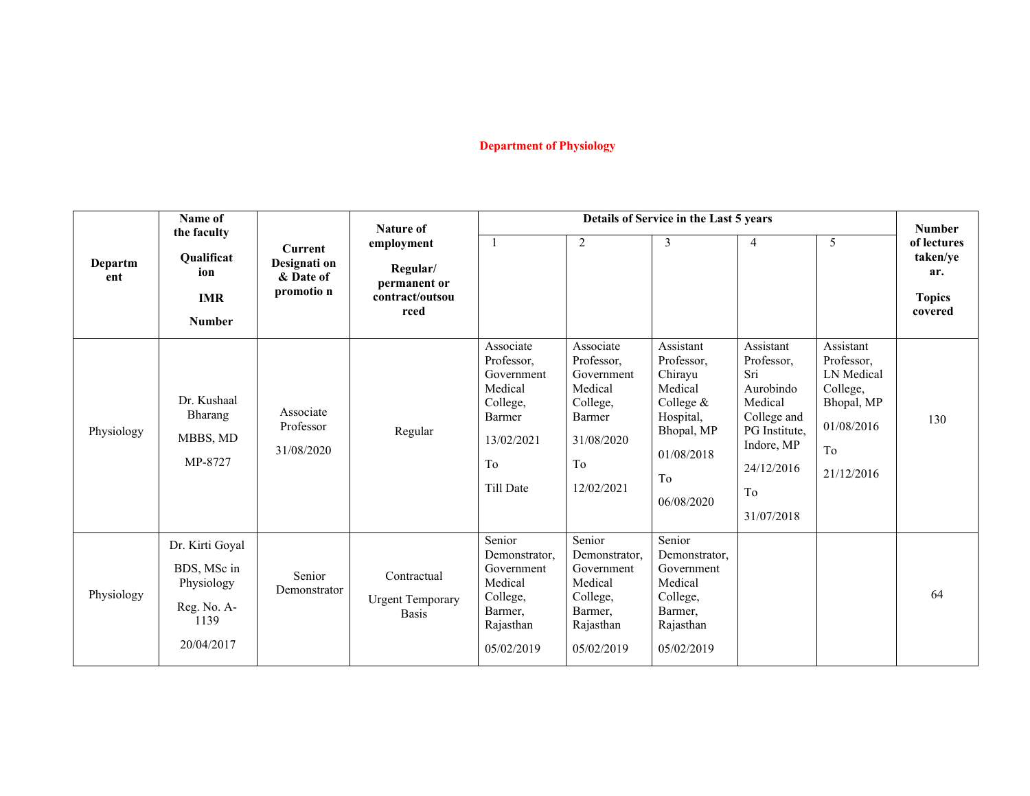# **Department of Physiology**

|                | Name of<br>the faculty                                                            |                                                           | <b>Nature of</b><br>employment<br>Regular/<br>permanent or<br>contract/outsou<br>rced | Details of Service in the Last 5 years                                                                  |                                                                                                          |                                                                                                                         |                                                                                                                                        |                                                                                                   | <b>Number</b>                                              |
|----------------|-----------------------------------------------------------------------------------|-----------------------------------------------------------|---------------------------------------------------------------------------------------|---------------------------------------------------------------------------------------------------------|----------------------------------------------------------------------------------------------------------|-------------------------------------------------------------------------------------------------------------------------|----------------------------------------------------------------------------------------------------------------------------------------|---------------------------------------------------------------------------------------------------|------------------------------------------------------------|
| Departm<br>ent | Qualificat<br>ion<br><b>IMR</b><br><b>Number</b>                                  | <b>Current</b><br>Designati on<br>& Date of<br>promotio n |                                                                                       | $\overline{1}$                                                                                          | $\sqrt{2}$                                                                                               | 3                                                                                                                       | $\overline{4}$                                                                                                                         | 5                                                                                                 | of lectures<br>taken/ye<br>ar.<br><b>Topics</b><br>covered |
| Physiology     | Dr. Kushaal<br>Bharang<br>MBBS, MD<br>MP-8727                                     | Associate<br>Professor<br>31/08/2020                      | Regular                                                                               | Associate<br>Professor,<br>Government<br>Medical<br>College,<br>Barmer<br>13/02/2021<br>To<br>Till Date | Associate<br>Professor,<br>Government<br>Medical<br>College,<br>Barmer<br>31/08/2020<br>To<br>12/02/2021 | Assistant<br>Professor,<br>Chirayu<br>Medical<br>College &<br>Hospital,<br>Bhopal, MP<br>01/08/2018<br>To<br>06/08/2020 | Assistant<br>Professor,<br>Sri<br>Aurobindo<br>Medical<br>College and<br>PG Institute,<br>Indore, MP<br>24/12/2016<br>To<br>31/07/2018 | Assistant<br>Professor,<br>LN Medical<br>College,<br>Bhopal, MP<br>01/08/2016<br>To<br>21/12/2016 | 130                                                        |
| Physiology     | Dr. Kirti Goyal<br>BDS, MSc in<br>Physiology<br>Reg. No. A-<br>1139<br>20/04/2017 | Senior<br>Demonstrator                                    | Contractual<br><b>Urgent Temporary</b><br><b>Basis</b>                                | Senior<br>Demonstrator,<br>Government<br>Medical<br>College,<br>Barmer,<br>Rajasthan<br>05/02/2019      | Senior<br>Demonstrator,<br>Government<br>Medical<br>College,<br>Barmer,<br>Rajasthan<br>05/02/2019       | Senior<br>Demonstrator,<br>Government<br>Medical<br>College,<br>Barmer,<br>Rajasthan<br>05/02/2019                      |                                                                                                                                        |                                                                                                   | 64                                                         |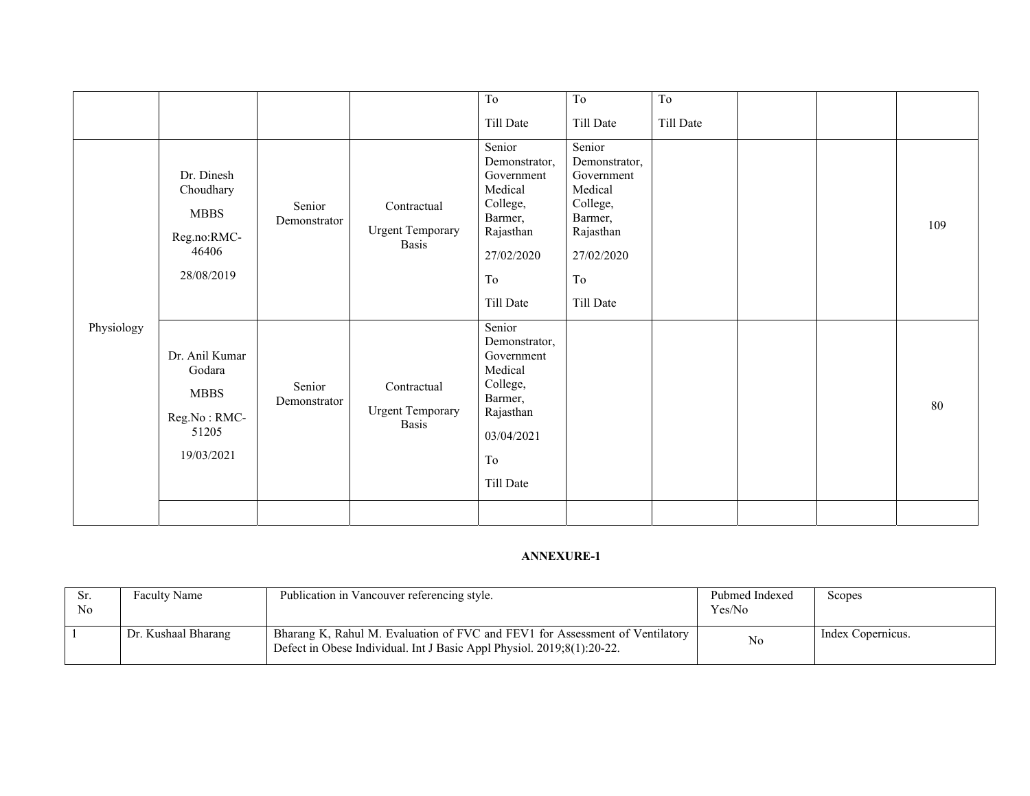|            |                                                                                |                        |                                                        | To                                                                                                                    | To                                                                                                                    | T <sub>o</sub> |  |     |
|------------|--------------------------------------------------------------------------------|------------------------|--------------------------------------------------------|-----------------------------------------------------------------------------------------------------------------------|-----------------------------------------------------------------------------------------------------------------------|----------------|--|-----|
|            |                                                                                |                        |                                                        | Till Date                                                                                                             | Till Date                                                                                                             | Till Date      |  |     |
|            | Dr. Dinesh<br>Choudhary<br><b>MBBS</b><br>Reg.no:RMC-<br>46406<br>28/08/2019   | Senior<br>Demonstrator | Contractual<br><b>Urgent Temporary</b><br><b>Basis</b> | Senior<br>Demonstrator,<br>Government<br>Medical<br>College,<br>Barmer,<br>Rajasthan<br>27/02/2020<br>To<br>Till Date | Senior<br>Demonstrator,<br>Government<br>Medical<br>College,<br>Barmer,<br>Rajasthan<br>27/02/2020<br>To<br>Till Date |                |  | 109 |
| Physiology | Dr. Anil Kumar<br>Godara<br><b>MBBS</b><br>Reg.No: RMC-<br>51205<br>19/03/2021 | Senior<br>Demonstrator | Contractual<br><b>Urgent Temporary</b><br><b>Basis</b> | Senior<br>Demonstrator,<br>Government<br>Medical<br>College,<br>Barmer,<br>Rajasthan<br>03/04/2021<br>To<br>Till Date |                                                                                                                       |                |  | 80  |
|            |                                                                                |                        |                                                        |                                                                                                                       |                                                                                                                       |                |  |     |

| Sr.<br>No | <b>Faculty Name</b> | Publication in Vancouver referencing style.                                                                                                            | Pubmed Indexed<br>Yes/No | Scopes            |
|-----------|---------------------|--------------------------------------------------------------------------------------------------------------------------------------------------------|--------------------------|-------------------|
|           | Dr. Kushaal Bharang | Bharang K, Rahul M. Evaluation of FVC and FEV1 for Assessment of Ventilatory<br>Defect in Obese Individual. Int J Basic Appl Physiol. 2019;8(1):20-22. | N <sub>o</sub>           | Index Copernicus. |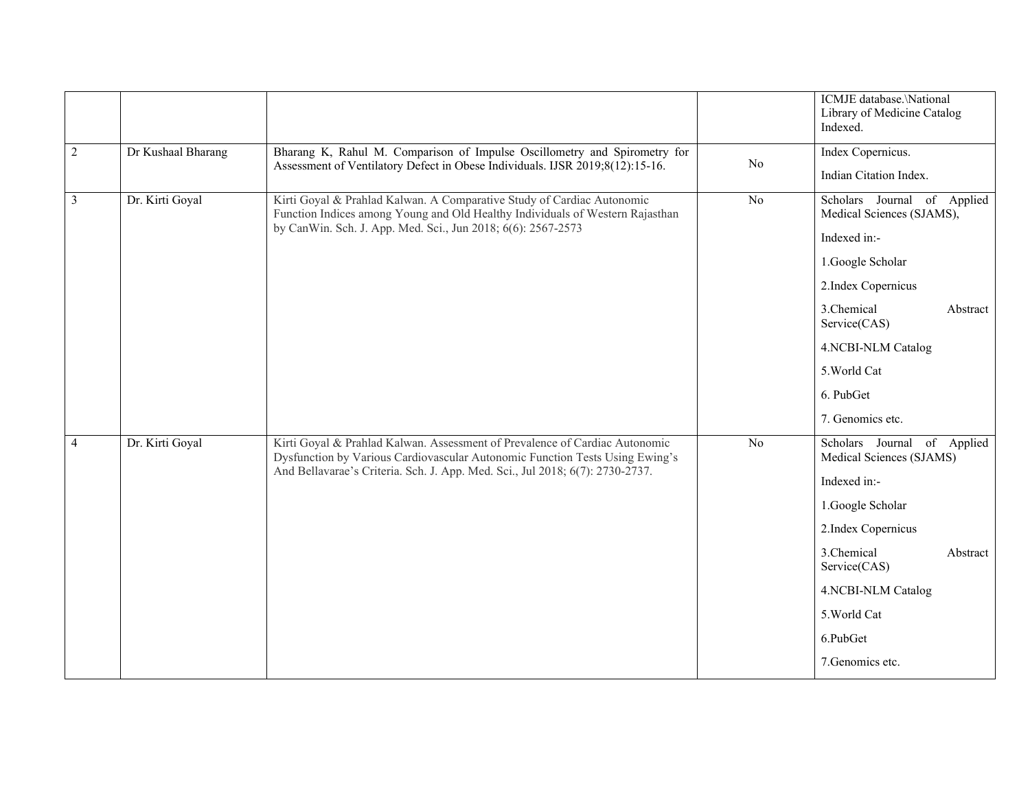|                |                    |                                                                                                                                                                                                                                              |    | ICMJE database.\National<br>Library of Medicine Catalog<br>Indexed.                                                                                                                                                               |
|----------------|--------------------|----------------------------------------------------------------------------------------------------------------------------------------------------------------------------------------------------------------------------------------------|----|-----------------------------------------------------------------------------------------------------------------------------------------------------------------------------------------------------------------------------------|
| $\sqrt{2}$     | Dr Kushaal Bharang | Bharang K, Rahul M. Comparison of Impulse Oscillometry and Spirometry for                                                                                                                                                                    | No | Index Copernicus.                                                                                                                                                                                                                 |
|                |                    | Assessment of Ventilatory Defect in Obese Individuals. IJSR 2019;8(12):15-16.                                                                                                                                                                |    | Indian Citation Index.                                                                                                                                                                                                            |
| $\overline{3}$ | Dr. Kirti Goyal    | Kirti Goyal & Prahlad Kalwan. A Comparative Study of Cardiac Autonomic<br>Function Indices among Young and Old Healthy Individuals of Western Rajasthan<br>by CanWin. Sch. J. App. Med. Sci., Jun 2018; 6(6): 2567-2573                      | No | Scholars Journal of Applied<br>Medical Sciences (SJAMS),<br>Indexed in:-<br>1.Google Scholar<br>2.Index Copernicus<br>3.Chemical<br>Abstract<br>Service(CAS)                                                                      |
|                |                    |                                                                                                                                                                                                                                              |    | 4.NCBI-NLM Catalog<br>5. World Cat                                                                                                                                                                                                |
|                |                    |                                                                                                                                                                                                                                              |    | 6. PubGet                                                                                                                                                                                                                         |
|                |                    |                                                                                                                                                                                                                                              |    | 7. Genomics etc.                                                                                                                                                                                                                  |
| $\overline{4}$ | Dr. Kirti Goyal    | Kirti Goyal & Prahlad Kalwan. Assessment of Prevalence of Cardiac Autonomic<br>Dysfunction by Various Cardiovascular Autonomic Function Tests Using Ewing's<br>And Bellavarae's Criteria. Sch. J. App. Med. Sci., Jul 2018; 6(7): 2730-2737. | No | Scholars Journal of Applied<br>Medical Sciences (SJAMS)<br>Indexed in:-<br>1.Google Scholar<br>2.Index Copernicus<br>3.Chemical<br>Abstract<br>Service(CAS)<br>4.NCBI-NLM Catalog<br>5. World Cat<br>6.PubGet<br>7. Genomics etc. |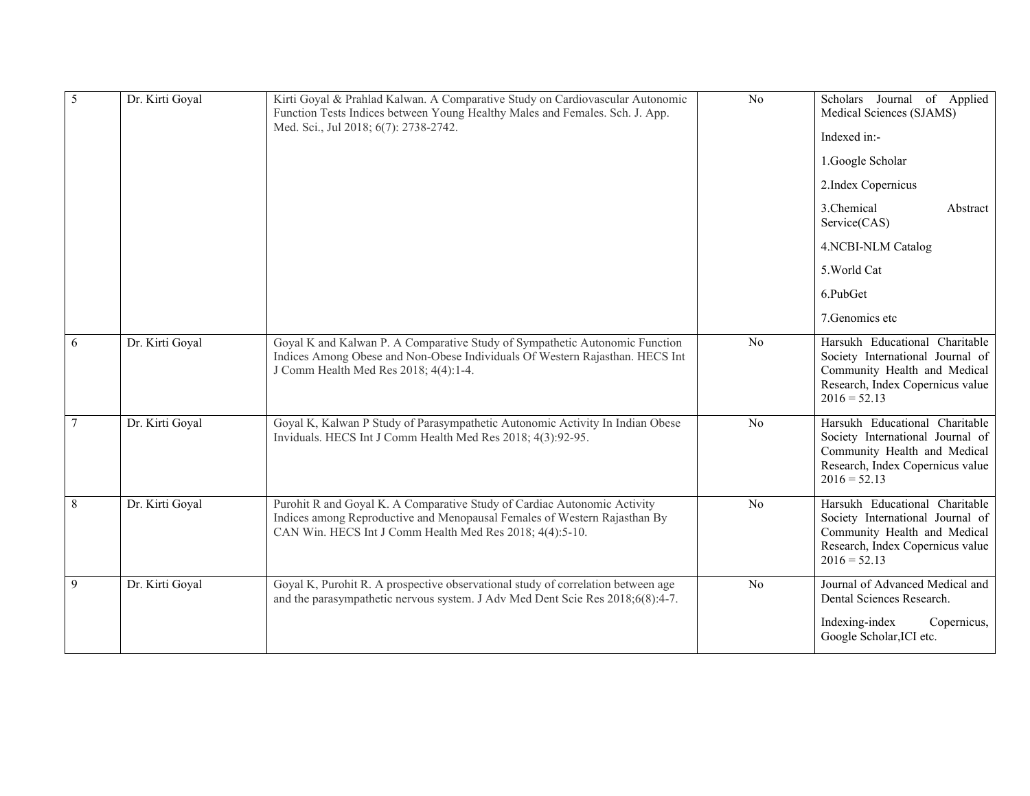| 5 | Dr. Kirti Goyal | Kirti Goyal & Prahlad Kalwan. A Comparative Study on Cardiovascular Autonomic<br>Function Tests Indices between Young Healthy Males and Females. Sch. J. App.<br>Med. Sci., Jul 2018; 6(7): 2738-2742.            | N <sub>o</sub> | Scholars Journal of Applied<br>Medical Sciences (SJAMS)<br>Indexed in:-<br>1.Google Scholar<br>2.Index Copernicus<br>3.Chemical<br>Abstract<br>Service(CAS)<br>4.NCBI-NLM Catalog<br>5. World Cat<br>6.PubGet<br>7. Genomics etc |
|---|-----------------|-------------------------------------------------------------------------------------------------------------------------------------------------------------------------------------------------------------------|----------------|----------------------------------------------------------------------------------------------------------------------------------------------------------------------------------------------------------------------------------|
| 6 | Dr. Kirti Goyal | Goyal K and Kalwan P. A Comparative Study of Sympathetic Autonomic Function<br>Indices Among Obese and Non-Obese Individuals Of Western Rajasthan. HECS Int<br>J Comm Health Med Res 2018; 4(4):1-4.              | No             | Harsukh Educational Charitable<br>Society International Journal of<br>Community Health and Medical<br>Research, Index Copernicus value<br>$2016 = 52.13$                                                                         |
| 7 | Dr. Kirti Goyal | Goyal K, Kalwan P Study of Parasympathetic Autonomic Activity In Indian Obese<br>Inviduals. HECS Int J Comm Health Med Res 2018; 4(3):92-95.                                                                      | No             | Harsukh Educational Charitable<br>Society International Journal of<br>Community Health and Medical<br>Research, Index Copernicus value<br>$2016 = 52.13$                                                                         |
| 8 | Dr. Kirti Goyal | Purohit R and Goyal K. A Comparative Study of Cardiac Autonomic Activity<br>Indices among Reproductive and Menopausal Females of Western Rajasthan By<br>CAN Win. HECS Int J Comm Health Med Res 2018; 4(4):5-10. | No             | Harsukh Educational Charitable<br>Society International Journal of<br>Community Health and Medical<br>Research, Index Copernicus value<br>$2016 = 52.13$                                                                         |
| 9 | Dr. Kirti Goyal | Goyal K, Purohit R. A prospective observational study of correlation between age<br>and the parasympathetic nervous system. J Adv Med Dent Scie Res 2018;6(8):4-7.                                                | No             | Journal of Advanced Medical and<br>Dental Sciences Research.<br>Indexing-index<br>Copernicus,<br>Google Scholar, ICI etc.                                                                                                        |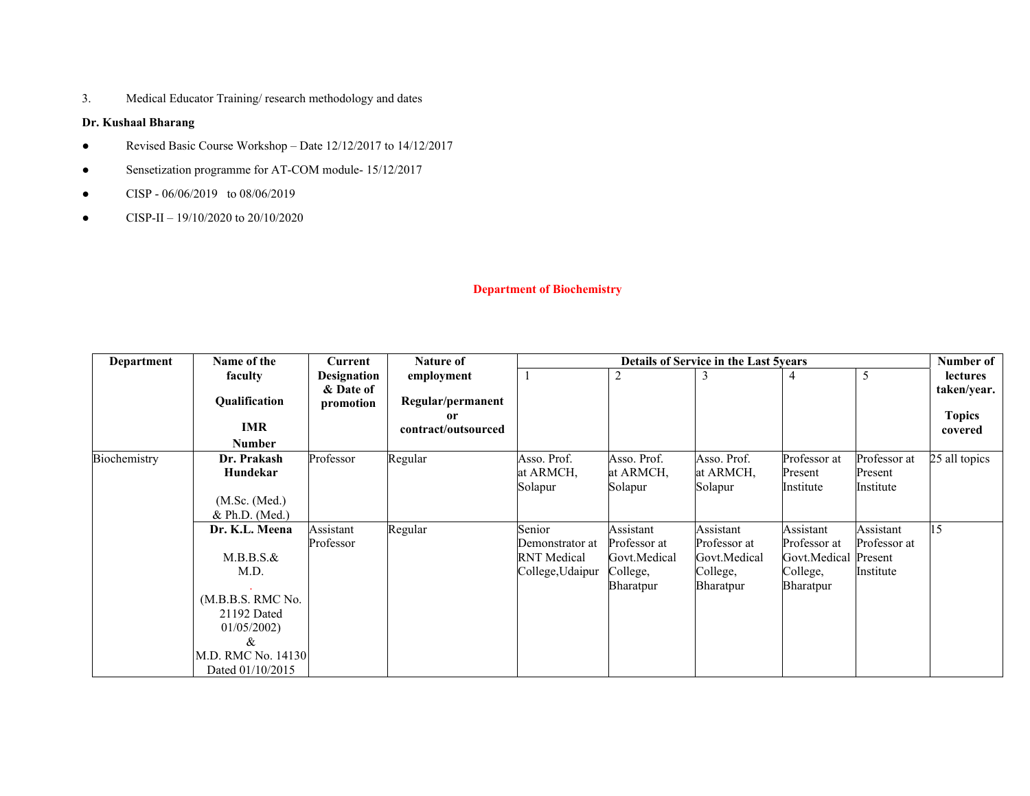3. Medical Educator Training/ research methodology and dates

### **Dr. Kushaal Bharang**

- Revised Basic Course Workshop Date 12/12/2017 to 14/12/2017
- Sensetization programme for AT-COM module- 15/12/2017
- $\bullet$  CISP 06/06/2019 to 08/06/2019
- CISP-II 19/10/2020 to 20/10/2020

### **Department of Biochemistry**

| <b>Department</b> | Name of the                      | Current                | <b>Details of Service in the Last 5 vears</b><br><b>Nature of</b> |                    |                  |              |                  | Number of    |                              |
|-------------------|----------------------------------|------------------------|-------------------------------------------------------------------|--------------------|------------------|--------------|------------------|--------------|------------------------------|
|                   | faculty                          | <b>Designation</b>     | employment                                                        |                    | 2                |              | 4                |              | <b>lectures</b>              |
|                   | Qualification                    | & Date of<br>promotion | Regular/permanent<br>0r                                           |                    |                  |              |                  |              | taken/year.<br><b>Topics</b> |
|                   | IMR                              |                        | contract/outsourced                                               |                    |                  |              |                  |              | covered                      |
|                   | <b>Number</b>                    |                        |                                                                   |                    |                  |              |                  |              |                              |
| Biochemistry      | Dr. Prakash                      | Professor              | Regular                                                           | Asso. Prof.        | Asso. Prof.      | Asso. Prof.  | Professor at     | Professor at | 25 all topics                |
|                   | Hundekar                         |                        |                                                                   | at ARMCH,          | at ARMCH,        | at ARMCH,    | Present          | Present      |                              |
|                   |                                  |                        |                                                                   | Solapur            | Solapur          | Solapur      | Institute        | Institute    |                              |
|                   | (M.Sc. (Med.)                    |                        |                                                                   |                    |                  |              |                  |              |                              |
|                   | & Ph.D. (Med.)                   |                        |                                                                   |                    |                  |              |                  |              |                              |
|                   | Dr. K.L. Meena                   | Assistant              | Regular                                                           | Senior             | Assistant        | Assistant    | Assistant        | Assistant    | 15                           |
|                   |                                  | Professor              |                                                                   | Demonstrator at    | Professor at     | Professor at | Professor at     | Professor at |                              |
|                   | $M.B.B.S.\&$                     |                        |                                                                   | <b>RNT</b> Medical | Govt.Medical     | Govt.Medical | Govt.Medical     | Present      |                              |
|                   | M.D.                             |                        |                                                                   | College, Udaipur   | College,         | College,     | College,         | Institute    |                              |
|                   |                                  |                        |                                                                   |                    | <b>Bharatpur</b> | Bharatpur    | <b>Bharatpur</b> |              |                              |
|                   | (M.B.B.S. RMC No.<br>21192 Dated |                        |                                                                   |                    |                  |              |                  |              |                              |
|                   | 01/05/2002                       |                        |                                                                   |                    |                  |              |                  |              |                              |
|                   | &                                |                        |                                                                   |                    |                  |              |                  |              |                              |
|                   | M.D. RMC No. 14130               |                        |                                                                   |                    |                  |              |                  |              |                              |
|                   | Dated 01/10/2015                 |                        |                                                                   |                    |                  |              |                  |              |                              |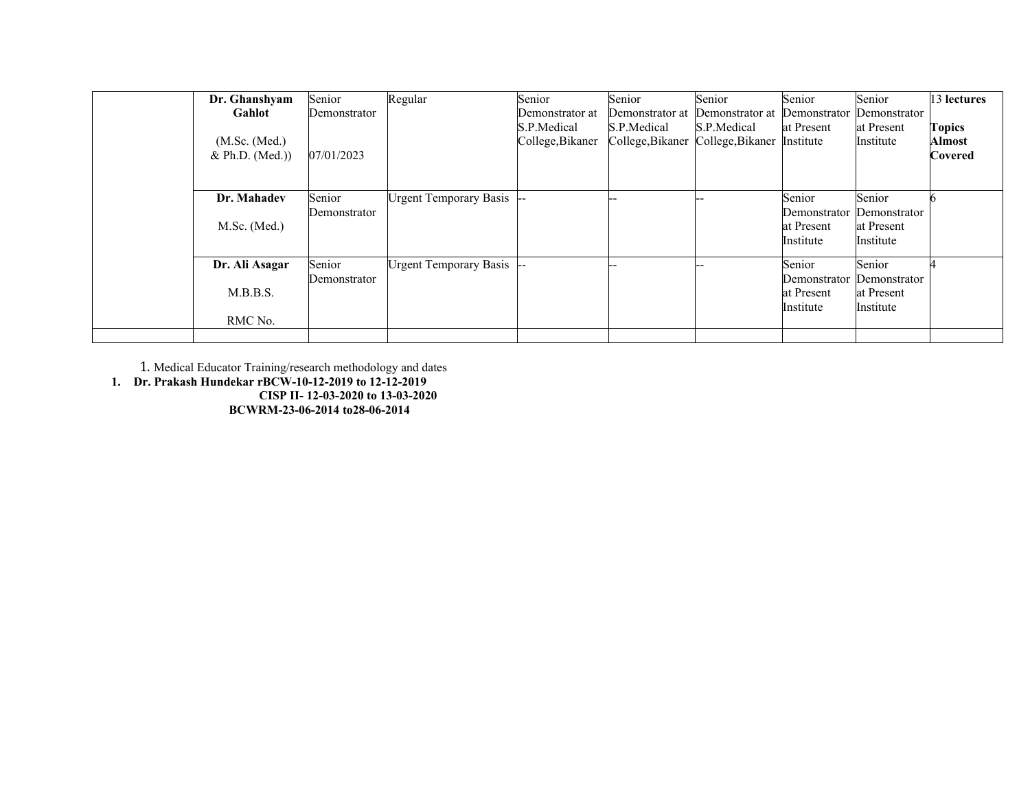| Dr. Ghanshyam<br>Gahlot<br>(M.Sc. (Med.)<br>& Ph.D. (Med.)) | Senior<br>Demonstrator<br>07/01/2023 | Regular                   | Senior<br>Demonstrator at<br>S.P.Medical<br>College, Bikaner | Senior<br>Demonstrator at<br>S.P.Medical<br>College, Bikaner | Senior<br>Demonstrator at<br>S.P.Medical<br>College, Bikaner | Senior<br>Demonstrator<br>at Present<br>Institute | Senior<br>Demonstrator<br>at Present<br>Institute | 13 lectures<br><b>Topics</b><br><b>Almost</b><br><b>Covered</b> |
|-------------------------------------------------------------|--------------------------------------|---------------------------|--------------------------------------------------------------|--------------------------------------------------------------|--------------------------------------------------------------|---------------------------------------------------|---------------------------------------------------|-----------------------------------------------------------------|
| Dr. Mahadev<br>$M.Sc.$ (Med.)                               | Senior<br>Demonstrator               | Urgent Temporary Basis -- |                                                              |                                                              |                                                              | Senior<br>Demonstrator<br>at Present<br>Institute | Senior<br>Demonstrator<br>at Present<br>Institute |                                                                 |
| Dr. Ali Asagar<br>M.B.B.S.<br>RMC No.                       | Senior<br>Demonstrator               | Urgent Temporary Basis -  |                                                              |                                                              |                                                              | Senior<br>Demonstrator<br>at Present<br>Institute | Senior<br>Demonstrator<br>at Present<br>Institute |                                                                 |
|                                                             |                                      |                           |                                                              |                                                              |                                                              |                                                   |                                                   |                                                                 |

1. Medical Educator Training/research methodology and dates

**1. Dr. Prakash Hundekar rBCW-10-12-2019 to 12-12-2019 CISP II- 12-03-2020 to 13-03-2020** 

**BCWRM-23-06-2014 to28-06-2014**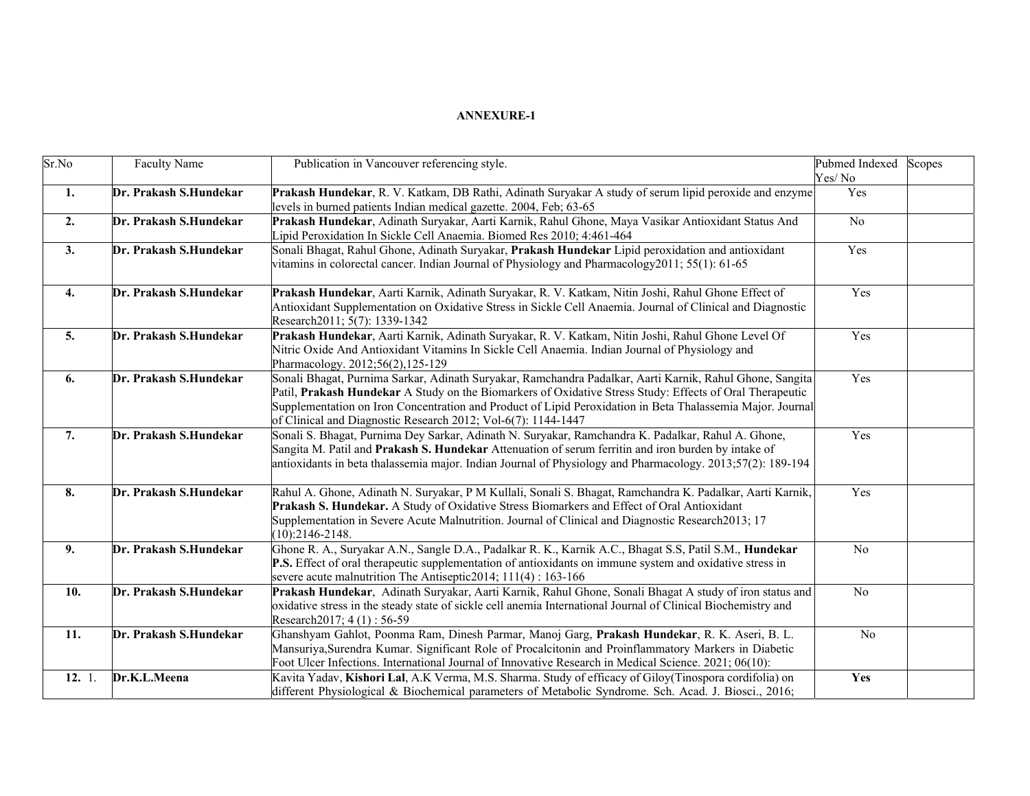| Sr.No              | <b>Faculty Name</b>    | Publication in Vancouver referencing style.                                                                                                                                                                                                                                                                                                                                                         | Pubmed Indexed<br>Yes/No | Scopes |
|--------------------|------------------------|-----------------------------------------------------------------------------------------------------------------------------------------------------------------------------------------------------------------------------------------------------------------------------------------------------------------------------------------------------------------------------------------------------|--------------------------|--------|
| 1.                 | Dr. Prakash S.Hundekar | Prakash Hundekar, R. V. Katkam, DB Rathi, Adinath Suryakar A study of serum lipid peroxide and enzyme<br>levels in burned patients Indian medical gazette. 2004, Feb; 63-65                                                                                                                                                                                                                         | Yes                      |        |
| 2.                 | Dr. Prakash S.Hundekar | Prakash Hundekar, Adinath Suryakar, Aarti Karnik, Rahul Ghone, Maya Vasikar Antioxidant Status And<br>ipid Peroxidation In Sickle Cell Anaemia. Biomed Res 2010; 4:461-464                                                                                                                                                                                                                          | $\rm No$                 |        |
| 3.                 | Dr. Prakash S.Hundekar | Sonali Bhagat, Rahul Ghone, Adinath Suryakar, Prakash Hundekar Lipid peroxidation and antioxidant<br>vitamins in colorectal cancer. Indian Journal of Physiology and Pharmacology 2011; 55(1): 61-65                                                                                                                                                                                                | Yes                      |        |
| $\boldsymbol{4}$ . | Dr. Prakash S.Hundekar | Prakash Hundekar, Aarti Karnik, Adinath Suryakar, R. V. Katkam, Nitin Joshi, Rahul Ghone Effect of<br>Antioxidant Supplementation on Oxidative Stress in Sickle Cell Anaemia. Journal of Clinical and Diagnostic<br>Research2011; 5(7): 1339-1342                                                                                                                                                   | Yes                      |        |
| 5.                 | Dr. Prakash S.Hundekar | Prakash Hundekar, Aarti Karnik, Adinath Suryakar, R. V. Katkam, Nitin Joshi, Rahul Ghone Level Of<br>Nitric Oxide And Antioxidant Vitamins In Sickle Cell Anaemia. Indian Journal of Physiology and<br>Pharmacology. 2012;56(2),125-129                                                                                                                                                             | Yes                      |        |
| 6.                 | Dr. Prakash S.Hundekar | Sonali Bhagat, Purnima Sarkar, Adinath Suryakar, Ramchandra Padalkar, Aarti Karnik, Rahul Ghone, Sangita<br>Patil, Prakash Hundekar A Study on the Biomarkers of Oxidative Stress Study: Effects of Oral Therapeutic<br>Supplementation on Iron Concentration and Product of Lipid Peroxidation in Beta Thalassemia Major. Journal<br>of Clinical and Diagnostic Research 2012; Vol-6(7): 1144-1447 | Yes                      |        |
| 7.                 | Dr. Prakash S.Hundekar | Sonali S. Bhagat, Purnima Dey Sarkar, Adinath N. Suryakar, Ramchandra K. Padalkar, Rahul A. Ghone,<br>Sangita M. Patil and Prakash S. Hundekar Attenuation of serum ferritin and iron burden by intake of<br>antioxidants in beta thalassemia major. Indian Journal of Physiology and Pharmacology. 2013;57(2): 189-194                                                                             | Yes                      |        |
| 8.                 | Dr. Prakash S.Hundekar | Rahul A. Ghone, Adinath N. Suryakar, P M Kullali, Sonali S. Bhagat, Ramchandra K. Padalkar, Aarti Karnik,<br>Prakash S. Hundekar. A Study of Oxidative Stress Biomarkers and Effect of Oral Antioxidant<br>Supplementation in Severe Acute Malnutrition. Journal of Clinical and Diagnostic Research 2013; 17<br>$(10):2146-2148.$                                                                  | Yes                      |        |
| 9.                 | Dr. Prakash S.Hundekar | Ghone R. A., Suryakar A.N., Sangle D.A., Padalkar R. K., Karnik A.C., Bhagat S.S, Patil S.M., Hundekar<br>P.S. Effect of oral therapeutic supplementation of antioxidants on immune system and oxidative stress in<br>severe acute malnutrition The Antiseptic 2014; 111(4) : 163-166                                                                                                               | No                       |        |
| 10.                | Dr. Prakash S.Hundekar | Prakash Hundekar, Adinath Suryakar, Aarti Karnik, Rahul Ghone, Sonali Bhagat A study of iron status and<br>oxidative stress in the steady state of sickle cell anemia International Journal of Clinical Biochemistry and<br>Research2017; 4(1): 56-59                                                                                                                                               | N <sub>o</sub>           |        |
| 11.                | Dr. Prakash S.Hundekar | Ghanshyam Gahlot, Poonma Ram, Dinesh Parmar, Manoj Garg, Prakash Hundekar, R. K. Aseri, B. L.<br>Mansuriya, Surendra Kumar. Significant Role of Procalcitonin and Proinflammatory Markers in Diabetic<br>Foot Ulcer Infections. International Journal of Innovative Research in Medical Science. 2021; 06(10):                                                                                      | No                       |        |
| 12. 1.             | Dr.K.L.Meena           | Kavita Yadav, Kishori Lal, A.K Verma, M.S. Sharma. Study of efficacy of Giloy(Tinospora cordifolia) on<br>different Physiological & Biochemical parameters of Metabolic Syndrome. Sch. Acad. J. Biosci., 2016;                                                                                                                                                                                      | Yes                      |        |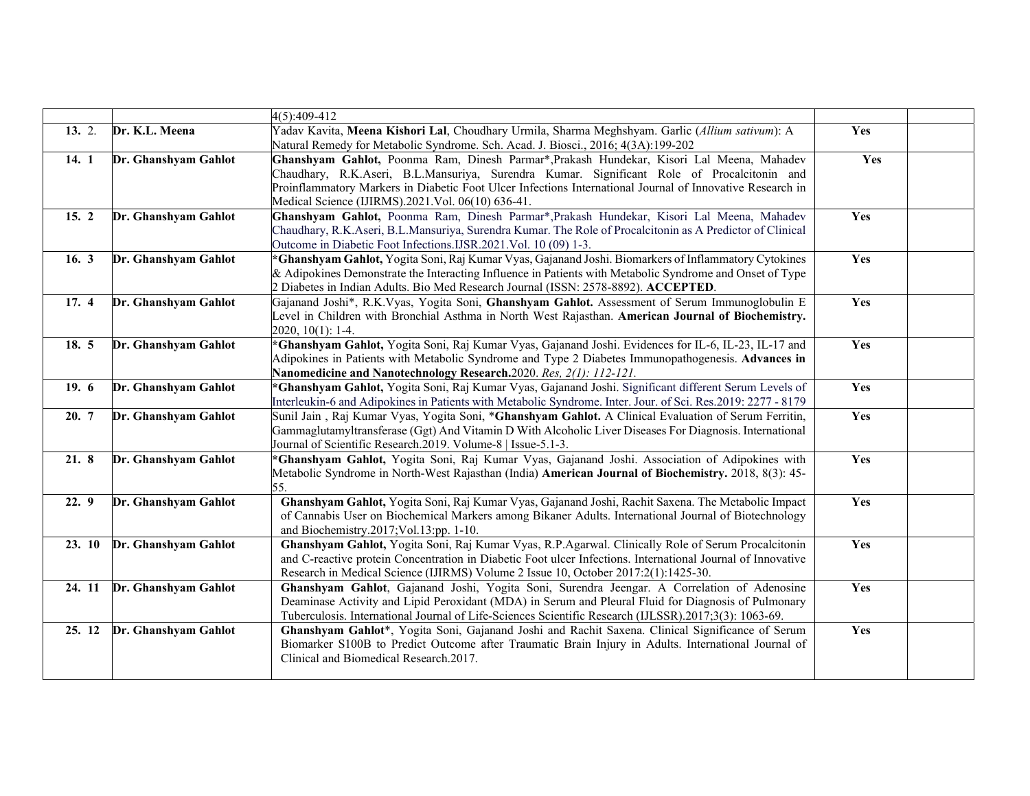|        |                      | 4(5):409-412                                                                                                                                                                                                                                                                                                                                              |     |  |
|--------|----------------------|-----------------------------------------------------------------------------------------------------------------------------------------------------------------------------------------------------------------------------------------------------------------------------------------------------------------------------------------------------------|-----|--|
| 13.2.  | Dr. K.L. Meena       | Yadav Kavita, Meena Kishori Lal, Choudhary Urmila, Sharma Meghshyam. Garlic (Allium sativum): A<br>Natural Remedy for Metabolic Syndrome. Sch. Acad. J. Biosci., 2016; 4(3A):199-202                                                                                                                                                                      | Yes |  |
| 14. 1  | Dr. Ghanshyam Gahlot | Ghanshyam Gahlot, Poonma Ram, Dinesh Parmar*, Prakash Hundekar, Kisori Lal Meena, Mahadev<br>Chaudhary, R.K.Aseri, B.L.Mansuriya, Surendra Kumar. Significant Role of Procalcitonin and<br>Proinflammatory Markers in Diabetic Foot Ulcer Infections International Journal of Innovative Research in<br>Medical Science (IJIRMS).2021.Vol. 06(10) 636-41. | Yes |  |
| 15.2   | Dr. Ghanshyam Gahlot | Ghanshyam Gahlot, Poonma Ram, Dinesh Parmar*, Prakash Hundekar, Kisori Lal Meena, Mahadev<br>Chaudhary, R.K.Aseri, B.L.Mansuriya, Surendra Kumar. The Role of Procalcitonin as A Predictor of Clinical<br>Outcome in Diabetic Foot Infections.IJSR.2021.Vol. 10 (09) 1-3.                                                                                 | Yes |  |
| 16. 3  | Dr. Ghanshyam Gahlot | *Ghanshyam Gahlot, Yogita Soni, Raj Kumar Vyas, Gajanand Joshi. Biomarkers of Inflammatory Cytokines<br>& Adipokines Demonstrate the Interacting Influence in Patients with Metabolic Syndrome and Onset of Type<br>2 Diabetes in Indian Adults. Bio Med Research Journal (ISSN: 2578-8892). ACCEPTED.                                                    | Yes |  |
| 17.4   | Dr. Ghanshyam Gahlot | Gajanand Joshi*, R.K.Vyas, Yogita Soni, Ghanshyam Gahlot. Assessment of Serum Immunoglobulin E<br>Level in Children with Bronchial Asthma in North West Rajasthan. American Journal of Biochemistry.<br>2020, 10(1): 1-4.                                                                                                                                 | Yes |  |
| 18.5   | Dr. Ghanshyam Gahlot | Ghanshyam Gahlot, Yogita Soni, Raj Kumar Vyas, Gajanand Joshi. Evidences for IL-6, IL-23, IL-17 and<br>Adipokines in Patients with Metabolic Syndrome and Type 2 Diabetes Immunopathogenesis. Advances in<br>Nanomedicine and Nanotechnology Research.2020. Res. 2(1): 112-121.                                                                           | Yes |  |
| 19.6   | Dr. Ghanshyam Gahlot | *Ghanshyam Gahlot, Yogita Soni, Raj Kumar Vyas, Gajanand Joshi. Significant different Serum Levels of<br>Interleukin-6 and Adipokines in Patients with Metabolic Syndrome. Inter. Jour. of Sci. Res.2019: 2277 - 8179                                                                                                                                     | Yes |  |
| 20. 7  | Dr. Ghanshyam Gahlot | Sunil Jain, Raj Kumar Vyas, Yogita Soni, *Ghanshyam Gahlot. A Clinical Evaluation of Serum Ferritin,<br>Gammaglutamyltransferase (Ggt) And Vitamin D With Alcoholic Liver Diseases For Diagnosis. International<br>Journal of Scientific Research.2019. Volume-8   Issue-5.1-3.                                                                           | Yes |  |
| 21. 8  | Dr. Ghanshyam Gahlot | *Ghanshyam Gahlot, Yogita Soni, Raj Kumar Vyas, Gajanand Joshi. Association of Adipokines with<br>Metabolic Syndrome in North-West Rajasthan (India) American Journal of Biochemistry, 2018, 8(3): 45-<br>55.                                                                                                                                             | Yes |  |
| 22.9   | Dr. Ghanshyam Gahlot | Ghanshyam Gahlot, Yogita Soni, Raj Kumar Vyas, Gajanand Joshi, Rachit Saxena. The Metabolic Impact<br>of Cannabis User on Biochemical Markers among Bikaner Adults. International Journal of Biotechnology<br>and Biochemistry.2017; Vol.13:pp. 1-10.                                                                                                     | Yes |  |
| 23.10  | Dr. Ghanshyam Gahlot | Ghanshyam Gahlot, Yogita Soni, Raj Kumar Vyas, R.P.Agarwal. Clinically Role of Serum Procalcitonin<br>and C-reactive protein Concentration in Diabetic Foot ulcer Infections. International Journal of Innovative<br>Research in Medical Science (IJIRMS) Volume 2 Issue 10, October 2017:2(1):1425-30.                                                   | Yes |  |
| 24. 11 | Dr. Ghanshyam Gahlot | Ghanshyam Gahlot, Gajanand Joshi, Yogita Soni, Surendra Jeengar. A Correlation of Adenosine<br>Deaminase Activity and Lipid Peroxidant (MDA) in Serum and Pleural Fluid for Diagnosis of Pulmonary<br>Tuberculosis. International Journal of Life-Sciences Scientific Research (IJLSSR).2017;3(3): 1063-69.                                               | Yes |  |
| 25. 12 | Dr. Ghanshyam Gahlot | Ghanshyam Gahlot*, Yogita Soni, Gajanand Joshi and Rachit Saxena. Clinical Significance of Serum<br>Biomarker S100B to Predict Outcome after Traumatic Brain Injury in Adults. International Journal of<br>Clinical and Biomedical Research.2017.                                                                                                         | Yes |  |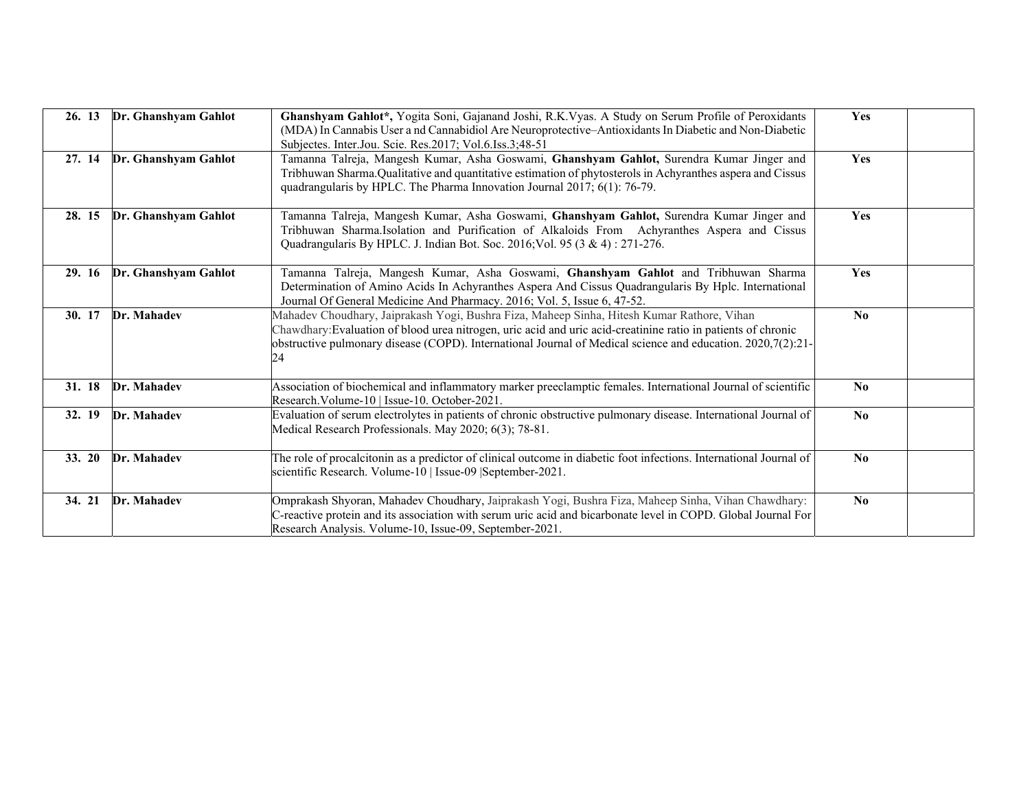| 26. 13 | Dr. Ghanshyam Gahlot | Ghanshyam Gahlot*, Yogita Soni, Gajanand Joshi, R.K.Vyas. A Study on Serum Profile of Peroxidants<br>(MDA) In Cannabis User a nd Cannabidiol Are Neuroprotective-Antioxidants In Diabetic and Non-Diabetic<br>Subjectes. Inter.Jou. Scie. Res.2017; Vol.6.Iss.3;48-51                                                            | Yes                    |
|--------|----------------------|----------------------------------------------------------------------------------------------------------------------------------------------------------------------------------------------------------------------------------------------------------------------------------------------------------------------------------|------------------------|
| 27. 14 | Dr. Ghanshyam Gahlot | Tamanna Talreja, Mangesh Kumar, Asha Goswami, Ghanshyam Gahlot, Surendra Kumar Jinger and<br>Tribhuwan Sharma. Qualitative and quantitative estimation of phytosterols in Achyranthes aspera and Cissus<br>quadrangularis by HPLC. The Pharma Innovation Journal 2017; 6(1): 76-79.                                              | Yes                    |
| 28. 15 | Dr. Ghanshyam Gahlot | Tamanna Talreja, Mangesh Kumar, Asha Goswami, Ghanshyam Gahlot, Surendra Kumar Jinger and<br>Tribhuwan Sharma.Isolation and Purification of Alkaloids From Achyranthes Aspera and Cissus<br>Quadrangularis By HPLC. J. Indian Bot. Soc. 2016; Vol. 95 (3 & 4): 271-276.                                                          | Yes                    |
| 29. 16 | Dr. Ghanshyam Gahlot | Tamanna Talreja, Mangesh Kumar, Asha Goswami, Ghanshyam Gahlot and Tribhuwan Sharma<br>Determination of Amino Acids In Achyranthes Aspera And Cissus Quadrangularis By Hplc. International<br>Journal Of General Medicine And Pharmacy. 2016; Vol. 5, Issue 6, 47-52.                                                            | Yes                    |
| 30. 17 | Dr. Mahadev          | Mahadev Choudhary, Jaiprakash Yogi, Bushra Fiza, Maheep Sinha, Hitesh Kumar Rathore, Vihan<br>Chawdhary: Evaluation of blood urea nitrogen, uric acid and uric acid-creatinine ratio in patients of chronic<br>obstructive pulmonary disease (COPD). International Journal of Medical science and education. 2020,7(2):21-<br>24 | $\mathbf{N}\mathbf{0}$ |
| 31. 18 | Dr. Mahadev          | Association of biochemical and inflammatory marker preeclamptic females. International Journal of scientific<br>Research. Volume-10   Issue-10. October-2021.                                                                                                                                                                    | $\mathbf{N}\mathbf{0}$ |
| 32. 19 | Dr. Mahadev          | Evaluation of serum electrolytes in patients of chronic obstructive pulmonary disease. International Journal of<br>Medical Research Professionals. May 2020; 6(3); 78-81.                                                                                                                                                        | No                     |
| 33.20  | Dr. Mahadev          | The role of procalcitonin as a predictor of clinical outcome in diabetic foot infections. International Journal of<br>scientific Research. Volume-10   Issue-09   September-2021.                                                                                                                                                | $\mathbf{N}\mathbf{0}$ |
| 34. 21 | Dr. Mahadev          | Omprakash Shyoran, Mahadev Choudhary, Jaiprakash Yogi, Bushra Fiza, Maheep Sinha, Vihan Chawdhary:<br>C-reactive protein and its association with serum uric acid and bicarbonate level in COPD. Global Journal For<br>Research Analysis. Volume-10, Issue-09, September-2021.                                                   | $\mathbf{N}\mathbf{0}$ |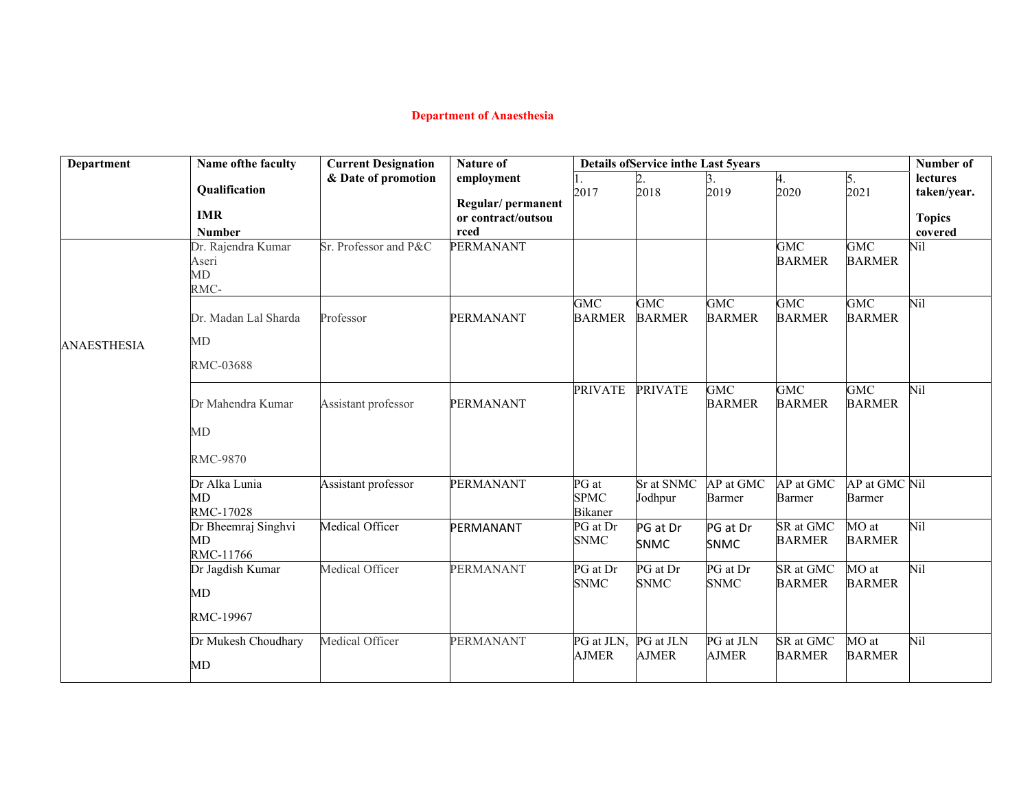# **Department of Anaesthesia**

| <b>Department</b>  | Name of the faculty  | <b>Current Designation</b> | <b>Nature of</b>           | <b>Details ofService inthe Last 5years</b> |                       |                       |               | Number of     |                          |
|--------------------|----------------------|----------------------------|----------------------------|--------------------------------------------|-----------------------|-----------------------|---------------|---------------|--------------------------|
|                    |                      | & Date of promotion        | employment                 |                                            |                       |                       | 4.            | 5.            | lectures                 |
|                    | Qualification        |                            |                            | 2017                                       | 2018                  | 2019                  | 2020          | 2021          | taken/year.              |
|                    | <b>IMR</b>           |                            | Regular/permanent          |                                            |                       |                       |               |               |                          |
|                    | <b>Number</b>        |                            | or contract/outsou<br>rced |                                            |                       |                       |               |               | <b>Topics</b><br>covered |
|                    | Dr. Rajendra Kumar   | Sr. Professor and P&C      | <b>PERMANANT</b>           |                                            |                       |                       | <b>GMC</b>    | <b>GMC</b>    | Nil                      |
|                    | Aseri                |                            |                            |                                            |                       |                       | <b>BARMER</b> | <b>BARMER</b> |                          |
|                    | MD                   |                            |                            |                                            |                       |                       |               |               |                          |
|                    | RMC-                 |                            |                            |                                            |                       |                       |               |               |                          |
|                    |                      |                            |                            | <b>GMC</b>                                 | <b>GMC</b>            | GMC                   | <b>GMC</b>    | <b>GMC</b>    | Nil                      |
|                    | Dr. Madan Lal Sharda | Professor                  | PERMANANT                  | <b>BARMER</b>                              | <b>BARMER</b>         | <b>BARMER</b>         | <b>BARMER</b> | <b>BARMER</b> |                          |
| <b>ANAESTHESIA</b> | MD                   |                            |                            |                                            |                       |                       |               |               |                          |
|                    | RMC-03688            |                            |                            |                                            |                       |                       |               |               |                          |
|                    |                      |                            |                            | <b>PRIVATE</b>                             | <b>PRIVATE</b>        | GMC                   | <b>GMC</b>    | <b>GMC</b>    | Nil                      |
|                    | Dr Mahendra Kumar    | Assistant professor        | PERMANANT                  |                                            |                       | <b>BARMER</b>         | <b>BARMER</b> | <b>BARMER</b> |                          |
|                    | МD                   |                            |                            |                                            |                       |                       |               |               |                          |
|                    | <b>RMC-9870</b>      |                            |                            |                                            |                       |                       |               |               |                          |
|                    | Dr Alka Lunia        | Assistant professor        | PERMANANT                  | PG at                                      | Sr at SNMC            | AP at GMC             | AP at GMC     | AP at GMC Nil |                          |
|                    | <b>MD</b>            |                            |                            | <b>SPMC</b>                                | Jodhpur               | Barmer                | Barmer        | Barmer        |                          |
|                    | <b>RMC-17028</b>     |                            |                            | <b>Bikaner</b>                             |                       |                       |               |               |                          |
|                    | Dr Bheemraj Singhvi  | Medical Officer            | PERMANANT                  | PG at Dr                                   | PG at Dr              | PG at Dr              | SR at GMC     | MO at         | Nil                      |
|                    | MD                   |                            |                            | <b>SNMC</b>                                | <b>SNMC</b>           | <b>SNMC</b>           | <b>BARMER</b> | <b>BARMER</b> |                          |
|                    | RMC-11766            |                            |                            |                                            |                       |                       |               |               |                          |
|                    | Dr Jagdish Kumar     | Medical Officer            | <b>PERMANANT</b>           | PG at Dr                                   | $\overline{PG}$ at Dr | $\overline{PG}$ at Dr | SR at GMC     | MO at         | Nil                      |
|                    | MD                   |                            |                            | <b>SNMC</b>                                | <b>SNMC</b>           | <b>SNMC</b>           | <b>BARMER</b> | <b>BARMER</b> |                          |
|                    | RMC-19967            |                            |                            |                                            |                       |                       |               |               |                          |
|                    | Dr Mukesh Choudhary  | Medical Officer            | <b>PERMANANT</b>           | PG at JLN,                                 | PG at JLN             | PG at JLN             | SR at GMC     | MO at         | Nil                      |
|                    | MD                   |                            |                            | <b>AJMER</b>                               | AJMER                 | AJMER                 | <b>BARMER</b> | <b>BARMER</b> |                          |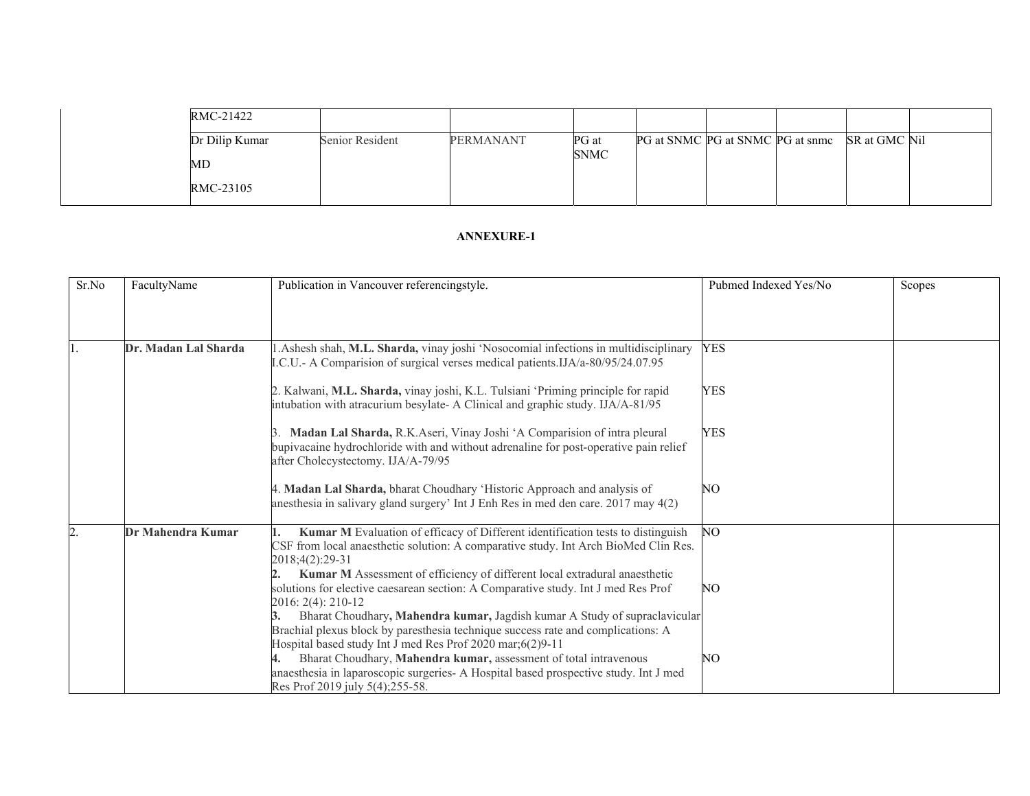|  | RMC-21422      |                 |           |                      |                                                |  |  |
|--|----------------|-----------------|-----------|----------------------|------------------------------------------------|--|--|
|  | Dr Dilip Kumar | Senior Resident | PERMANANT | PG at<br><b>SNMC</b> | PG at SNMC PG at SNMC PG at snmc SR at GMC Nil |  |  |
|  | MD             |                 |           |                      |                                                |  |  |
|  | RMC-23105      |                 |           |                      |                                                |  |  |

| Sr.No | FacultyName          | Publication in Vancouver referencingstyle.                                                                                                                                                                                  | Pubmed Indexed Yes/No | Scopes |
|-------|----------------------|-----------------------------------------------------------------------------------------------------------------------------------------------------------------------------------------------------------------------------|-----------------------|--------|
|       |                      |                                                                                                                                                                                                                             |                       |        |
|       |                      |                                                                                                                                                                                                                             |                       |        |
|       | Dr. Madan Lal Sharda | .Ashesh shah, M.L. Sharda, vinay joshi 'Nosocomial infections in multidisciplinary<br>I.C.U.- A Comparision of surgical verses medical patients.IJA/a-80/95/24.07.95                                                        | <b>YES</b>            |        |
|       |                      | 2. Kalwani, M.L. Sharda, vinay joshi, K.L. Tulsiani 'Priming principle for rapid<br>intubation with atracurium besylate- A Clinical and graphic study. IJA/A-81/95                                                          | <b>YES</b>            |        |
|       |                      | Madan Lal Sharda, R.K.Aseri, Vinay Joshi 'A Comparision of intra pleural<br>bupivacaine hydrochloride with and without adrenaline for post-operative pain relief<br>after Cholecystectomy. IJA/A-79/95                      | <b>YES</b>            |        |
|       |                      | 4. Madan Lal Sharda, bharat Choudhary 'Historic Approach and analysis of<br>anesthesia in salivary gland surgery' Int J Enh Res in med den care. 2017 may 4(2)                                                              | N <sub>O</sub>        |        |
| 2.    | Dr Mahendra Kumar    | Kumar M Evaluation of efficacy of Different identification tests to distinguish<br>CSF from local anaesthetic solution: A comparative study. Int Arch BioMed Clin Res.<br>2018;4(2):29-31                                   | <b>NO</b>             |        |
|       |                      | Kumar M Assessment of efficiency of different local extradural anaesthetic<br>solutions for elective caesarean section: A Comparative study. Int J med Res Prof<br>$2016: 2(4): 210-12$                                     | N <sub>O</sub>        |        |
|       |                      | Bharat Choudhary, Mahendra kumar, Jagdish kumar A Study of supraclavicular<br>Brachial plexus block by paresthesia technique success rate and complications: A<br>Hospital based study Int J med Res Prof 2020 mar;6(2)9-11 |                       |        |
|       |                      | Bharat Choudhary, Mahendra kumar, assessment of total intravenous<br>anaesthesia in laparoscopic surgeries- A Hospital based prospective study. Int J med<br>Res Prof 2019 july 5(4);255-58.                                | N <sub>O</sub>        |        |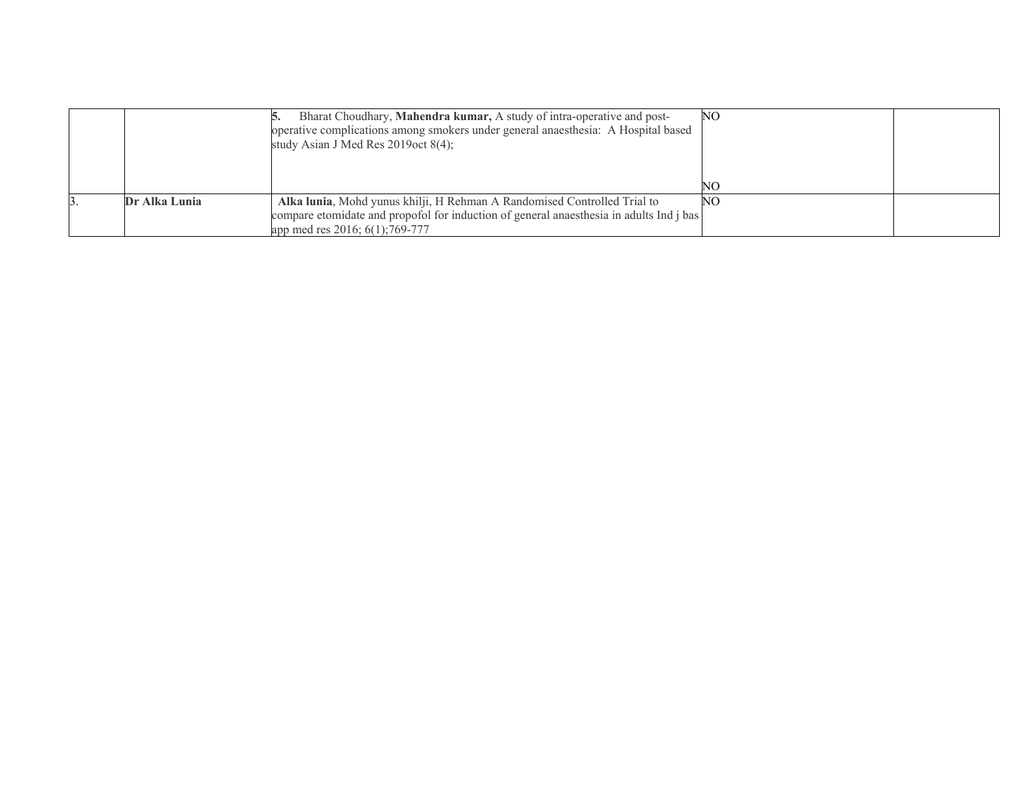|               | Bharat Choudhary, Mahendra kumar, A study of intra-operative and post-<br>operative complications among smokers under general anaesthesia: A Hospital based<br>study Asian J Med Res $2019$ oct $8(4)$ ; | NO. |  |
|---------------|----------------------------------------------------------------------------------------------------------------------------------------------------------------------------------------------------------|-----|--|
|               |                                                                                                                                                                                                          |     |  |
| Dr Alka Lunia | Alka lunia, Mohd yunus khilji, H Rehman A Randomised Controlled Trial to<br>compare etomidate and propofol for induction of general anaesthesia in adults Ind j bas<br>app med res 2016; 6(1); 769-777   | NO  |  |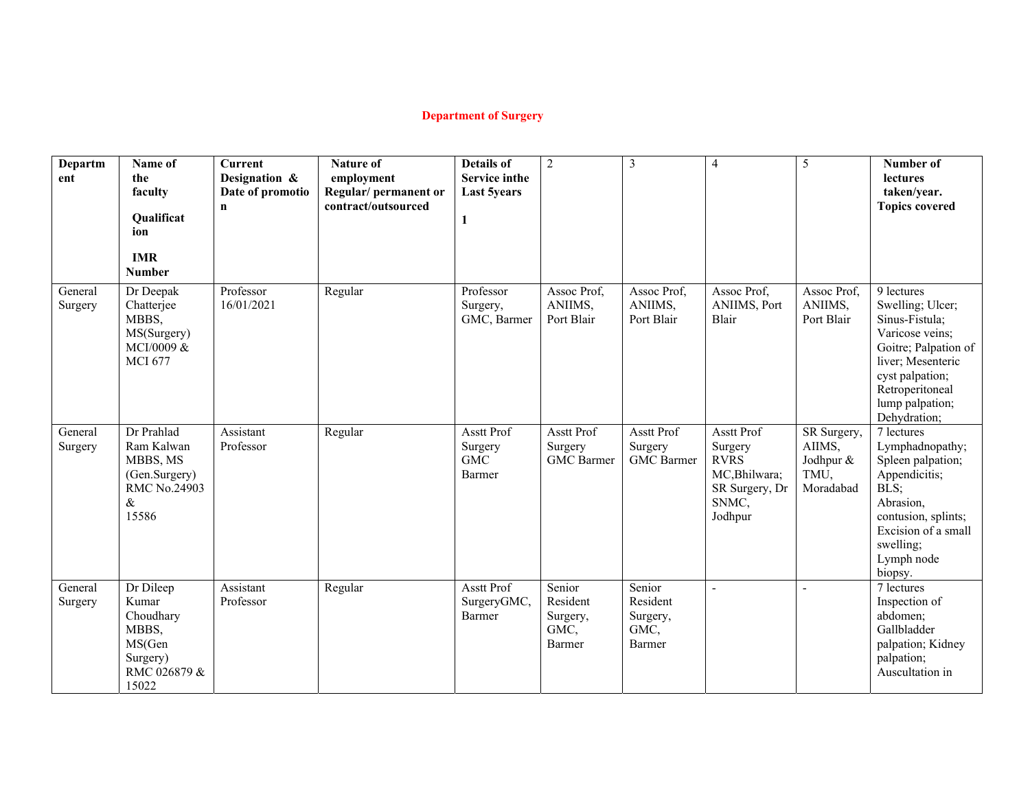# **Department of Surgery**

| Departm<br>ent     | Name of<br>the<br>faculty<br>Qualificat<br>ion<br><b>IMR</b><br><b>Number</b>           | <b>Current</b><br>Designation &<br>Date of promotio<br>$\mathbf n$ | <b>Nature of</b><br>employment<br>Regular/permanent or<br>contract/outsourced | <b>Details of</b><br><b>Service inthe</b><br><b>Last 5years</b><br>1 | $\overline{c}$                                   | 3                                                 | $\overline{4}$                                                                              | 5                                                       | Number of<br>lectures<br>taken/year.<br><b>Topics covered</b>                                                                                                                             |
|--------------------|-----------------------------------------------------------------------------------------|--------------------------------------------------------------------|-------------------------------------------------------------------------------|----------------------------------------------------------------------|--------------------------------------------------|---------------------------------------------------|---------------------------------------------------------------------------------------------|---------------------------------------------------------|-------------------------------------------------------------------------------------------------------------------------------------------------------------------------------------------|
| General<br>Surgery | Dr Deepak<br>Chatterjee<br>MBBS,<br>MS(Surgery)<br>MCI/0009 &<br><b>MCI 677</b>         | Professor<br>16/01/2021                                            | Regular                                                                       | Professor<br>Surgery,<br>GMC, Barmer                                 | Assoc Prof,<br>ANIIMS,<br>Port Blair             | Assoc Prof,<br>ANIIMS,<br>Port Blair              | Assoc Prof,<br>ANIIMS, Port<br>Blair                                                        | Assoc Prof,<br>ANIIMS,<br>Port Blair                    | 9 lectures<br>Swelling; Ulcer;<br>Sinus-Fistula;<br>Varicose veins;<br>Goitre; Palpation of<br>liver; Mesenteric<br>cyst palpation;<br>Retroperitoneal<br>lump palpation;<br>Dehydration; |
| General<br>Surgery | Dr Prahlad<br>Ram Kalwan<br>MBBS, MS<br>(Gen.Surgery)<br>RMC No.24903<br>&<br>15586     | Assistant<br>Professor                                             | Regular                                                                       | Asstt Prof<br>Surgery<br><b>GMC</b><br>Barmer                        | Asstt Prof<br>Surgery<br><b>GMC</b> Barmer       | <b>Asstt Prof</b><br>Surgery<br><b>GMC</b> Barmer | Asstt Prof<br>Surgery<br><b>RVRS</b><br>MC, Bhilwara;<br>SR Surgery, Dr<br>SNMC,<br>Jodhpur | SR Surgery,<br>AIIMS,<br>Jodhpur &<br>TMU,<br>Moradabad | 7 lectures<br>Lymphadnopathy;<br>Spleen palpation;<br>Appendicitis;<br>BLS;<br>Abrasion,<br>contusion, splints;<br>Excision of a small<br>swelling;<br>Lymph node<br>biopsy.              |
| General<br>Surgery | Dr Dileep<br>Kumar<br>Choudhary<br>MBBS,<br>MS(Gen<br>Surgery)<br>RMC 026879 &<br>15022 | Assistant<br>Professor                                             | Regular                                                                       | Asstt Prof<br>SurgeryGMC,<br>Barmer                                  | Senior<br>Resident<br>Surgery,<br>GMC,<br>Barmer | Senior<br>Resident<br>Surgery,<br>GMC,<br>Barmer  | $\overline{a}$                                                                              |                                                         | 7 lectures<br>Inspection of<br>abdomen;<br>Gallbladder<br>palpation; Kidney<br>palpation;<br>Auscultation in                                                                              |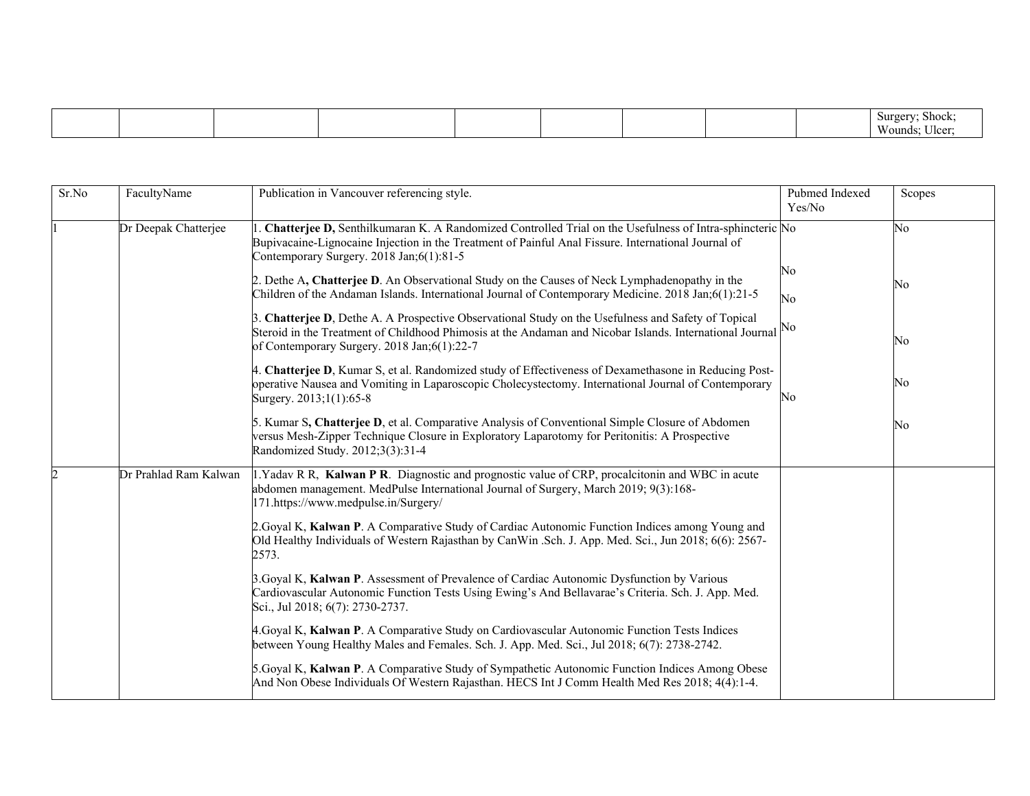| т. |
|----|
|----|

| Sr.No | FacultyName           | Publication in Vancouver referencing style.                                                                                                                                                                                                                       | Pubmed Indexed<br>Yes/No | Scopes |
|-------|-----------------------|-------------------------------------------------------------------------------------------------------------------------------------------------------------------------------------------------------------------------------------------------------------------|--------------------------|--------|
|       | Dr Deepak Chatterjee  | L. Chatterjee D, Senthilkumaran K. A Randomized Controlled Trial on the Usefulness of Intra-sphincteric No<br>Bupivacaine-Lignocaine Injection in the Treatment of Painful Anal Fissure. International Journal of<br>Contemporary Surgery. 2018 Jan;6(1):81-5     |                          | No     |
|       |                       | 2. Dethe A, Chatterjee D. An Observational Study on the Causes of Neck Lymphadenopathy in the<br>Children of the Andaman Islands. International Journal of Contemporary Medicine. 2018 Jan;6(1):21-5                                                              | No<br>No                 | No     |
|       |                       | 3. Chatterjee D, Dethe A. A Prospective Observational Study on the Usefulness and Safety of Topical<br>Steroid in the Treatment of Childhood Phimosis at the Andaman and Nicobar Islands. International Journal No<br>of Contemporary Surgery. 2018 Jan;6(1):22-7 |                          | No     |
|       |                       | 4. Chatterjee D, Kumar S, et al. Randomized study of Effectiveness of Dexamethasone in Reducing Post-<br>operative Nausea and Vomiting in Laparoscopic Cholecystectomy. International Journal of Contemporary<br>Surgery. 2013;1(1):65-8                          | No                       | No     |
|       |                       | 5. Kumar S, Chatterjee D, et al. Comparative Analysis of Conventional Simple Closure of Abdomen<br>versus Mesh-Zipper Technique Closure in Exploratory Laparotomy for Peritonitis: A Prospective<br>Randomized Study. 2012;3(3):31-4                              |                          | No     |
|       | Dr Prahlad Ram Kalwan | 1. Yadav R R, Kalwan P R. Diagnostic and prognostic value of CRP, procalcitonin and WBC in acute<br>abdomen management. MedPulse International Journal of Surgery, March 2019; 9(3):168-<br>171.https://www.medpulse.in/Surgery/                                  |                          |        |
|       |                       | 2. Goyal K, Kalwan P. A Comparative Study of Cardiac Autonomic Function Indices among Young and<br>Old Healthy Individuals of Western Rajasthan by CanWin .Sch. J. App. Med. Sci., Jun 2018; 6(6): 2567-<br>2573.                                                 |                          |        |
|       |                       | 3. Goyal K, Kalwan P. Assessment of Prevalence of Cardiac Autonomic Dysfunction by Various<br>Cardiovascular Autonomic Function Tests Using Ewing's And Bellavarae's Criteria. Sch. J. App. Med.<br>Sci., Jul 2018; 6(7): 2730-2737.                              |                          |        |
|       |                       | 4. Goyal K, Kalwan P. A Comparative Study on Cardiovascular Autonomic Function Tests Indices<br>between Young Healthy Males and Females. Sch. J. App. Med. Sci., Jul 2018; 6(7): 2738-2742.                                                                       |                          |        |
|       |                       | 5.Goyal K, Kalwan P. A Comparative Study of Sympathetic Autonomic Function Indices Among Obese<br>And Non Obese Individuals Of Western Rajasthan. HECS Int J Comm Health Med Res 2018; 4(4):1-4.                                                                  |                          |        |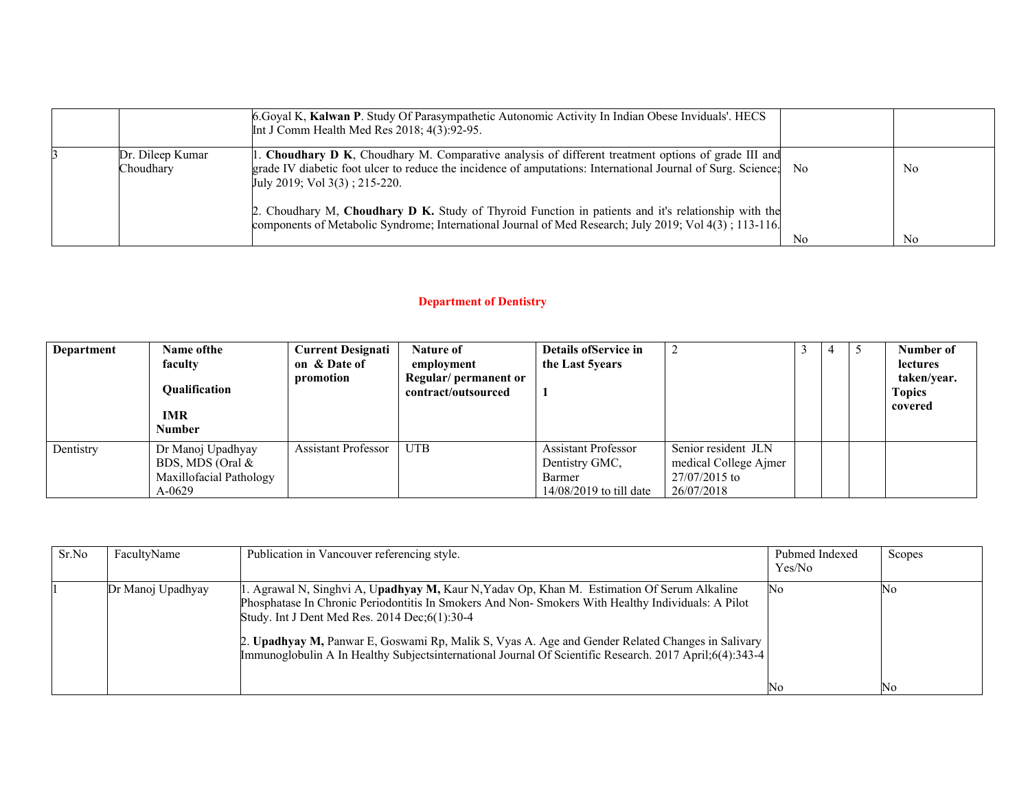|                               | 6. Goyal K, Kalwan P. Study Of Parasympathetic Autonomic Activity In Indian Obese Inviduals'. HECS<br>Int J Comm Health Med Res $2018$ ; $4(3):92-95$ .                                                                                                    |                |                |
|-------------------------------|------------------------------------------------------------------------------------------------------------------------------------------------------------------------------------------------------------------------------------------------------------|----------------|----------------|
| Dr. Dileep Kumar<br>Choudhary | 1. Choudhary D K, Choudhary M. Comparative analysis of different treatment options of grade III and<br>grade IV diabetic foot ulcer to reduce the incidence of amputations: International Journal of Surg. Science; No<br>July 2019; Vol $3(3)$ ; 215-220. |                | No             |
|                               | 2. Choudhary M, Choudhary D K. Study of Thyroid Function in patients and it's relationship with the<br>components of Metabolic Syndrome; International Journal of Med Research; July 2019; Vol 4(3); 113-116.                                              | N <sub>0</sub> | N <sub>0</sub> |

### **Department of Dentistry**

| Department | Name of the                                                                   | <b>Current Designati</b>   | Nature of                                    | Details of Service in                                                               |                                                                               | 4 | Number of                    |
|------------|-------------------------------------------------------------------------------|----------------------------|----------------------------------------------|-------------------------------------------------------------------------------------|-------------------------------------------------------------------------------|---|------------------------------|
|            | faculty                                                                       | on & Date of               | employment                                   | the Last 5years                                                                     |                                                                               |   | <b>lectures</b>              |
|            | <b>Oualification</b>                                                          | promotion                  | Regular/ permanent or<br>contract/outsourced |                                                                                     |                                                                               |   | taken/vear.<br><b>Topics</b> |
|            | <b>IMR</b><br><b>Number</b>                                                   |                            |                                              |                                                                                     |                                                                               |   | covered                      |
| Dentistry  | Dr Manoj Upadhyay<br>BDS, MDS (Oral $\&$<br>Maxillofacial Pathology<br>A-0629 | <b>Assistant Professor</b> | <b>UTB</b>                                   | <b>Assistant Professor</b><br>Dentistry GMC,<br>Barmer<br>$14/08/2019$ to till date | Senior resident JLN<br>medical College Ajmer<br>$27/07/2015$ to<br>26/07/2018 |   |                              |

| Sr.No | FacultyName       | Publication in Vancouver referencing style.                                                                                                                                                                                                                                                                                                                                                                                                                                 | Pubmed Indexed<br>Yes/No | Scopes         |
|-------|-------------------|-----------------------------------------------------------------------------------------------------------------------------------------------------------------------------------------------------------------------------------------------------------------------------------------------------------------------------------------------------------------------------------------------------------------------------------------------------------------------------|--------------------------|----------------|
|       | Dr Manoj Upadhyay | l. Agrawal N, Singhvi A, U <b>padhyay M,</b> Kaur N, Yadav Op, Khan M. Estimation Of Serum Alkaline<br>Phosphatase In Chronic Periodontitis In Smokers And Non-Smokers With Healthy Individuals: A Pilot<br>Study. Int J Dent Med Res. 2014 Dec;6(1):30-4<br>2. Upadhyay M, Panwar E, Goswami Rp, Malik S, Vyas A. Age and Gender Related Changes in Salivary<br>Immunoglobulin A In Healthy Subjects international Journal Of Scientific Research. 2017 April; 6(4): 343-4 | No                       | No             |
|       |                   |                                                                                                                                                                                                                                                                                                                                                                                                                                                                             | No                       | N <sub>0</sub> |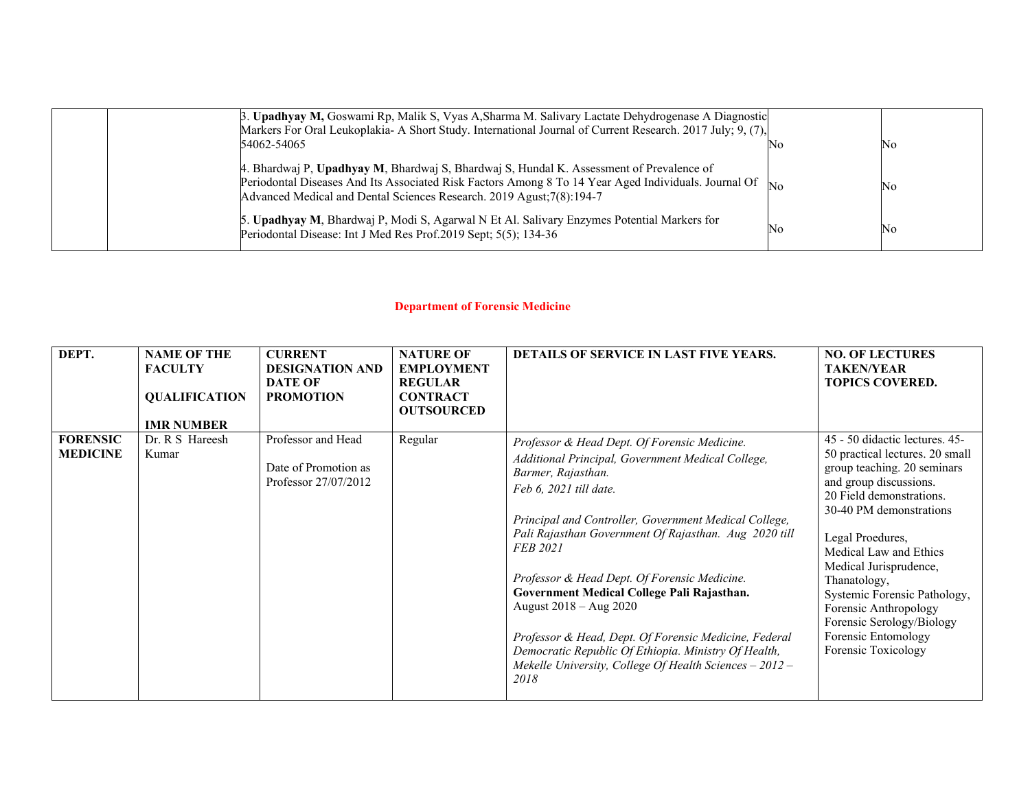| 3. Upadhyay M, Goswami Rp, Malik S, Vyas A, Sharma M. Salivary Lactate Dehydrogenase A Diagnostic<br>Markers For Oral Leukoplakia- A Short Study. International Journal of Current Research. 2017 July; 9, (7),<br>54062-54065                                           |                | ΙNο |
|--------------------------------------------------------------------------------------------------------------------------------------------------------------------------------------------------------------------------------------------------------------------------|----------------|-----|
| 4. Bhardwaj P, Upadhyay M, Bhardwaj S, Bhardwaj S, Hundal K. Assessment of Prevalence of<br>Periodontal Diseases And Its Associated Risk Factors Among 8 To 14 Year Aged Individuals. Journal Of<br>Advanced Medical and Dental Sciences Research. 2019 Agust;7(8):194-7 | $\mathbf{N}$ c | ΙNο |
| 5. Upadhyay M, Bhardwaj P, Modi S, Agarwal N Et Al. Salivary Enzymes Potential Markers for<br>Periodontal Disease: Int J Med Res Prof.2019 Sept; 5(5); 134-36                                                                                                            | No             | ΙNο |

# **Department of Forensic Medicine**

| DEPT.                              | <b>NAME OF THE</b><br><b>FACULTY</b><br><b>QUALIFICATION</b><br><b>IMR NUMBER</b> | <b>CURRENT</b><br><b>DESIGNATION AND</b><br><b>DATE OF</b><br><b>PROMOTION</b> | <b>NATURE OF</b><br><b>EMPLOYMENT</b><br><b>REGULAR</b><br><b>CONTRACT</b><br><b>OUTSOURCED</b> | <b>DETAILS OF SERVICE IN LAST FIVE YEARS.</b>                                                                                                                                                                                                                                                                                                                                                                                                                                                                                                                                                      | <b>NO. OF LECTURES</b><br><b>TAKEN/YEAR</b><br><b>TOPICS COVERED.</b>                                                                                                                                                                                                                                                                                                                                         |
|------------------------------------|-----------------------------------------------------------------------------------|--------------------------------------------------------------------------------|-------------------------------------------------------------------------------------------------|----------------------------------------------------------------------------------------------------------------------------------------------------------------------------------------------------------------------------------------------------------------------------------------------------------------------------------------------------------------------------------------------------------------------------------------------------------------------------------------------------------------------------------------------------------------------------------------------------|---------------------------------------------------------------------------------------------------------------------------------------------------------------------------------------------------------------------------------------------------------------------------------------------------------------------------------------------------------------------------------------------------------------|
| <b>FORENSIC</b><br><b>MEDICINE</b> | Dr. R S Hareesh<br>Kumar                                                          | Professor and Head<br>Date of Promotion as<br>Professor 27/07/2012             | Regular                                                                                         | Professor & Head Dept. Of Forensic Medicine.<br>Additional Principal, Government Medical College,<br>Barmer, Rajasthan.<br>Feb 6, 2021 till date.<br>Principal and Controller, Government Medical College,<br>Pali Rajasthan Government Of Rajasthan. Aug 2020 till<br><b>FEB 2021</b><br>Professor & Head Dept. Of Forensic Medicine.<br>Government Medical College Pali Rajasthan.<br>August 2018 - Aug 2020<br>Professor & Head, Dept. Of Forensic Medicine, Federal<br>Democratic Republic Of Ethiopia. Ministry Of Health,<br>Mekelle University, College Of Health Sciences $-2012-$<br>2018 | 45 - 50 didactic lectures. 45-<br>50 practical lectures. 20 small<br>group teaching. 20 seminars<br>and group discussions.<br>20 Field demonstrations.<br>30-40 PM demonstrations<br>Legal Proedures,<br>Medical Law and Ethics<br>Medical Jurisprudence,<br>Thanatology,<br>Systemic Forensic Pathology,<br>Forensic Anthropology<br>Forensic Serology/Biology<br>Forensic Entomology<br>Forensic Toxicology |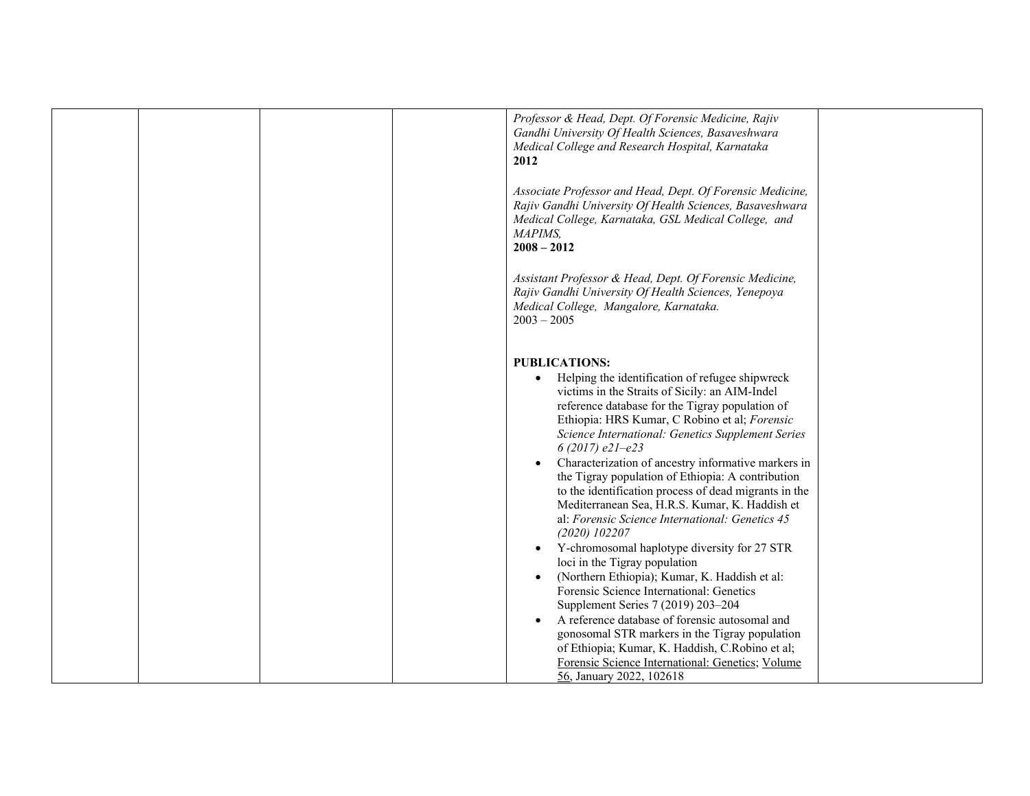|  |  | Professor & Head, Dept. Of Forensic Medicine, Rajiv<br>Gandhi University Of Health Sciences, Basaveshwara<br>Medical College and Research Hospital, Karnataka<br>2012                                                                                                                                                                                                                                                                                                                                                                                                                                                                                                                                                                                                                                                                                                                                                                                                                                                                                                         |  |
|--|--|-------------------------------------------------------------------------------------------------------------------------------------------------------------------------------------------------------------------------------------------------------------------------------------------------------------------------------------------------------------------------------------------------------------------------------------------------------------------------------------------------------------------------------------------------------------------------------------------------------------------------------------------------------------------------------------------------------------------------------------------------------------------------------------------------------------------------------------------------------------------------------------------------------------------------------------------------------------------------------------------------------------------------------------------------------------------------------|--|
|  |  | Associate Professor and Head, Dept. Of Forensic Medicine,<br>Rajiv Gandhi University Of Health Sciences, Basaveshwara<br>Medical College, Karnataka, GSL Medical College, and<br>MAPIMS,<br>$2008 - 2012$                                                                                                                                                                                                                                                                                                                                                                                                                                                                                                                                                                                                                                                                                                                                                                                                                                                                     |  |
|  |  | Assistant Professor & Head, Dept. Of Forensic Medicine,<br>Rajiv Gandhi University Of Health Sciences, Yenepoya<br>Medical College, Mangalore, Karnataka.<br>$2003 - 2005$                                                                                                                                                                                                                                                                                                                                                                                                                                                                                                                                                                                                                                                                                                                                                                                                                                                                                                    |  |
|  |  | <b>PUBLICATIONS:</b><br>Helping the identification of refugee shipwreck<br>$\bullet$<br>victims in the Straits of Sicily: an AIM-Indel<br>reference database for the Tigray population of<br>Ethiopia: HRS Kumar, C Robino et al; Forensic<br>Science International: Genetics Supplement Series<br>6 (2017) $e21-e23$<br>Characterization of ancestry informative markers in<br>the Tigray population of Ethiopia: A contribution<br>to the identification process of dead migrants in the<br>Mediterranean Sea, H.R.S. Kumar, K. Haddish et<br>al: Forensic Science International: Genetics 45<br>$(2020)$ 102207<br>Y-chromosomal haplotype diversity for 27 STR<br>loci in the Tigray population<br>(Northern Ethiopia); Kumar, K. Haddish et al:<br>Forensic Science International: Genetics<br>Supplement Series 7 (2019) 203-204<br>A reference database of forensic autosomal and<br>gonosomal STR markers in the Tigray population<br>of Ethiopia; Kumar, K. Haddish, C.Robino et al;<br>Forensic Science International: Genetics; Volume<br>56, January 2022, 102618 |  |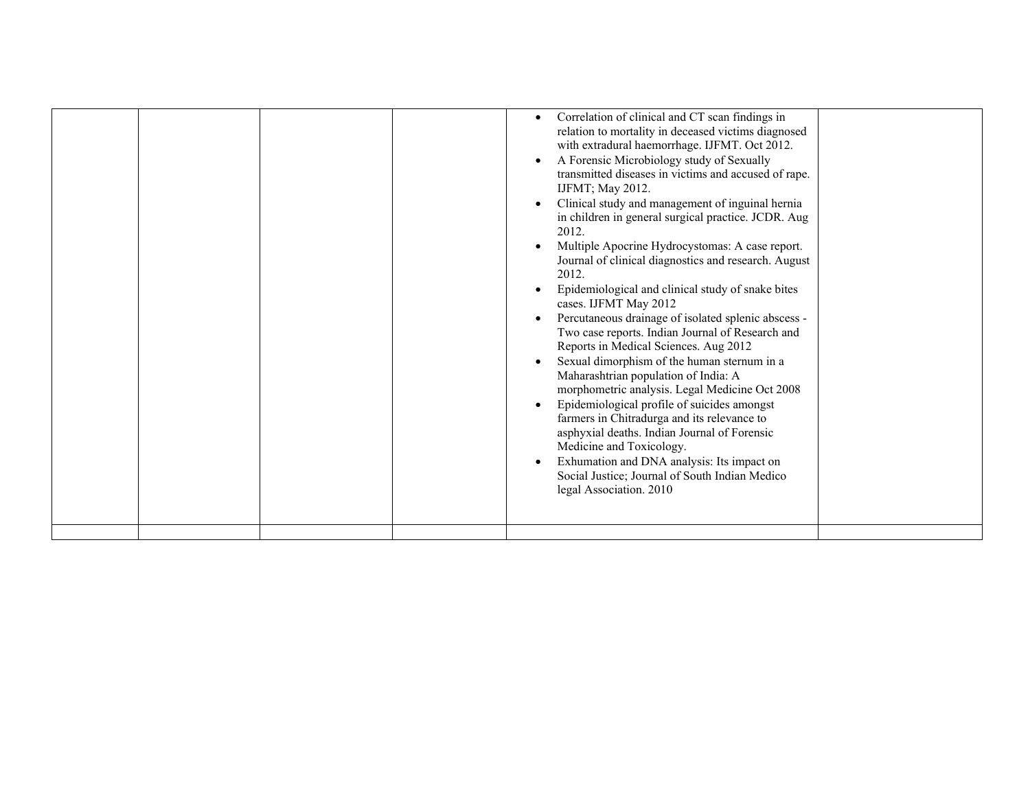| 2012.<br>2012.<br>farmers in Chitradurga and its relevance to<br>asphyxial deaths. Indian Journal of Forensic<br>Medicine and Toxicology.<br>Exhumation and DNA analysis: Its impact on<br>Social Justice; Journal of South Indian Medico | Correlation of clinical and CT scan findings in<br>relation to mortality in deceased victims diagnosed<br>with extradural haemorrhage. IJFMT. Oct 2012.<br>A Forensic Microbiology study of Sexually<br>transmitted diseases in victims and accused of rape.<br>IJFMT; May 2012.<br>Clinical study and management of inguinal hernia<br>in children in general surgical practice. JCDR. Aug<br>Multiple Apocrine Hydrocystomas: A case report.<br>Journal of clinical diagnostics and research. August<br>Epidemiological and clinical study of snake bites<br>cases. IJFMT May 2012<br>Percutaneous drainage of isolated splenic abscess -<br>Two case reports. Indian Journal of Research and<br>Reports in Medical Sciences. Aug 2012<br>Sexual dimorphism of the human sternum in a<br>Maharashtrian population of India: A<br>morphometric analysis. Legal Medicine Oct 2008<br>Epidemiological profile of suicides amongst |
|-------------------------------------------------------------------------------------------------------------------------------------------------------------------------------------------------------------------------------------------|----------------------------------------------------------------------------------------------------------------------------------------------------------------------------------------------------------------------------------------------------------------------------------------------------------------------------------------------------------------------------------------------------------------------------------------------------------------------------------------------------------------------------------------------------------------------------------------------------------------------------------------------------------------------------------------------------------------------------------------------------------------------------------------------------------------------------------------------------------------------------------------------------------------------------------|
|-------------------------------------------------------------------------------------------------------------------------------------------------------------------------------------------------------------------------------------------|----------------------------------------------------------------------------------------------------------------------------------------------------------------------------------------------------------------------------------------------------------------------------------------------------------------------------------------------------------------------------------------------------------------------------------------------------------------------------------------------------------------------------------------------------------------------------------------------------------------------------------------------------------------------------------------------------------------------------------------------------------------------------------------------------------------------------------------------------------------------------------------------------------------------------------|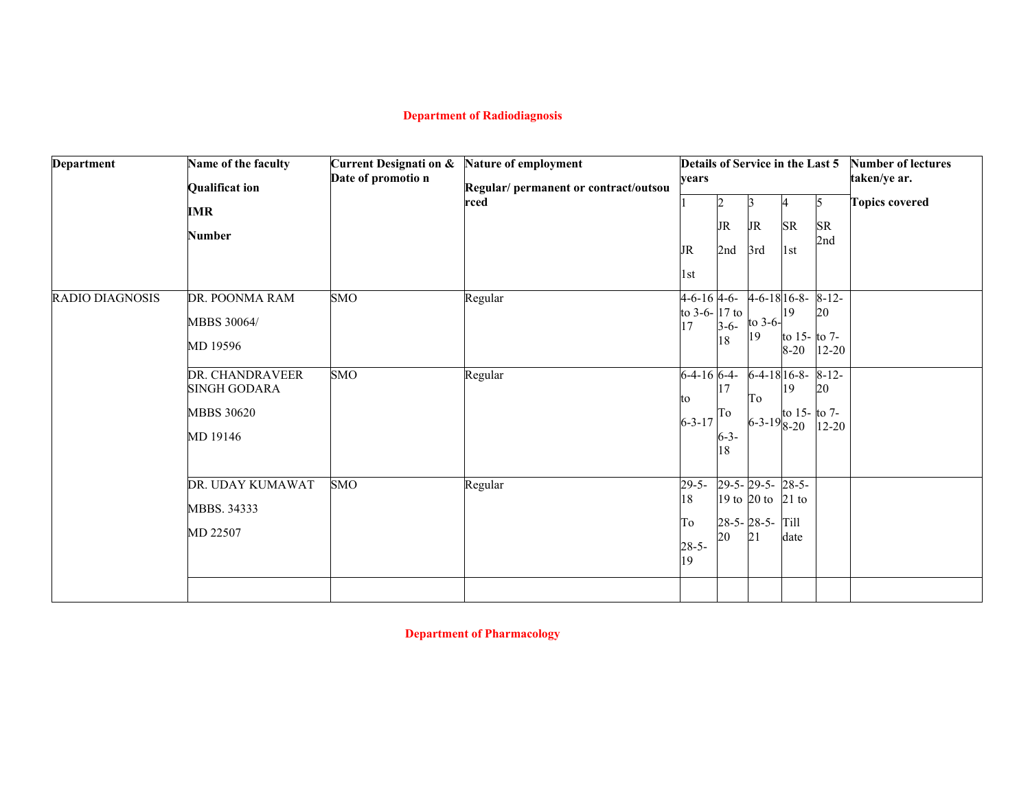# **Department of Radiodiagnosis**

| <b>Department</b> | Name of the faculty<br><b>Qualificat ion</b><br>IMR<br><b>Number</b>                                                 | <b>Current Designati on &amp;</b><br>Date of promotio n | Nature of employment<br>Regular/ permanent or contract/outsou<br>rced | vears<br>JR<br>1st                                                                  | JR<br>2nd                                   | Details of Service in the Last 5<br>13<br><b>JR</b><br>3rd                          | <b>SR</b><br>1st                                                 | 5<br><b>SR</b><br>2nd                                          | <b>Number of lectures</b><br>taken/ye ar.<br><b>Topics covered</b> |
|-------------------|----------------------------------------------------------------------------------------------------------------------|---------------------------------------------------------|-----------------------------------------------------------------------|-------------------------------------------------------------------------------------|---------------------------------------------|-------------------------------------------------------------------------------------|------------------------------------------------------------------|----------------------------------------------------------------|--------------------------------------------------------------------|
| RADIO DIAGNOSIS   | DR. POONMA RAM<br>MBBS 30064/<br>MD 19596<br>DR. CHANDRAVEER<br><b>SINGH GODARA</b><br><b>MBBS 30620</b><br>MD 19146 | <b>SMO</b><br><b>SMO</b>                                | Regular<br>Regular                                                    | $4 - 6 - 16$ 4-6-<br>to 3-6- $17$ to<br>17<br>$6-4-16$ $6-4-$<br>to<br>$6 - 3 - 17$ | $3-6-$<br>18<br>17<br>To<br>$6 - 3 -$<br>18 | $4 - 6 - 1816 - 8$<br>to 3-6-<br>19<br>$6-4-18$ $16-8-$<br>To<br>$6 - 3 - 198 - 20$ | 19<br>to $15 -$ to $7 -$<br>$8 - 20$<br>19<br>to $15 -$ to $7 -$ | $8 - 12 -$<br>20<br>$12 - 20$<br>$8 - 12 -$<br>20<br>$12 - 20$ |                                                                    |
|                   | DR. UDAY KUMAWAT<br>MBBS. 34333<br>MD 22507                                                                          | <b>SMO</b>                                              | Regular                                                               | $29-5-$<br>18<br>To<br>$28-5-$<br>19                                                | 20                                          | 29-5-29-5-28-5-<br>19 to 20 to 21 to<br>$28-5 - 28-5$<br>21                         | Till<br>date                                                     |                                                                |                                                                    |

**Department of Pharmacology**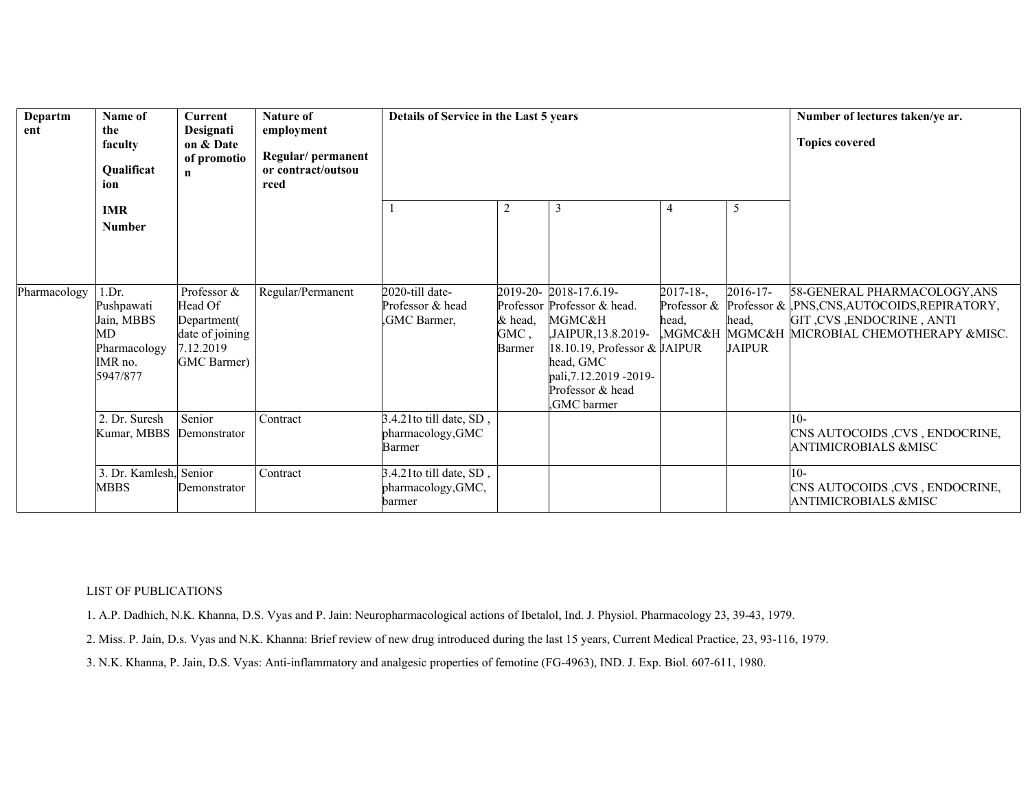| Departm<br>ent | Name of<br>the<br>faculty<br>Qualificat<br>ion                                        | <b>Current</b><br>Designati<br>on & Date<br>of promotio<br>n                         | <b>Nature of</b><br>employment<br>Regular/ permanent<br>or contract/outsou<br>rced | Details of Service in the Last 5 years                  |                           | Number of lectures taken/ye ar.<br><b>Topics covered</b>                                                                                                                                        |                         |                                         |                                                                                                                                                                    |
|----------------|---------------------------------------------------------------------------------------|--------------------------------------------------------------------------------------|------------------------------------------------------------------------------------|---------------------------------------------------------|---------------------------|-------------------------------------------------------------------------------------------------------------------------------------------------------------------------------------------------|-------------------------|-----------------------------------------|--------------------------------------------------------------------------------------------------------------------------------------------------------------------|
|                | <b>IMR</b><br><b>Number</b>                                                           |                                                                                      |                                                                                    |                                                         | 2                         | 3                                                                                                                                                                                               | 4                       | 5                                       |                                                                                                                                                                    |
| Pharmacology   | 1.Dr.<br>Pushpawati<br>Jain, MBBS<br><b>MD</b><br>Pharmacology<br>IMR no.<br>5947/877 | Professor &<br>Head Of<br>Department(<br>date of joining<br>7.12.2019<br>GMC Barmer) | Regular/Permanent                                                                  | 2020-till date-<br>Professor & head<br>,GMC Barmer,     | & head,<br>GMC,<br>Barmer | 2019-20-2018-17.6.19-<br>Professor Professor & head.<br>MGMC&H<br>,JAIPUR,13.8.2019-<br>18.10.19, Professor & JAIPUR<br>head, GMC<br>pali, 7.12.2019 - 2019 -<br>Professor & head<br>GMC barmer | $2017 - 18$ -,<br>head, | $2016 - 17$ -<br>head,<br><b>JAIPUR</b> | 58-GENERAL PHARMACOLOGY, ANS<br>Professor & Professor & ,PNS,CNS,AUTOCOIDS,REPIRATORY,<br>GIT, CVS, ENDOCRINE, ANTI<br>MGMC&H MGMC&H MICROBIAL CHEMOTHERAPY &MISC. |
|                | 2. Dr. Suresh<br>Kumar, MBBS                                                          | Senior<br>Demonstrator                                                               | Contract                                                                           | 3.4.21to till date, SD,<br>pharmacology, GMC<br>Barmer  |                           |                                                                                                                                                                                                 |                         |                                         | $10-$<br>CNS AUTOCOIDS, CVS, ENDOCRINE,<br><b>ANTIMICROBIALS &amp;MISC</b>                                                                                         |
|                | 3. Dr. Kamlesh, Senior<br>MBBS                                                        | Demonstrator                                                                         | Contract                                                                           | 3.4.21to till date, SD,<br>pharmacology, GMC,<br>barmer |                           |                                                                                                                                                                                                 |                         |                                         | $10-$<br>CNS AUTOCOIDS, CVS, ENDOCRINE,<br><b>ANTIMICROBIALS &amp;MISC</b>                                                                                         |

### LIST OF PUBLICATIONS

1. A.P. Dadhich, N.K. Khanna, D.S. Vyas and P. Jain: Neuropharmacological actions of Ibetalol, Ind. J. Physiol. Pharmacology 23, 39-43, 1979.

2. Miss. P. Jain, D.s. Vyas and N.K. Khanna: Brief review of new drug introduced during the last 15 years, Current Medical Practice, 23, 93-116, 1979.

3. N.K. Khanna, P. Jain, D.S. Vyas: Anti-inflammatory and analgesic properties of femotine (FG-4963), IND. J. Exp. Biol. 607-611, 1980.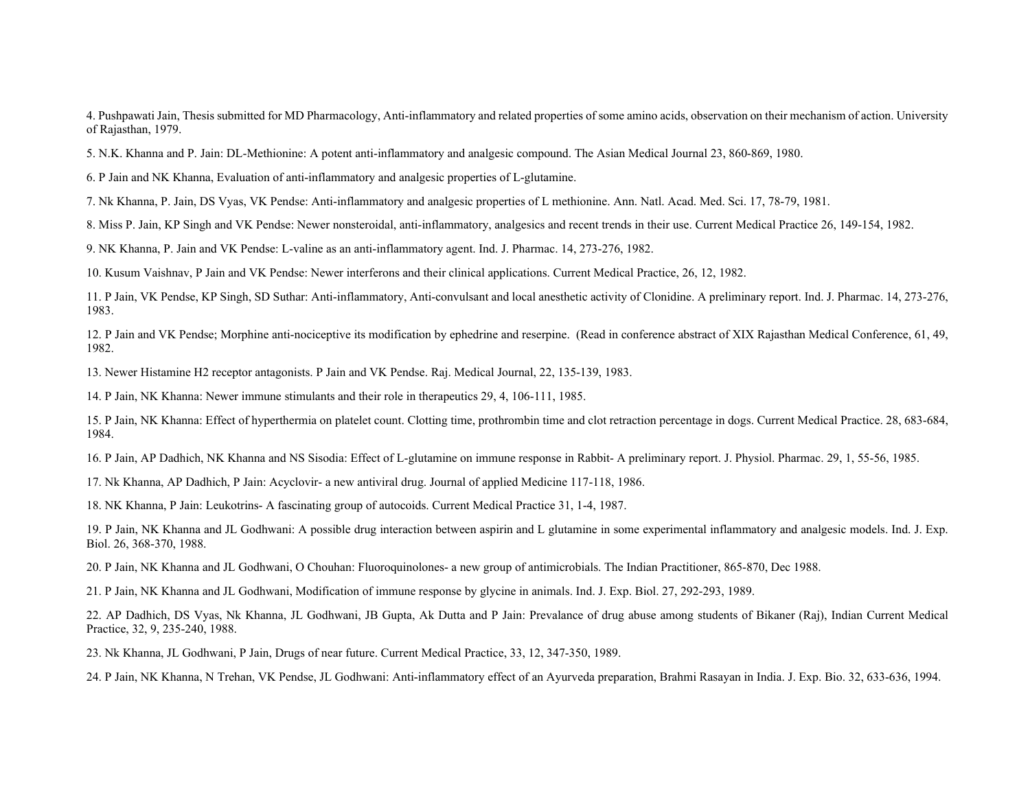4. Pushpawati Jain, Thesis submitted for MD Pharmacology, Anti-inflammatory and related properties of some amino acids, observation on their mechanism of action. University of Rajasthan, 1979.

5. N.K. Khanna and P. Jain: DL-Methionine: A potent anti-inflammatory and analgesic compound. The Asian Medical Journal 23, 860-869, 1980.

6. P Jain and NK Khanna, Evaluation of anti-inflammatory and analgesic properties of L-glutamine.

7. Nk Khanna, P. Jain, DS Vyas, VK Pendse: Anti-inflammatory and analgesic properties of L methionine. Ann. Natl. Acad. Med. Sci. 17, 78-79, 1981.

8. Miss P. Jain, KP Singh and VK Pendse: Newer nonsteroidal, anti-inflammatory, analgesics and recent trends in their use. Current Medical Practice 26, 149-154, 1982.

9. NK Khanna, P. Jain and VK Pendse: L-valine as an anti-inflammatory agent. Ind. J. Pharmac. 14, 273-276, 1982.

10. Kusum Vaishnav, P Jain and VK Pendse: Newer interferons and their clinical applications. Current Medical Practice, 26, 12, 1982.

11. P Jain, VK Pendse, KP Singh, SD Suthar: Anti-inflammatory, Anti-convulsant and local anesthetic activity of Clonidine. A preliminary report. Ind. J. Pharmac. 14, 273-276, 1983.

12. P Jain and VK Pendse; Morphine anti-nociceptive its modification by ephedrine and reserpine. (Read in conference abstract of XIX Rajasthan Medical Conference, 61, 49, 1982.

13. Newer Histamine H2 receptor antagonists. P Jain and VK Pendse. Raj. Medical Journal, 22, 135-139, 1983.

14. P Jain, NK Khanna: Newer immune stimulants and their role in therapeutics 29, 4, 106-111, 1985.

15. P Jain, NK Khanna: Effect of hyperthermia on platelet count. Clotting time, prothrombin time and clot retraction percentage in dogs. Current Medical Practice. 28, 683-684, 1984.

16. P Jain, AP Dadhich, NK Khanna and NS Sisodia: Effect of L-glutamine on immune response in Rabbit- A preliminary report. J. Physiol. Pharmac. 29, 1, 55-56, 1985.

17. Nk Khanna, AP Dadhich, P Jain: Acyclovir- a new antiviral drug. Journal of applied Medicine 117-118, 1986.

18. NK Khanna, P Jain: Leukotrins- A fascinating group of autocoids. Current Medical Practice 31, 1-4, 1987.

19. P Jain, NK Khanna and JL Godhwani: A possible drug interaction between aspirin and L glutamine in some experimental inflammatory and analgesic models. Ind. J. Exp. Biol. 26, 368-370, 1988.

20. P Jain, NK Khanna and JL Godhwani, O Chouhan: Fluoroquinolones- a new group of antimicrobials. The Indian Practitioner, 865-870, Dec 1988.

21. P Jain, NK Khanna and JL Godhwani, Modification of immune response by glycine in animals. Ind. J. Exp. Biol. 27, 292-293, 1989.

22. AP Dadhich, DS Vyas, Nk Khanna, JL Godhwani, JB Gupta, Ak Dutta and P Jain: Prevalance of drug abuse among students of Bikaner (Raj), Indian Current Medical Practice, 32, 9, 235-240, 1988.

23. Nk Khanna, JL Godhwani, P Jain, Drugs of near future. Current Medical Practice, 33, 12, 347-350, 1989.

24. P Jain, NK Khanna, N Trehan, VK Pendse, JL Godhwani: Anti-inflammatory effect of an Ayurveda preparation, Brahmi Rasayan in India. J. Exp. Bio. 32, 633-636, 1994.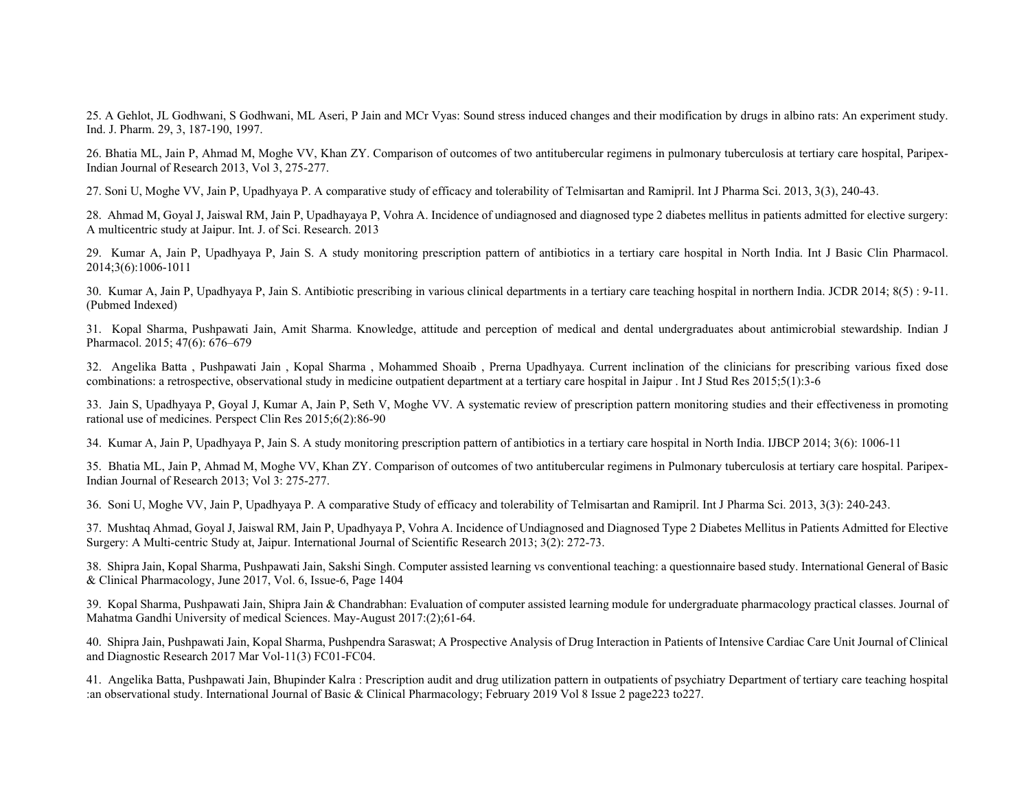25. A Gehlot, JL Godhwani, S Godhwani, ML Aseri, P Jain and MCr Vyas: Sound stress induced changes and their modification by drugs in albino rats: An experiment study. Ind. J. Pharm. 29, 3, 187-190, 1997.

26. Bhatia ML, Jain P, Ahmad M, Moghe VV, Khan ZY. Comparison of outcomes of two antitubercular regimens in pulmonary tuberculosis at tertiary care hospital, Paripex-Indian Journal of Research 2013, Vol 3, 275-277.

27. Soni U, Moghe VV, Jain P, Upadhyaya P. A comparative study of efficacy and tolerability of Telmisartan and Ramipril. Int J Pharma Sci. 2013, 3(3), 240-43.

28. Ahmad M, Goyal J, Jaiswal RM, Jain P, Upadhayaya P, Vohra A. Incidence of undiagnosed and diagnosed type 2 diabetes mellitus in patients admitted for elective surgery: A multicentric study at Jaipur. Int. J. of Sci. Research. 2013

29. Kumar A, Jain P, Upadhyaya P, Jain S. A study monitoring prescription pattern of antibiotics in a tertiary care hospital in North India. Int J Basic Clin Pharmacol. 2014;3(6):1006-1011

30. Kumar A, Jain P, Upadhyaya P, Jain S. Antibiotic prescribing in various clinical departments in a tertiary care teaching hospital in northern India. JCDR 2014; 8(5) : 9-11. (Pubmed Indexed)

31. Kopal Sharma, Pushpawati Jain, Amit Sharma. Knowledge, attitude and perception of medical and dental undergraduates about antimicrobial stewardship. Indian J Pharmacol. 2015; 47(6): 676–679

32. Angelika Batta , Pushpawati Jain , Kopal Sharma , Mohammed Shoaib , Prerna Upadhyaya. Current inclination of the clinicians for prescribing various fixed dose combinations: a retrospective, observational study in medicine outpatient department at a tertiary care hospital in Jaipur . Int J Stud Res 2015;5(1):3-6

33. Jain S, Upadhyaya P, Goyal J, Kumar A, Jain P, Seth V, Moghe VV. A systematic review of prescription pattern monitoring studies and their effectiveness in promoting rational use of medicines. Perspect Clin Res 2015;6(2):86-90

34. Kumar A, Jain P, Upadhyaya P, Jain S. A study monitoring prescription pattern of antibiotics in a tertiary care hospital in North India. IJBCP 2014; 3(6): 1006-11

35. Bhatia ML, Jain P, Ahmad M, Moghe VV, Khan ZY. Comparison of outcomes of two antitubercular regimens in Pulmonary tuberculosis at tertiary care hospital. Paripex-Indian Journal of Research 2013; Vol 3: 275-277.

36. Soni U, Moghe VV, Jain P, Upadhyaya P. A comparative Study of efficacy and tolerability of Telmisartan and Ramipril. Int J Pharma Sci. 2013, 3(3): 240-243.

37. Mushtaq Ahmad, Goyal J, Jaiswal RM, Jain P, Upadhyaya P, Vohra A. Incidence of Undiagnosed and Diagnosed Type 2 Diabetes Mellitus in Patients Admitted for Elective Surgery: A Multi-centric Study at, Jaipur. International Journal of Scientific Research 2013; 3(2): 272-73.

38. Shipra Jain, Kopal Sharma, Pushpawati Jain, Sakshi Singh. Computer assisted learning vs conventional teaching: a questionnaire based study. International General of Basic & Clinical Pharmacology, June 2017, Vol. 6, Issue-6, Page 1404

39. Kopal Sharma, Pushpawati Jain, Shipra Jain & Chandrabhan: Evaluation of computer assisted learning module for undergraduate pharmacology practical classes. Journal of Mahatma Gandhi University of medical Sciences. May-August 2017:(2);61-64.

40. Shipra Jain, Pushpawati Jain, Kopal Sharma, Pushpendra Saraswat; A Prospective Analysis of Drug Interaction in Patients of Intensive Cardiac Care Unit Journal of Clinical and Diagnostic Research 2017 Mar Vol-11(3) FC01-FC04.

41. Angelika Batta, Pushpawati Jain, Bhupinder Kalra : Prescription audit and drug utilization pattern in outpatients of psychiatry Department of tertiary care teaching hospital :an observational study. International Journal of Basic & Clinical Pharmacology; February 2019 Vol 8 Issue 2 page223 to227.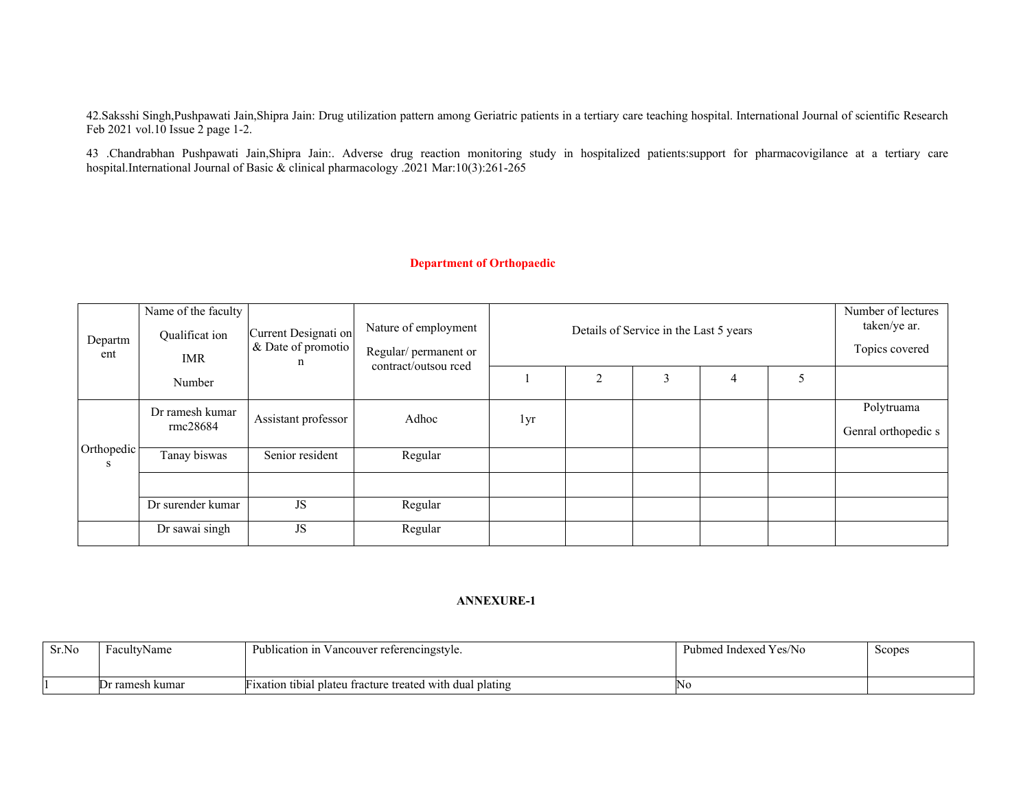42.Saksshi Singh,Pushpawati Jain,Shipra Jain: Drug utilization pattern among Geriatric patients in a tertiary care teaching hospital. International Journal of scientific Research Feb 2021 vol.10 Issue 2 page 1-2.

43 .Chandrabhan Pushpawati Jain,Shipra Jain:. Adverse drug reaction monitoring study in hospitalized patients:support for pharmacovigilance at a tertiary care hospital.International Journal of Basic & clinical pharmacology .2021 Mar:10(3):261-265

### **Department of Orthopaedic**

| Departm<br>ent  | Name of the faculty<br>Qualificat ion<br>IMR | Current Designati on<br>& Date of promotio | Nature of employment<br>Regular/ permanent or | Details of Service in the Last 5 years<br>contract/outsou rced |                |   |   |  |                                   |
|-----------------|----------------------------------------------|--------------------------------------------|-----------------------------------------------|----------------------------------------------------------------|----------------|---|---|--|-----------------------------------|
|                 | Number                                       |                                            |                                               |                                                                | $\overline{2}$ | 3 | 4 |  |                                   |
|                 | Dr ramesh kumar<br>rmc28684                  | Assistant professor                        | Adhoc                                         | 1yr                                                            |                |   |   |  | Polytruama<br>Genral orthopedic s |
| Orthopedic<br>S | Tanay biswas                                 | Senior resident                            | Regular                                       |                                                                |                |   |   |  |                                   |
|                 | Dr surender kumar                            | JS                                         | Regular                                       |                                                                |                |   |   |  |                                   |
|                 | Dr sawai singh                               | <b>JS</b>                                  | Regular                                       |                                                                |                |   |   |  |                                   |

| Sr.No | FacultyName     | Publication in<br>Vancouver referencingstyle.             | <sup>1</sup> Yes/No<br>Pubmed<br>. Indexed | Scopes |
|-------|-----------------|-----------------------------------------------------------|--------------------------------------------|--------|
|       |                 |                                                           |                                            |        |
|       | Dr ramesh kumar | Fixation tibial plateu fracture treated with dual plating | 'NG                                        |        |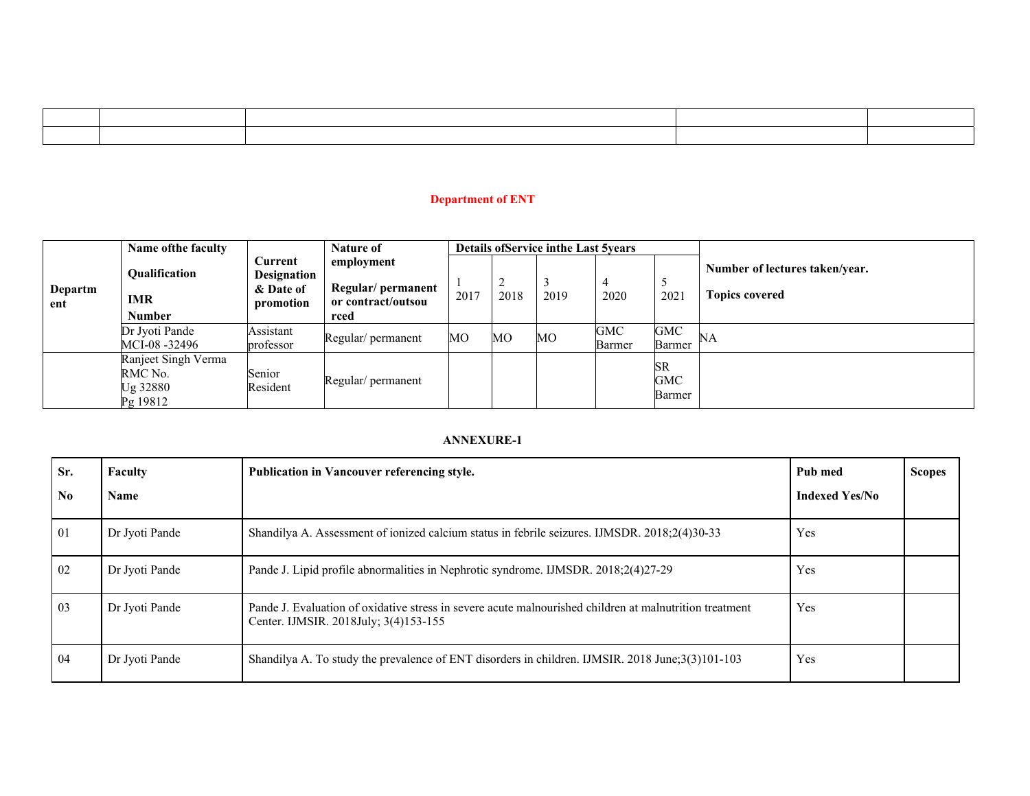# **Department of ENT**

|                | Name of the faculty                                    |                                                         | <b>Nature of</b>                                               |      |      | <b>Details of Service in the Last 5years</b> |               |                                   |                                                         |
|----------------|--------------------------------------------------------|---------------------------------------------------------|----------------------------------------------------------------|------|------|----------------------------------------------|---------------|-----------------------------------|---------------------------------------------------------|
| Departm<br>ent | Qualification<br><b>IMR</b><br><b>Number</b>           | Current<br><b>Designation</b><br>& Date of<br>promotion | employment<br>Regular/ permanent<br>or contract/outsou<br>rced | 2017 | 2018 | 2019                                         | 2020          | 5<br>2021                         | Number of lectures taken/year.<br><b>Topics covered</b> |
|                | Dr Jyoti Pande<br>MCI-08 -32496                        | Assistant<br>professor                                  | Regular/ permanent                                             | MO   | МO   | МO                                           | GMC<br>Barmer | <b>GMC</b><br><b>Barmer</b>       | <b>NA</b>                                               |
|                | Ranjeet Singh Verma<br>RMC No.<br>Ug 32880<br>Pg 19812 | Senior<br>Resident                                      | Regular/ permanent                                             |      |      |                                              |               | <b>SR</b><br>GMC<br><b>Barmer</b> |                                                         |

| Sr.            | Faculty        | Publication in Vancouver referencing style.<br>Pub med                                                                                           |                       | <b>Scopes</b> |
|----------------|----------------|--------------------------------------------------------------------------------------------------------------------------------------------------|-----------------------|---------------|
| N <sub>0</sub> | Name           |                                                                                                                                                  | <b>Indexed Yes/No</b> |               |
| $\overline{0}$ | Dr Jyoti Pande | Shandilya A. Assessment of ionized calcium status in febrile seizures. IJMSDR. 2018;2(4)30-33                                                    | Yes                   |               |
| 02             | Dr Jyoti Pande | Pande J. Lipid profile abnormalities in Nephrotic syndrome. IJMSDR. 2018;2(4)27-29                                                               | Yes                   |               |
| 03             | Dr Jyoti Pande | Pande J. Evaluation of oxidative stress in severe acute malnourished children at malnutrition treatment<br>Center. IJMSIR. 2018July; 3(4)153-155 | Yes                   |               |
| 04             | Dr Jyoti Pande | Shandilya A. To study the prevalence of ENT disorders in children. IJMSIR. 2018 June;3(3)101-103                                                 | Yes                   |               |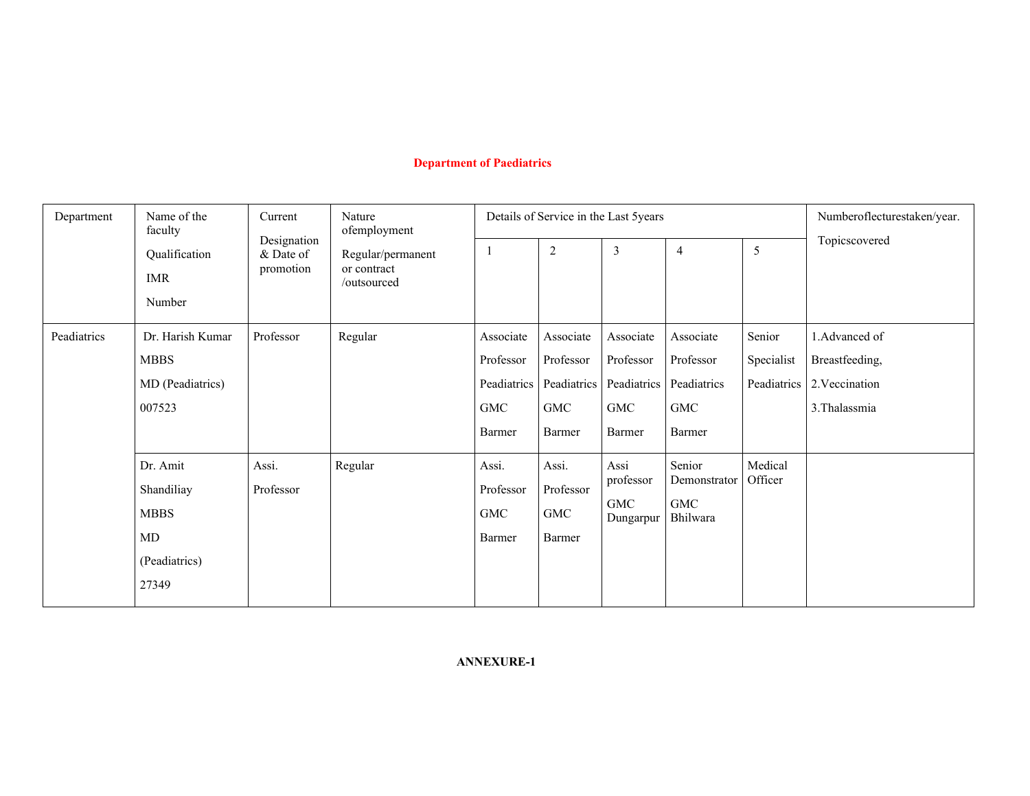# **Department of Paediatrics**

| Department  | Name of the<br>faculty                                                         | Current                                         | Nature<br>ofemployment |                                                                         | Details of Service in the Last 5years                  | Numberoflecturestaken/year.                                          |                                                  |                                     |                                                                    |
|-------------|--------------------------------------------------------------------------------|-------------------------------------------------|------------------------|-------------------------------------------------------------------------|--------------------------------------------------------|----------------------------------------------------------------------|--------------------------------------------------|-------------------------------------|--------------------------------------------------------------------|
|             | Designation<br>Qualification<br>& Date of<br>promotion<br><b>IMR</b><br>Number | Regular/permanent<br>or contract<br>/outsourced | -1                     | $\overline{2}$                                                          | $\overline{3}$                                         | $\overline{4}$                                                       | 5                                                | Topicscovered                       |                                                                    |
| Peadiatrics | Dr. Harish Kumar<br><b>MBBS</b><br>MD (Peadiatrics)<br>007523                  | Professor                                       | Regular                | Associate<br>Professor<br>Peadiatrics<br>$\operatorname{GMC}$<br>Barmer | Associate<br>Professor<br>Peadiatrics<br>GMC<br>Barmer | Associate<br>Professor<br>Peadiatrics   Peadiatrics<br>GMC<br>Barmer | Associate<br>Professor<br>GMC<br>Barmer          | Senior<br>Specialist<br>Peadiatrics | 1.Advanced of<br>Breastfeeding,<br>2. Veccination<br>3. Thalassmia |
|             | Dr. Amit<br>Shandiliay<br><b>MBBS</b><br>MD<br>(Peadiatrics)<br>27349          | Assi.<br>Professor                              | Regular                | Assi.<br>Professor<br><b>GMC</b><br>Barmer                              | Assi.<br>Professor<br>${\rm GMC}$<br>Barmer            | Assi<br>professor<br>GMC<br>Dungarpur                                | Senior<br>Demonstrator<br><b>GMC</b><br>Bhilwara | Medical<br>Officer                  |                                                                    |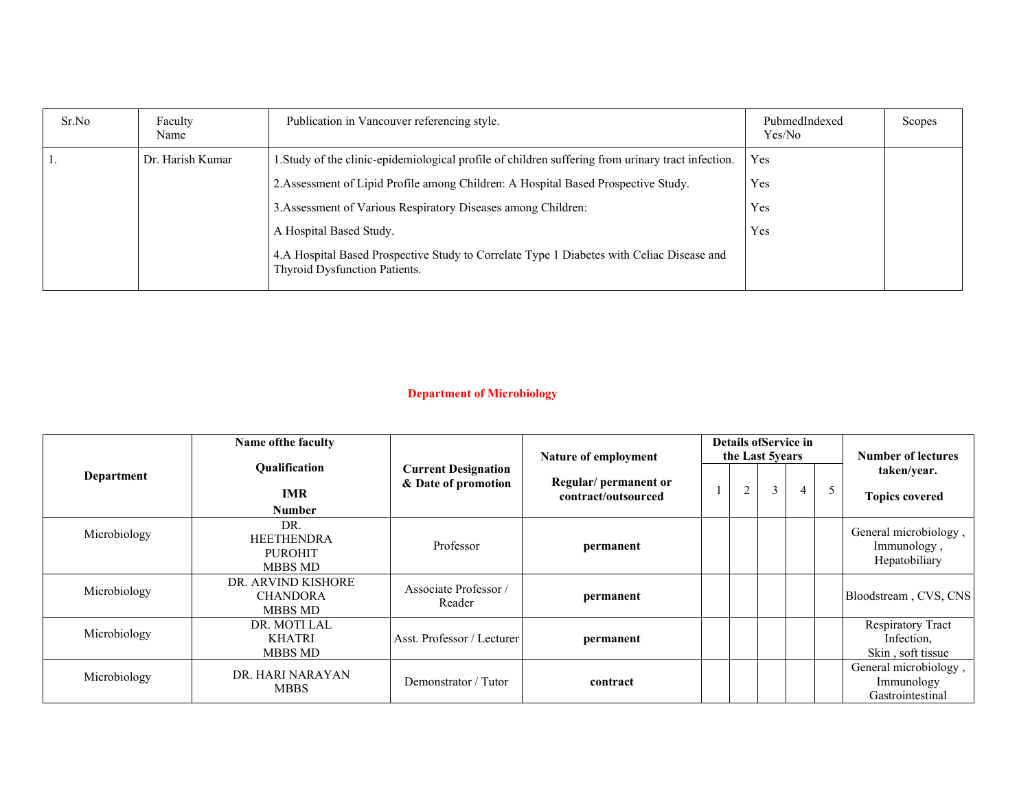| Sr.No | Faculty<br>Name  | Publication in Vancouver referencing style.                                                                                | PubmedIndexed<br>Yes/No | Scopes |
|-------|------------------|----------------------------------------------------------------------------------------------------------------------------|-------------------------|--------|
|       | Dr. Harish Kumar | 1. Study of the clinic-epidemiological profile of children suffering from urinary tract infection.                         | Yes                     |        |
|       |                  | 2. Assessment of Lipid Profile among Children: A Hospital Based Prospective Study.                                         | Yes                     |        |
|       |                  | 3. Assessment of Various Respiratory Diseases among Children:                                                              | Yes                     |        |
|       |                  | A Hospital Based Study.                                                                                                    | Yes                     |        |
|       |                  | 4.A Hospital Based Prospective Study to Correlate Type 1 Diabetes with Celiac Disease and<br>Thyroid Dysfunction Patients. |                         |        |

# **Department of Microbiology**

|              | Name of the faculty                                          |                                                   | Nature of employment                        | Details of Service in<br>the Last 5years |                |   |   | Number of lectures |                                                             |
|--------------|--------------------------------------------------------------|---------------------------------------------------|---------------------------------------------|------------------------------------------|----------------|---|---|--------------------|-------------------------------------------------------------|
| Department   | Qualification<br><b>IMR</b><br><b>Number</b>                 | <b>Current Designation</b><br>& Date of promotion | Regular/permanent or<br>contract/outsourced |                                          | $\overline{2}$ | 3 | 4 | 5                  | taken/year.<br><b>Topics covered</b>                        |
| Microbiology | DR.<br><b>HEETHENDRA</b><br><b>PUROHIT</b><br><b>MBBS MD</b> | Professor                                         | permanent                                   |                                          |                |   |   |                    | General microbiology,<br>Immunology,<br>Hepatobiliary       |
| Microbiology | DR. ARVIND KISHORE<br><b>CHANDORA</b><br><b>MBBS MD</b>      | Associate Professor /<br>Reader                   | permanent                                   |                                          |                |   |   |                    | Bloodstream, CVS, CNS                                       |
| Microbiology | DR. MOTI LAL<br><b>KHATRI</b><br><b>MBBS MD</b>              | Asst. Professor / Lecturer                        | permanent                                   |                                          |                |   |   |                    | <b>Respiratory Tract</b><br>Infection,<br>Skin, soft tissue |
| Microbiology | DR. HARI NARAYAN<br><b>MBBS</b>                              | Demonstrator / Tutor                              | contract                                    |                                          |                |   |   |                    | General microbiology,<br>Immunology<br>Gastrointestinal     |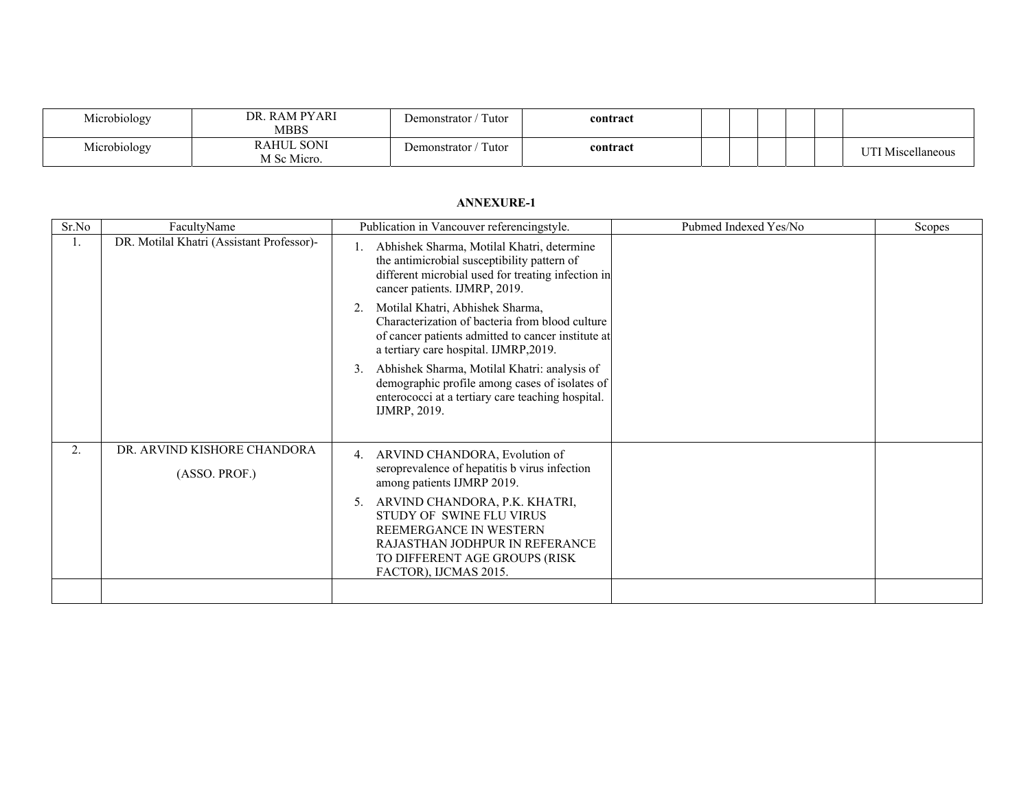| Microbiology | DR. RAM PYARI<br>MBBS            | $'$ Tutor<br>Demonstrator /    | contract |  |  |                   |
|--------------|----------------------------------|--------------------------------|----------|--|--|-------------------|
| Microbiology | <b>RAHUL SONI</b><br>M Sc Micro. | $\int$ Tutor<br>Demonstrator / | contract |  |  | UTI Miscellaneous |

| Sr.No | FacultyName                                  | Publication in Vancouver referencingstyle.                                                                                                                                                                                                                                                               | Pubmed Indexed Yes/No | Scopes |
|-------|----------------------------------------------|----------------------------------------------------------------------------------------------------------------------------------------------------------------------------------------------------------------------------------------------------------------------------------------------------------|-----------------------|--------|
| 1.    | DR. Motilal Khatri (Assistant Professor)-    | Abhishek Sharma, Motilal Khatri, determine<br>the antimicrobial susceptibility pattern of<br>different microbial used for treating infection in<br>cancer patients. IJMRP, 2019.                                                                                                                         |                       |        |
|       |                                              | Motilal Khatri, Abhishek Sharma,<br>2.<br>Characterization of bacteria from blood culture<br>of cancer patients admitted to cancer institute at<br>a tertiary care hospital. IJMRP,2019.                                                                                                                 |                       |        |
|       |                                              | Abhishek Sharma, Motilal Khatri: analysis of<br>3.<br>demographic profile among cases of isolates of<br>enterococci at a tertiary care teaching hospital.<br>IJMRP, 2019.                                                                                                                                |                       |        |
| 2.    | DR. ARVIND KISHORE CHANDORA<br>(ASSO. PROF.) | 4. ARVIND CHANDORA, Evolution of<br>seroprevalence of hepatitis b virus infection<br>among patients IJMRP 2019.<br>ARVIND CHANDORA, P.K. KHATRI,<br>5.<br>STUDY OF SWINE FLU VIRUS<br>REEMERGANCE IN WESTERN<br>RAJASTHAN JODHPUR IN REFERANCE<br>TO DIFFERENT AGE GROUPS (RISK<br>FACTOR), IJCMAS 2015. |                       |        |
|       |                                              |                                                                                                                                                                                                                                                                                                          |                       |        |